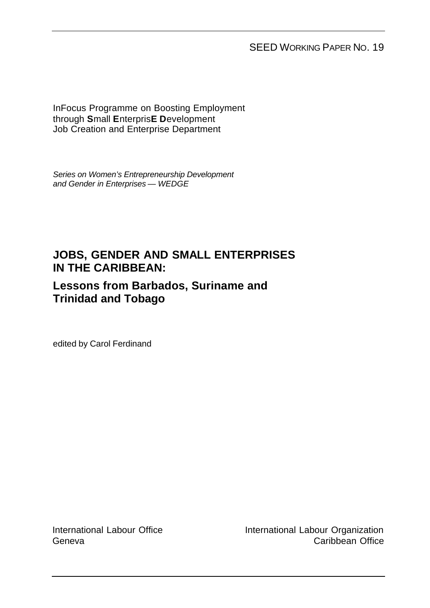SEED WORKING PAPER NO. 19

InFocus Programme on Boosting Employment through **S**mall **E**nterpris**E D**evelopment Job Creation and Enterprise Department

*Series on Women's Entrepreneurship Development and Gender in Enterprises — WEDGE*

## **JOBS, GENDER AND SMALL ENTERPRISES IN THE CARIBBEAN:**

## **Lessons from Barbados, Suriname and Trinidad and Tobago**

edited by Carol Ferdinand

International Labour Office Geneva

International Labour Organization Caribbean Office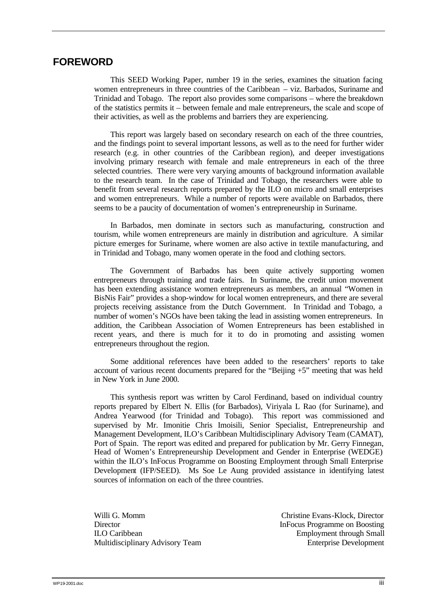### **FOREWORD**

This SEED Working Paper, number 19 in the series, examines the situation facing women entrepreneurs in three countries of the Caribbean – viz. Barbados, Suriname and Trinidad and Tobago. The report also provides some comparisons – where the breakdown of the statistics permits it – between female and male entrepreneurs, the scale and scope of their activities, as well as the problems and barriers they are experiencing.

This report was largely based on secondary research on each of the three countries, and the findings point to several important lessons, as well as to the need for further wider research (e.g. in other countries of the Caribbean region), and deeper investigations involving primary research with female and male entrepreneurs in each of the three selected countries. There were very varying amounts of background information available to the research team. In the case of Trinidad and Tobago, the researchers were able to benefit from several research reports prepared by the ILO on micro and small enterprises and women entrepreneurs. While a number of reports were available on Barbados, there seems to be a paucity of documentation of women's entrepreneurship in Suriname.

In Barbados, men dominate in sectors such as manufacturing, construction and tourism, while women entrepreneurs are mainly in distribution and agriculture. A similar picture emerges for Suriname, where women are also active in textile manufacturing, and in Trinidad and Tobago, many women operate in the food and clothing sectors.

The Government of Barbados has been quite actively supporting women entrepreneurs through training and trade fairs. In Suriname, the credit union movement has been extending assistance women entrepreneurs as members, an annual "Women in BisNis Fair" provides a shop-window for local women entrepreneurs, and there are several projects receiving assistance from the Dutch Government. In Trinidad and Tobago, a number of women's NGOs have been taking the lead in assisting women entrepreneurs. In addition, the Caribbean Association of Women Entrepreneurs has been established in recent years, and there is much for it to do in promoting and assisting women entrepreneurs throughout the region.

Some additional references have been added to the researchers' reports to take account of various recent documents prepared for the "Beijing  $+5$ " meeting that was held in New York in June 2000.

This synthesis report was written by Carol Ferdinand, based on individual country reports prepared by Elbert N. Ellis (for Barbados), Viriyala L Rao (for Suriname), and Andrea Yearwood (for Trinidad and Tobago). This report was commissioned and supervised by Mr. Imonitie Chris Imoisili, Senior Specialist, Entrepreneurship and Management Development, ILO's Caribbean Multidisciplinary Advisory Team (CAMAT), Port of Spain. The report was edited and prepared for publication by Mr. Gerry Finnegan, Head of Women's Entrepreneurship Development and Gender in Enterprise (WEDGE) within the ILO's InFocus Programme on Boosting Employment through Small Enterprise Development (IFP/SEED). Ms Soe Le Aung provided assistance in identifying latest sources of information on each of the three countries.

Director InFocus Programme on Boosting ILO Caribbean Employment through Small Multidisciplinary Advisory Team Enterprise Development

Willi G. Momm Christine Evans-Klock, Director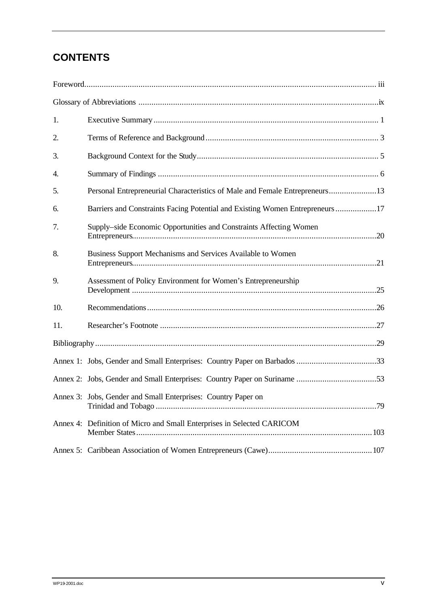## **CONTENTS**

| 1.  |                                                                              |
|-----|------------------------------------------------------------------------------|
| 2.  |                                                                              |
| 3.  |                                                                              |
| 4.  |                                                                              |
| 5.  | Personal Entrepreneurial Characteristics of Male and Female Entrepreneurs13  |
| 6.  | Barriers and Constraints Facing Potential and Existing Women Entrepreneurs17 |
| 7.  | Supply-side Economic Opportunities and Constraints Affecting Women           |
| 8.  | Business Support Mechanisms and Services Available to Women                  |
| 9.  | Assessment of Policy Environment for Women's Entrepreneurship                |
| 10. |                                                                              |
| 11. |                                                                              |
|     |                                                                              |
|     |                                                                              |
|     |                                                                              |
|     | Annex 3: Jobs, Gender and Small Enterprises: Country Paper on                |
|     | Annex 4: Definition of Micro and Small Enterprises in Selected CARICOM       |
|     |                                                                              |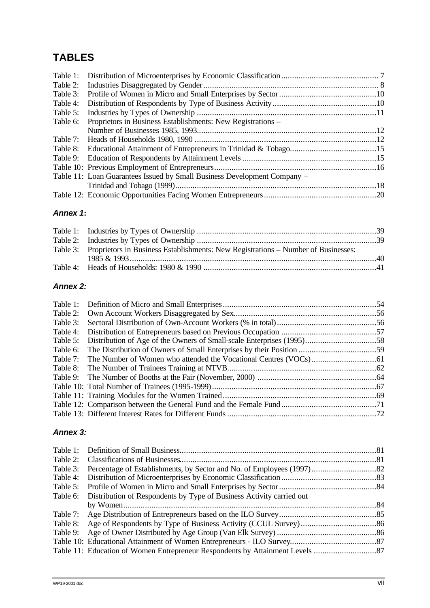## **TABLES**

| Table 2: |                                                                          |  |
|----------|--------------------------------------------------------------------------|--|
| Table 3: |                                                                          |  |
| Table 4: |                                                                          |  |
| Table 5: |                                                                          |  |
| Table 6: | Proprietors in Business Establishments: New Registrations –              |  |
|          |                                                                          |  |
|          |                                                                          |  |
|          |                                                                          |  |
|          |                                                                          |  |
|          |                                                                          |  |
|          | Table 11: Loan Guarantees Issued by Small Business Development Company – |  |
|          |                                                                          |  |
|          |                                                                          |  |

#### *Annex 1***:**

| Table 3: Proprietors in Business Establishments: New Registrations – Number of Businesses: |  |
|--------------------------------------------------------------------------------------------|--|
|                                                                                            |  |
|                                                                                            |  |

#### *Annex 2:*

| Table 3: |                                                                                |  |
|----------|--------------------------------------------------------------------------------|--|
|          |                                                                                |  |
|          | Table 5: Distribution of Age of the Owners of Small-scale Enterprises (1995)58 |  |
| Table 6: |                                                                                |  |
|          |                                                                                |  |
|          |                                                                                |  |
|          |                                                                                |  |
|          |                                                                                |  |
|          |                                                                                |  |
|          |                                                                                |  |
|          |                                                                                |  |
|          |                                                                                |  |

### *Annex 3:*

|          | Table 6: Distribution of Respondents by Type of Business Activity carried out |  |
|----------|-------------------------------------------------------------------------------|--|
|          |                                                                               |  |
|          |                                                                               |  |
| Table 8: |                                                                               |  |
| Table 9: |                                                                               |  |
|          |                                                                               |  |
|          |                                                                               |  |
|          |                                                                               |  |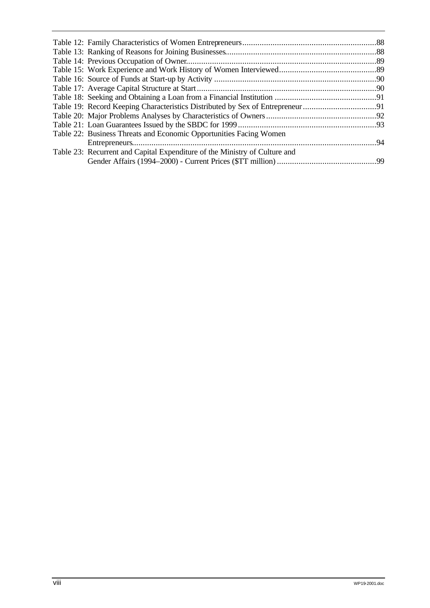| Table 22: Business Threats and Economic Opportunities Facing Women         |  |
|----------------------------------------------------------------------------|--|
|                                                                            |  |
| Table 23: Recurrent and Capital Expenditure of the Ministry of Culture and |  |
|                                                                            |  |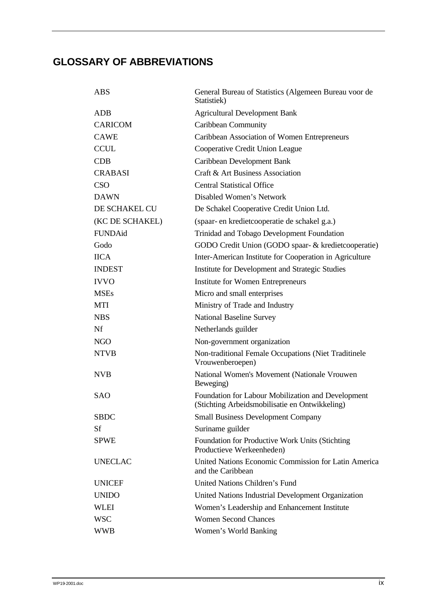# **GLOSSARY OF ABBREVIATIONS**

| <b>ABS</b>      | General Bureau of Statistics (Algemeen Bureau voor de<br>Statistiek)                                 |  |  |  |
|-----------------|------------------------------------------------------------------------------------------------------|--|--|--|
| ADB             | <b>Agricultural Development Bank</b>                                                                 |  |  |  |
| <b>CARICOM</b>  | <b>Caribbean Community</b>                                                                           |  |  |  |
| <b>CAWE</b>     | Caribbean Association of Women Entrepreneurs                                                         |  |  |  |
| <b>CCUL</b>     | Cooperative Credit Union League                                                                      |  |  |  |
| CDB             | Caribbean Development Bank                                                                           |  |  |  |
| <b>CRABASI</b>  | Craft & Art Business Association                                                                     |  |  |  |
| <b>CSO</b>      | <b>Central Statistical Office</b>                                                                    |  |  |  |
| <b>DAWN</b>     | Disabled Women's Network                                                                             |  |  |  |
| DE SCHAKEL CU   | De Schakel Cooperative Credit Union Ltd.                                                             |  |  |  |
| (KC DE SCHAKEL) | (spaar- en kredietcooperatie de schakel g.a.)                                                        |  |  |  |
| FUNDAid         | Trinidad and Tobago Development Foundation                                                           |  |  |  |
| Godo            | GODO Credit Union (GODO spaar- & kredietcooperatie)                                                  |  |  |  |
| <b>IICA</b>     | Inter-American Institute for Cooperation in Agriculture                                              |  |  |  |
| <b>INDEST</b>   | Institute for Development and Strategic Studies                                                      |  |  |  |
| <b>IVVO</b>     | <b>Institute for Women Entrepreneurs</b>                                                             |  |  |  |
| <b>MSEs</b>     | Micro and small enterprises                                                                          |  |  |  |
| MTI             | Ministry of Trade and Industry                                                                       |  |  |  |
| <b>NBS</b>      | <b>National Baseline Survey</b>                                                                      |  |  |  |
| Nf              | Netherlands guilder                                                                                  |  |  |  |
| <b>NGO</b>      | Non-government organization                                                                          |  |  |  |
| <b>NTVB</b>     | Non-traditional Female Occupations (Niet Traditinele<br>Vrouwenberoepen)                             |  |  |  |
| <b>NVB</b>      | National Women's Movement (Nationale Vrouwen<br>Beweging)                                            |  |  |  |
| <b>SAO</b>      | Foundation for Labour Mobilization and Development<br>(Stichting Arbeidsmobilisatie en Ontwikkeling) |  |  |  |
| <b>SBDC</b>     | <b>Small Business Development Company</b>                                                            |  |  |  |
| <b>Sf</b>       | Suriname guilder                                                                                     |  |  |  |
| <b>SPWE</b>     | Foundation for Productive Work Units (Stichting<br>Productieve Werkeenheden)                         |  |  |  |
| <b>UNECLAC</b>  | United Nations Economic Commission for Latin America<br>and the Caribbean                            |  |  |  |
| <b>UNICEF</b>   | <b>United Nations Children's Fund</b>                                                                |  |  |  |
| <b>UNIDO</b>    | United Nations Industrial Development Organization                                                   |  |  |  |
| <b>WLEI</b>     | Women's Leadership and Enhancement Institute                                                         |  |  |  |
| <b>WSC</b>      | <b>Women Second Chances</b>                                                                          |  |  |  |
| <b>WWB</b>      | Women's World Banking                                                                                |  |  |  |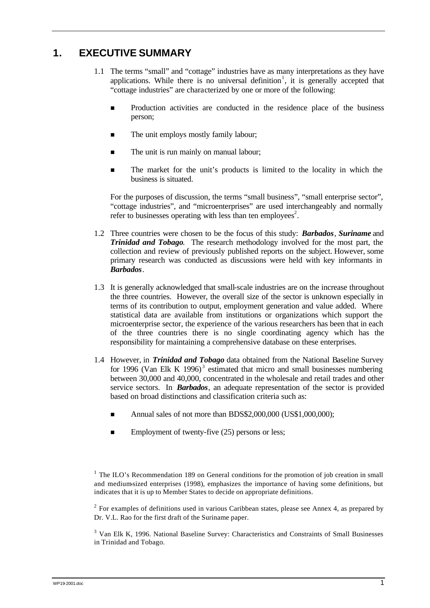## **1. EXECUTIVE SUMMARY**

- 1.1 The terms "small" and "cottage" industries have as many interpretations as they have applications. While there is no universal definition<sup>1</sup>, it is generally accepted that "cottage industries" are characterized by one or more of the following:
	- Production activities are conducted in the residence place of the business person;
	- $\blacksquare$  The unit employs mostly family labour;
	- The unit is run mainly on manual labour;
	- n The market for the unit's products is limited to the locality in which the business is situated.

For the purposes of discussion, the terms "small business", "small enterprise sector", "cottage industries", and "microenterprises" are used interchangeably and normally refer to businesses operating with less than ten employees<sup>2</sup>.

- 1.2 Three countries were chosen to be the focus of this study: *Barbados*, *Suriname* and *Trinidad and Tobago*. The research methodology involved for the most part, the collection and review of previously published reports on the subject. However, some primary research was conducted as discussions were held with key informants in *Barbados*.
- 1.3 It is generally acknowledged that small-scale industries are on the increase throughout the three countries. However, the overall size of the sector is unknown especially in terms of its contribution to output, employment generation and value added. Where statistical data are available from institutions or organizations which support the microenterprise sector, the experience of the various researchers has been that in each of the three countries there is no single coordinating agency which has the responsibility for maintaining a comprehensive database on these enterprises.
- 1.4 However, in *Trinidad and Tobago* data obtained from the National Baseline Survey for 1996 (Van Elk K 1996)<sup>3</sup> estimated that micro and small businesses numbering between 30,000 and 40,000, concentrated in the wholesale and retail trades and other service sectors. In *Barbados*, an adequate representation of the sector is provided based on broad distinctions and classification criteria such as:
	- Annual sales of not more than BDS\$2,000,000 (US\$1,000,000);
	- Employment of twenty-five (25) persons or less;

 $2^2$  For examples of definitions used in various Caribbean states, please see Annex 4, as prepared by Dr. V.L. Rao for the first draft of the Suriname paper.

<sup>3</sup> Van Elk K, 1996. National Baseline Survey: Characteristics and Constraints of Small Businesses in Trinidad and Tobago.

<sup>&</sup>lt;sup>1</sup> The ILO's Recommendation 189 on General conditions for the promotion of job creation in small and medium-sized enterprises (1998), emphasizes the importance of having some definitions, but indicates that it is up to Member States to decide on appropriate definitions.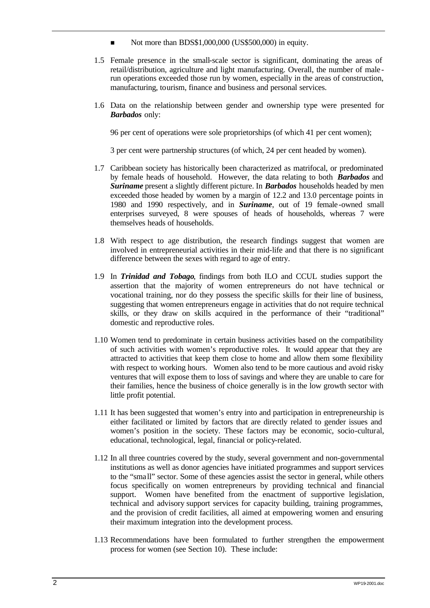- Not more than BDS\$1,000,000 (US\$500,000) in equity.
- 1.5 Female presence in the small-scale sector is significant, dominating the areas of retail/distribution, agriculture and light manufacturing. Overall, the number of male run operations exceeded those run by women, especially in the areas of construction, manufacturing, tourism, finance and business and personal services.
- 1.6 Data on the relationship between gender and ownership type were presented for *Barbados* only:

96 per cent of operations were sole proprietorships (of which 41 per cent women);

3 per cent were partnership structures (of which, 24 per cent headed by women).

- 1.7 Caribbean society has historically been characterized as matrifocal, or predominated by female heads of household. However, the data relating to both *Barbados* and *Suriname* present a slightly different picture. In *Barbados* households headed by men exceeded those headed by women by a margin of 12.2 and 13.0 percentage points in 1980 and 1990 respectively, and in *Suriname*, out of 19 female-owned small enterprises surveyed, 8 were spouses of heads of households, whereas 7 were themselves heads of households.
- 1.8 With respect to age distribution, the research findings suggest that women are involved in entrepreneurial activities in their mid-life and that there is no significant difference between the sexes with regard to age of entry.
- 1.9 In *Trinidad and Tobago*, findings from both ILO and CCUL studies support the assertion that the majority of women entrepreneurs do not have technical or vocational training, nor do they possess the specific skills for their line of business, suggesting that women entrepreneurs engage in activities that do not require technical skills, or they draw on skills acquired in the performance of their "traditional" domestic and reproductive roles.
- 1.10 Women tend to predominate in certain business activities based on the compatibility of such activities with women's reproductive roles. It would appear that they are attracted to activities that keep them close to home and allow them some flexibility with respect to working hours. Women also tend to be more cautious and avoid risky ventures that will expose them to loss of savings and where they are unable to care for their families, hence the business of choice generally is in the low growth sector with little profit potential.
- 1.11 It has been suggested that women's entry into and participation in entrepreneurship is either facilitated or limited by factors that are directly related to gender issues and women's position in the society. These factors may be economic, socio-cultural, educational, technological, legal, financial or policy-related.
- 1.12 In all three countries covered by the study, several government and non-governmental institutions as well as donor agencies have initiated programmes and support services to the "sma ll" sector. Some of these agencies assist the sector in general, while others focus specifically on women entrepreneurs by providing technical and financial support. Women have benefited from the enactment of supportive legislation, technical and advisory support services for capacity building, training programmes, and the provision of credit facilities, all aimed at empowering women and ensuring their maximum integration into the development process.
- 1.13 Recommendations have been formulated to further strengthen the empowerment process for women (see Section 10). These include: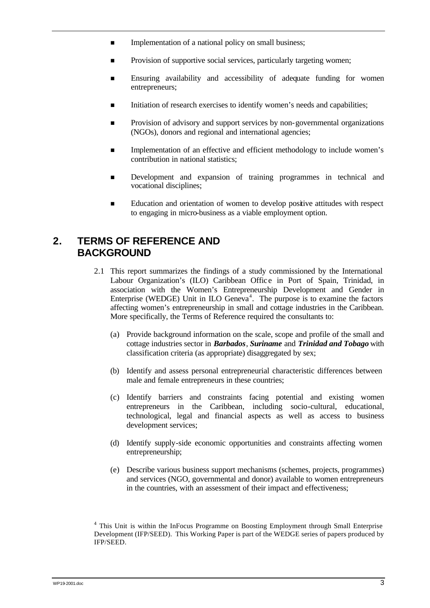- **n** Implementation of a national policy on small business;
- Provision of supportive social services, particularly targeting women;
- n Ensuring availability and accessibility of adequate funding for women entrepreneurs;
- n Initiation of research exercises to identify women's needs and capabilities;
- **n** Provision of advisory and support services by non-governmental organizations (NGOs), donors and regional and international agencies;
- Implementation of an effective and efficient methodology to include women's contribution in national statistics;
- **n** Development and expansion of training programmes in technical and vocational disciplines;
- Education and orientation of women to develop positive attitudes with respect to engaging in micro-business as a viable employment option.

## **2. TERMS OF REFERENCE AND BACKGROUND**

- 2.1 This report summarizes the findings of a study commissioned by the International Labour Organization's (ILO) Caribbean Office in Port of Spain, Trinidad, in association with the Women's Entrepreneurship Development and Gender in Enterprise (WEDGE) Unit in ILO Geneva<sup>4</sup>. The purpose is to examine the factors affecting women's entrepreneurship in small and cottage industries in the Caribbean. More specifically, the Terms of Reference required the consultants to:
	- (a) Provide background information on the scale, scope and profile of the small and cottage industries sector in *Barbados*, *Suriname* and *Trinidad and Tobago* with classification criteria (as appropriate) disaggregated by sex;
	- (b) Identify and assess personal entrepreneurial characteristic differences between male and female entrepreneurs in these countries;
	- (c) Identify barriers and constraints facing potential and existing women entrepreneurs in the Caribbean, including socio-cultural, educational, technological, legal and financial aspects as well as access to business development services;
	- (d) Identify supply-side economic opportunities and constraints affecting women entrepreneurship;
	- (e) Describe various business support mechanisms (schemes, projects, programmes) and services (NGO, governmental and donor) available to women entrepreneurs in the countries, with an assessment of their impact and effectiveness;

<sup>&</sup>lt;sup>4</sup> This Unit is within the InFocus Programme on Boosting Employment through Small Enterprise Development (IFP/SEED). This Working Paper is part of the WEDGE series of papers produced by IFP/SEED.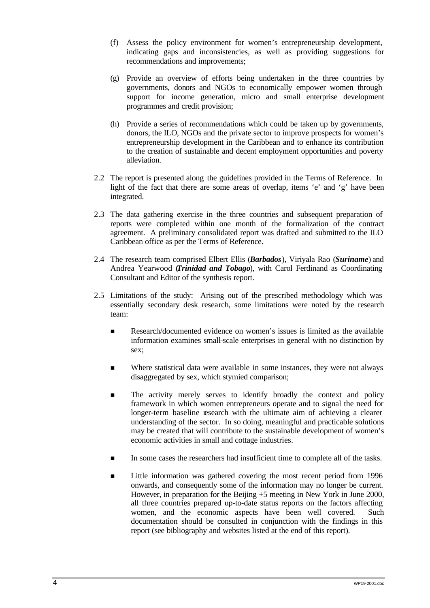- (f) Assess the policy environment for women's entrepreneurship development, indicating gaps and inconsistencies, as well as providing suggestions for recommendations and improvements;
- (g) Provide an overview of efforts being undertaken in the three countries by governments, donors and NGOs to economically empower women through support for income generation, micro and small enterprise development programmes and credit provision;
- (h) Provide a series of recommendations which could be taken up by governments, donors, the ILO, NGOs and the private sector to improve prospects for women's entrepreneurship development in the Caribbean and to enhance its contribution to the creation of sustainable and decent employment opportunities and poverty alleviation.
- 2.2 The report is presented along the guidelines provided in the Terms of Reference. In light of the fact that there are some areas of overlap, items 'e' and 'g' have been integrated.
- 2.3 The data gathering exercise in the three countries and subsequent preparation of reports were completed within one month of the formalization of the contract agreement. A preliminary consolidated report was drafted and submitted to the ILO Caribbean office as per the Terms of Reference.
- 2.4 The research team comprised Elbert Ellis (*Barbados*), Viriyala Rao (*Suriname*) and Andrea Yearwood (*Trinidad and Tobago*), with Carol Ferdinand as Coordinating Consultant and Editor of the synthesis report.
- 2.5 Limitations of the study: Arising out of the prescribed methodology which was essentially secondary desk research, some limitations were noted by the research team:
	- n Research/documented evidence on women's issues is limited as the available information examines small-scale enterprises in general with no distinction by sex;
	- n Where statistical data were available in some instances, they were not always disaggregated by sex, which stymied comparison;
	- n The activity merely serves to identify broadly the context and policy framework in which women entrepreneurs operate and to signal the need for longer-term baseline research with the ultimate aim of achieving a clearer understanding of the sector. In so doing, meaningful and practicable solutions may be created that will contribute to the sustainable development of women's economic activities in small and cottage industries.
	- n In some cases the researchers had insufficient time to complete all of the tasks.
	- n Little information was gathered covering the most recent period from 1996 onwards, and consequently some of the information may no longer be current. However, in preparation for the Beijing  $+5$  meeting in New York in June 2000, all three countries prepared up-to-date status reports on the factors affecting women, and the economic aspects have been well covered. Such documentation should be consulted in conjunction with the findings in this report (see bibliography and websites listed at the end of this report).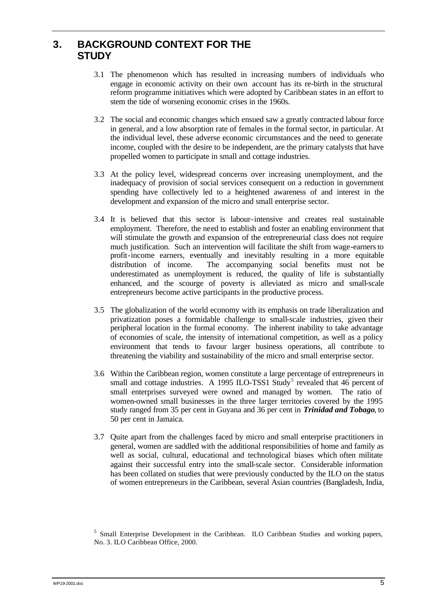## **3. BACKGROUND CONTEXT FOR THE STUDY**

- 3.1 The phenomenon which has resulted in increasing numbers of individuals who engage in economic activity on their own account has its re-birth in the structural reform programme initiatives which were adopted by Caribbean states in an effort to stem the tide of worsening economic crises in the 1960s.
- 3.2 The social and economic changes which ensued saw a greatly contracted labour force in general, and a low absorption rate of females in the formal sector, in particular. At the individual level, these adverse economic circumstances and the need to generate income, coupled with the desire to be independent, are the primary catalysts that have propelled women to participate in small and cottage industries.
- 3.3 At the policy level, widespread concerns over increasing unemployment, and the inadequacy of provision of social services consequent on a reduction in government spending have collectively led to a heightened awareness of and interest in the development and expansion of the micro and small enterprise sector.
- 3.4 It is believed that this sector is labour-intensive and creates real sustainable employment. Therefore, the need to establish and foster an enabling environment that will stimulate the growth and expansion of the entrepreneurial class does not require much justification. Such an intervention will facilitate the shift from wage-earners to profit-income earners, eventually and inevitably resulting in a more equitable distribution of income. The accompanying social benefits must not be underestimated as unemployment is reduced, the quality of life is substantially enhanced, and the scourge of poverty is alleviated as micro and small-scale entrepreneurs become active participants in the productive process.
- 3.5 The globalization of the world economy with its emphasis on trade liberalization and privatization poses a formidable challenge to small-scale industries, given their peripheral location in the formal economy. The inherent inability to take advantage of economies of scale, the intensity of international competition, as well as a policy environment that tends to favour larger business operations, all contribute to threatening the viability and sustainability of the micro and small enterprise sector.
- 3.6 Within the Caribbean region, women constitute a large percentage of entrepreneurs in small and cottage industries. A 1995 ILO-TSS1 Study<sup>5</sup> revealed that  $46$  percent of small enterprises surveyed were owned and managed by women. The ratio of women-owned small businesses in the three larger territories covered by the 1995 study ranged from 35 per cent in Guyana and 36 per cent in *Trinidad and Tobago*, to 50 per cent in Jamaica.
- 3.7 Quite apart from the challenges faced by micro and small enterprise practitioners in general, women are saddled with the additional responsibilities of home and family as well as social, cultural, educational and technological biases which often militate against their successful entry into the small-scale sector. Considerable information has been collated on studies that were previously conducted by the ILO on the status of women entrepreneurs in the Caribbean, several Asian countries (Bangladesh, India,

<sup>&</sup>lt;sup>5</sup> Small Enterprise Development in the Caribbean. ILO Caribbean Studies and working papers, No. 3. ILO Caribbean Office, 2000.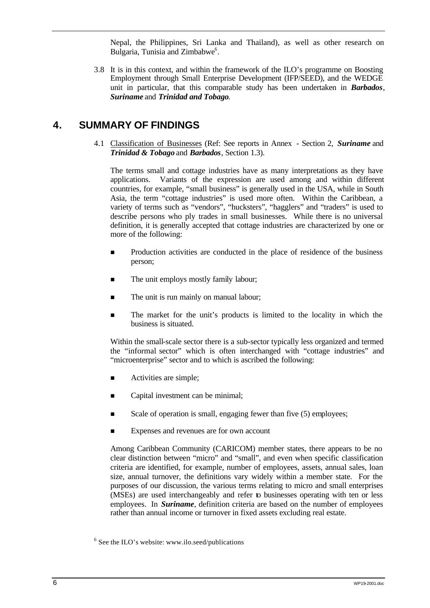Nepal, the Philippines, Sri Lanka and Thailand), as well as other research on Bulgaria, Tunisia and Zimbabwe<sup>6</sup>.

3.8 It is in this context, and within the framework of the ILO's programme on Boosting Employment through Small Enterprise Development (IFP/SEED), and the WEDGE unit in particular, that this comparable study has been undertaken in *Barbados*, *Suriname* and *Trinidad and Tobago*.

## **4. SUMMARY OF FINDINGS**

4.1 Classification of Businesses (Ref: See reports in Annex - Section 2, *Suriname* and *Trinidad & Tobago* and *Barbados*, Section 1.3).

The terms small and cottage industries have as many interpretations as they have applications. Variants of the expression are used among and within different countries, for example, "small business" is generally used in the USA, while in South Asia, the term "cottage industries" is used more often. Within the Caribbean, a variety of terms such as "vendors", "hucksters", "hagglers" and "traders" is used to describe persons who ply trades in small businesses. While there is no universal definition, it is generally accepted that cottage industries are characterized by one or more of the following:

- n Production activities are conducted in the place of residence of the business person;
- The unit employs mostly family labour;
- The unit is run mainly on manual labour;
- n The market for the unit's products is limited to the locality in which the business is situated.

Within the small-scale sector there is a sub-sector typically less organized and termed the "informal sector" which is often interchanged with "cottage industries" and "microenterprise" sector and to which is ascribed the following:

- **n** Activities are simple;
- Capital investment can be minimal;
- Scale of operation is small, engaging fewer than five (5) employees;
- **Expenses and revenues are for own account**

Among Caribbean Community (CARICOM) member states, there appears to be no clear distinction between "micro" and "small", and even when specific classification criteria are identified, for example, number of employees, assets, annual sales, loan size, annual turnover, the definitions vary widely within a member state. For the purposes of our discussion, the various terms relating to micro and small enterprises (MSEs) are used interchangeably and refer to businesses operating with ten or less employees. In *Suriname*, definition criteria are based on the number of employees rather than annual income or turnover in fixed assets excluding real estate.

 $6$  See the ILO's website: www.ilo.seed/publications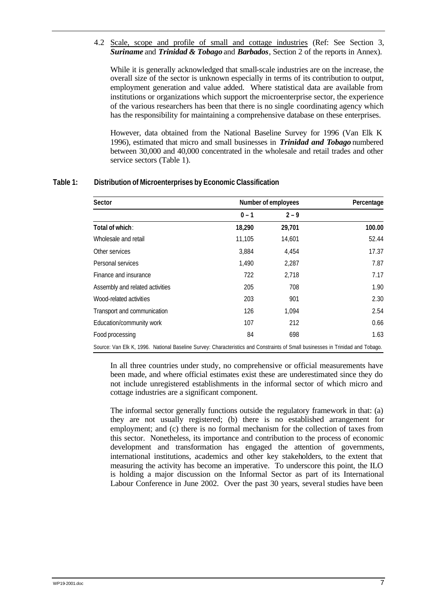4.2 Scale, scope and profile of small and cottage industries (Ref: See Section 3, *Suriname* and *Trinidad & Tobago* and *Barbados*, Section 2 of the reports in Annex).

While it is generally acknowledged that small-scale industries are on the increase, the overall size of the sector is unknown especially in terms of its contribution to output, employment generation and value added. Where statistical data are available from institutions or organizations which support the microenterprise sector, the experience of the various researchers has been that there is no single coordinating agency which has the responsibility for maintaining a comprehensive database on these enterprises.

However, data obtained from the National Baseline Survey for 1996 (Van Elk K 1996), estimated that micro and small businesses in *Trinidad and Tobago* numbered between 30,000 and 40,000 concentrated in the wholesale and retail trades and other service sectors (Table 1).

| Sector                                                                                                                         |         | Number of employees |        |  |
|--------------------------------------------------------------------------------------------------------------------------------|---------|---------------------|--------|--|
|                                                                                                                                | $0 - 1$ | $2 - 9$             |        |  |
| Total of which:                                                                                                                | 18,290  | 29,701              | 100.00 |  |
| Wholesale and retail                                                                                                           | 11,105  | 14,601              | 52.44  |  |
| Other services                                                                                                                 | 3.884   | 4.454               | 17.37  |  |
| Personal services                                                                                                              | 1,490   | 2,287               | 7.87   |  |
| Finance and insurance                                                                                                          | 722     | 2,718               | 7.17   |  |
| Assembly and related activities                                                                                                | 205     | 708                 | 1.90   |  |
| Wood-related activities                                                                                                        | 203     | 901                 | 2.30   |  |
| Transport and communication                                                                                                    | 126     | 1,094               | 2.54   |  |
| Education/community work                                                                                                       | 107     | 212                 | 0.66   |  |
| Food processing                                                                                                                | 84      | 698                 | 1.63   |  |
| Source: Van Elk K, 1996. National Baseline Survey: Characteristics and Constraints of Small businesses in Trinidad and Tobago. |         |                     |        |  |

#### **Table 1: Distribution of Microenterprises by Economic Classification**

In all three countries under study, no comprehensive or official measurements have been made, and where official estimates exist these are underestimated since they do not include unregistered establishments in the informal sector of which micro and cottage industries are a significant component.

The informal sector generally functions outside the regulatory framework in that: (a) they are not usually registered; (b) there is no established arrangement for employment; and (c) there is no formal mechanism for the collection of taxes from this sector. Nonetheless, its importance and contribution to the process of economic development and transformation has engaged the attention of governments, international institutions, academics and other key stakeholders, to the extent that measuring the activity has become an imperative. To underscore this point, the ILO is holding a major discussion on the Informal Sector as part of its International Labour Conference in June 2002. Over the past 30 years, several studies have been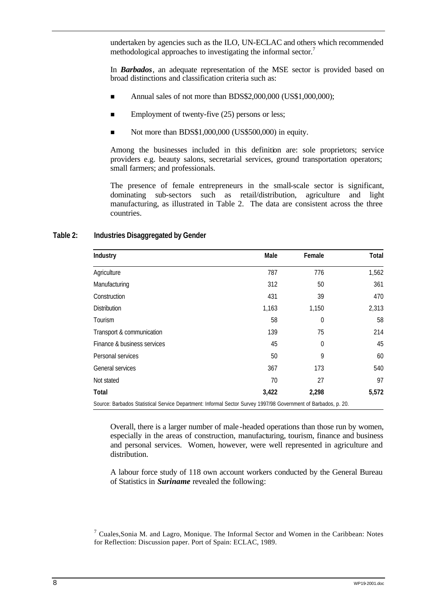undertaken by agencies such as the ILO, UN-ECLAC and others which recommended methodological approaches to investigating the informal sector.<sup>7</sup>

In *Barbados*, an adequate representation of the MSE sector is provided based on broad distinctions and classification criteria such as:

- Annual sales of not more than BDS\$2,000,000 (US\$1,000,000);
- $\blacksquare$  Employment of twenty-five (25) persons or less;
- Not more than BDS\$1,000,000 (US\$500,000) in equity.

Among the businesses included in this definition are: sole proprietors; service providers e.g. beauty salons, secretarial services, ground transportation operators; small farmers; and professionals.

The presence of female entrepreneurs in the small-scale sector is significant, dominating sub-sectors such as retail/distribution, agriculture and light manufacturing, as illustrated in Table 2. The data are consistent across the three countries.

#### **Table 2: Industries Disaggregated by Gender**

| Industry                                                                                                       | Male  | Female | Total |
|----------------------------------------------------------------------------------------------------------------|-------|--------|-------|
| Agriculture                                                                                                    | 787   | 776    | 1,562 |
| Manufacturing                                                                                                  | 312   | 50     | 361   |
| Construction                                                                                                   | 431   | 39     | 470   |
| <b>Distribution</b>                                                                                            | 1,163 | 1,150  | 2,313 |
| Tourism                                                                                                        | 58    | 0      | 58    |
| Transport & communication                                                                                      | 139   | 75     | 214   |
| Finance & business services                                                                                    | 45    | 0      | 45    |
| Personal services                                                                                              | 50    | 9      | 60    |
| General services                                                                                               | 367   | 173    | 540   |
| Not stated                                                                                                     | 70    | 27     | 97    |
| Total                                                                                                          | 3,422 | 2,298  | 5,572 |
| Source: Barbados Statistical Service Department: Informal Sector Survey 1997/98 Government of Barbados, p. 20. |       |        |       |

Overall, there is a larger number of male -headed operations than those run by women, especially in the areas of construction, manufacturing, tourism, finance and business and personal services. Women, however, were well represented in agriculture and distribution.

A labour force study of 118 own account workers conducted by the General Bureau of Statistics in *Suriname* revealed the following:

 $<sup>7</sup>$  Cuales, Sonia M. and Lagro, Monique. The Informal Sector and Women in the Caribbean: Notes</sup> for Reflection: Discussion paper. Port of Spain: ECLAC, 1989.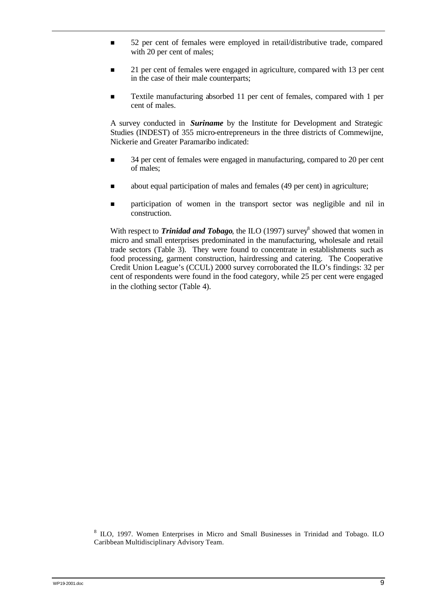- n 52 per cent of females were employed in retail/distributive trade, compared with 20 per cent of males;
- **n** 21 per cent of females were engaged in agriculture, compared with 13 per cent in the case of their male counterparts;
- Textile manufacturing absorbed 11 per cent of females, compared with 1 per cent of males.

A survey conducted in *Suriname* by the Institute for Development and Strategic Studies (INDEST) of 355 micro-entrepreneurs in the three districts of Commewijne, Nickerie and Greater Paramaribo indicated:

- n 34 per cent of females were engaged in manufacturing, compared to 20 per cent of males;
- n about equal participation of males and females (49 per cent) in agriculture;
- n **participation** of women in the transport sector was negligible and nil in construction.

With respect to **Trinidad and Tobago**, the ILO (1997) survey<sup>8</sup> showed that women in micro and small enterprises predominated in the manufacturing, wholesale and retail trade sectors (Table 3). They were found to concentrate in establishments such as food processing, garment construction, hairdressing and catering. The Cooperative Credit Union League's (CCUL) 2000 survey corroborated the ILO's findings: 32 per cent of respondents were found in the food category, while 25 per cent were engaged in the clothing sector (Table 4).

<sup>8</sup> ILO, 1997. Women Enterprises in Micro and Small Businesses in Trinidad and Tobago. ILO Caribbean Multidisciplinary Advisory Team.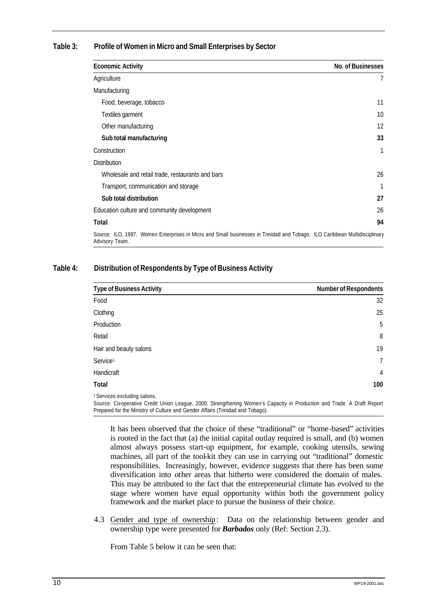#### **Table 3: Profile of Women in Micro and Small Enterprises by Sector**

| <b>Economic Activity</b>                                                                                                                     | No. of Businesses |
|----------------------------------------------------------------------------------------------------------------------------------------------|-------------------|
| Agriculture                                                                                                                                  | $\overline{7}$    |
| Manufacturing                                                                                                                                |                   |
| Food, beverage, tobacco                                                                                                                      | 11                |
| Textiles garment                                                                                                                             | 10                |
| Other manufacturing                                                                                                                          | 12                |
| Sub total manufacturing                                                                                                                      | 33                |
| Construction                                                                                                                                 | 1                 |
| <b>Distribution</b>                                                                                                                          |                   |
| Wholesale and retail trade, restaurants and bars                                                                                             | 26                |
| Transport, communication and storage                                                                                                         | 1                 |
| Sub total distribution                                                                                                                       | 27                |
| Education culture and community development                                                                                                  | 26                |
| Total                                                                                                                                        | 94                |
| Source: ILO, 1997. Women Enterprises in Micro and Small businesses in Trinidad and Tobago. ILO Caribbean Multidisciplinary<br>Advisory Team. |                   |

#### **Table 4: Distribution of Respondents by Type of Business Activity**

| <b>Type of Business Activity</b>                                                                                                                                | <b>Number of Respondents</b> |
|-----------------------------------------------------------------------------------------------------------------------------------------------------------------|------------------------------|
| Food                                                                                                                                                            | 32                           |
| Clothing                                                                                                                                                        | 25                           |
| Production                                                                                                                                                      | 5                            |
| Retail                                                                                                                                                          | 8                            |
| Hair and beauty salons                                                                                                                                          | 19                           |
| Service <sup>1</sup>                                                                                                                                            | $\mathcal{I}$                |
| Handicraft                                                                                                                                                      | 4                            |
| Total                                                                                                                                                           | 100                          |
| <sup>1</sup> Services excluding salons.<br>Source: Cooperative Credit Upien League, 2000, Strengthening Wamer's Canacity in Dreduction and Trade A Dreft Depart |                              |

Source: Co-operative Credit Union League, 2000. Strengthening Women's Capacity in Production and Trade. A Draft Report Prepared for the Ministry of Culture and Gender Affairs (Trinidad and Tobago).

It has been observed that the choice of these "traditional" or "home-based" activities is rooted in the fact that (a) the initial capital outlay required is small, and (b) women almost always possess start-up equipment, for example, cooking utensils, sewing machines, all part of the tool-kit they can use in carrying out "traditional" domestic responsibilities. Increasingly, however, evidence suggests that there has been some diversification into other areas that hitherto were considered the domain of males. This may be attributed to the fact that the entrepreneurial climate has evolved to the stage where women have equal opportunity within both the government policy framework and the market place to pursue the business of their choice.

4.3 Gender and type of ownership: Data on the relationship between gender and ownership type were presented for *Barbados* only (Ref: Section 2.3).

From Table 5 below it can be seen that: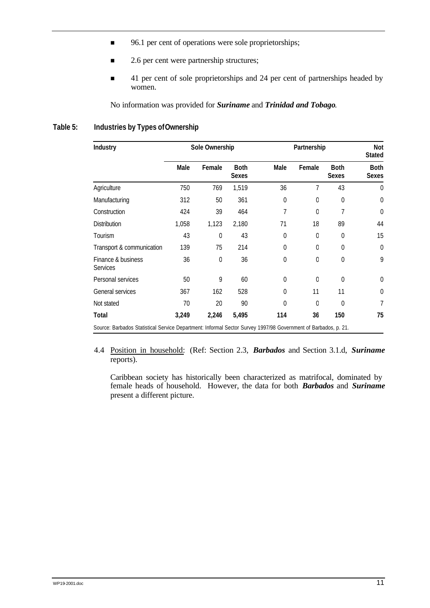- 96.1 per cent of operations were sole proprietorships;
- 2.6 per cent were partnership structures;
- **41** per cent of sole proprietorships and 24 per cent of partnerships headed by women.

No information was provided for *Suriname* and *Trinidad and Tobago*.

#### **Table 5: Industries by Types of Ownership**

| Industry                                                                                                       | Sole Ownership |                | Partnership                 |                |                | Not<br><b>Stated</b>        |                             |
|----------------------------------------------------------------------------------------------------------------|----------------|----------------|-----------------------------|----------------|----------------|-----------------------------|-----------------------------|
|                                                                                                                | Male           | Female         | <b>Both</b><br><b>Sexes</b> | Male           | Female         | <b>Both</b><br><b>Sexes</b> | <b>Both</b><br><b>Sexes</b> |
| Agriculture                                                                                                    | 750            | 769            | 1,519                       | 36             | 7              | 43                          | $\theta$                    |
| Manufacturing                                                                                                  | 312            | 50             | 361                         | $\overline{0}$ | $\mathbf 0$    | $\boldsymbol{0}$            | $\overline{0}$              |
| Construction                                                                                                   | 424            | 39             | 464                         | 7              | $\overline{0}$ | 7                           | $\overline{0}$              |
| <b>Distribution</b>                                                                                            | 1,058          | 1,123          | 2,180                       | 71             | 18             | 89                          | 44                          |
| Tourism                                                                                                        | 43             | $\overline{0}$ | 43                          | $\overline{0}$ | $\mathbf 0$    | $\overline{0}$              | 15                          |
| Transport & communication                                                                                      | 139            | 75             | 214                         | $\overline{0}$ | $\overline{0}$ | $\overline{0}$              | $\mathbf 0$                 |
| Finance & business<br><b>Services</b>                                                                          | 36             | $\Omega$       | 36                          | 0              | $\Omega$       | $\overline{0}$              | 9                           |
| Personal services                                                                                              | 50             | 9              | 60                          | $\Omega$       | $\Omega$       | $\Omega$                    | $\overline{0}$              |
| General services                                                                                               | 367            | 162            | 528                         | 0              | 11             | 11                          | $\boldsymbol{0}$            |
| Not stated                                                                                                     | 70             | 20             | 90                          | 0              | $\overline{0}$ | $\overline{0}$              | 7                           |
| Total                                                                                                          | 3,249          | 2,246          | 5,495                       | 114            | 36             | 150                         | 75                          |
| Source: Barbados Statistical Service Department: Informal Sector Survey 1997/98 Government of Barbados, p. 21. |                |                |                             |                |                |                             |                             |

4.4 Position in household: (Ref: Section 2.3, *Barbados* and Section 3.1.d, *Suriname* reports).

Caribbean society has historically been characterized as matrifocal, dominated by female heads of household. However, the data for both *Barbados* and *Suriname* present a different picture.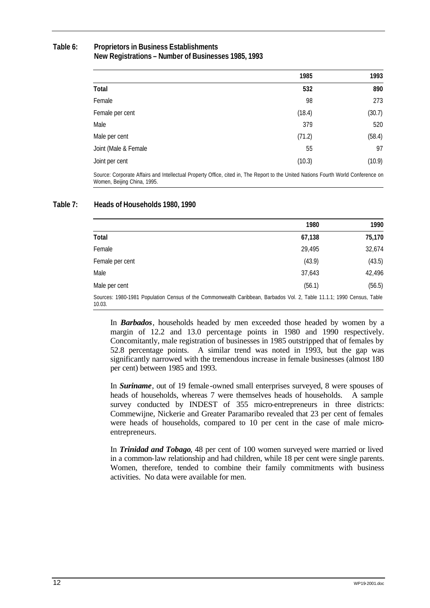#### **Table 6: Proprietors in Business Establishments New Registrations – Number of Businesses 1985, 1993**

|                      | 1985   | 1993   |
|----------------------|--------|--------|
| Total                | 532    | 890    |
| Female               | 98     | 273    |
| Female per cent      | (18.4) | (30.7) |
| Male                 | 379    | 520    |
| Male per cent        | (71.2) | (58.4) |
| Joint (Male & Female | 55     | 97     |
| Joint per cent       | (10.3) | (10.9) |

Source: Corporate Affairs and Intellectual Property Office, cited in, The Report to the United Nations Fourth World Conference on Women, Beijing China, 1995.

#### **Table 7: Heads of Households 1980, 1990**

|                                                                                                                                 | 1980   | 1990   |
|---------------------------------------------------------------------------------------------------------------------------------|--------|--------|
| Total                                                                                                                           | 67,138 | 75,170 |
| Female                                                                                                                          | 29,495 | 32,674 |
| Female per cent                                                                                                                 | (43.9) | (43.5) |
| Male                                                                                                                            | 37,643 | 42,496 |
| Male per cent                                                                                                                   | (56.1) | (56.5) |
| Sources: 1980-1981 Population Census of the Commonwealth Caribbean, Barbados Vol. 2, Table 11.1.1; 1990 Census, Table<br>10.03. |        |        |

In *Barbados*, households headed by men exceeded those headed by women by a margin of 12.2 and 13.0 percentage points in 1980 and 1990 respectively. Concomitantly, male registration of businesses in 1985 outstripped that of females by 52.8 percentage points. A similar trend was noted in 1993, but the gap was significantly narrowed with the tremendous increase in female businesses (almost 180 per cent) between 1985 and 1993.

In *Suriname*, out of 19 female-owned small enterprises surveyed, 8 were spouses of heads of households, whereas 7 were themselves heads of households. A sample survey conducted by INDEST of 355 micro-entrepreneurs in three districts: Commewijne, Nickerie and Greater Paramaribo revealed that 23 per cent of females were heads of households, compared to 10 per cent in the case of male microentrepreneurs.

In *Trinidad and Tobago*, 48 per cent of 100 women surveyed were married or lived in a common-law relationship and had children, while 18 per cent were single parents. Women, therefore, tended to combine their family commitments with business activities. No data were available for men.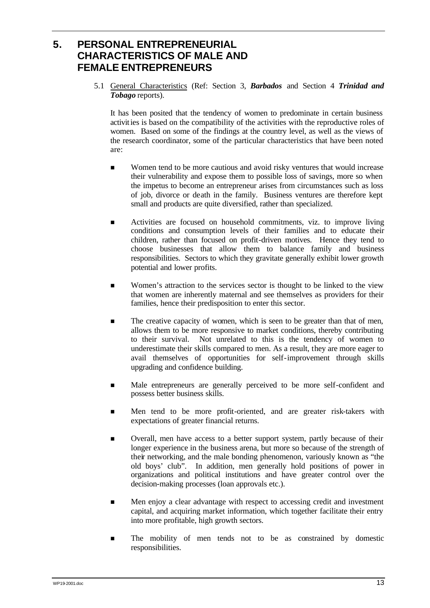## **5. PERSONAL ENTREPRENEURIAL CHARACTERISTICS OF MALE AND FEMALE ENTREPRENEURS**

5.1 General Characteristics (Ref: Section 3, *Barbados* and Section 4 *Trinidad and Tobago* reports).

It has been posited that the tendency of women to predominate in certain business activities is based on the compatibility of the activities with the reproductive roles of women. Based on some of the findings at the country level, as well as the views of the research coordinator, some of the particular characteristics that have been noted are:

- n Women tend to be more cautious and avoid risky ventures that would increase their vulnerability and expose them to possible loss of savings, more so when the impetus to become an entrepreneur arises from circumstances such as loss of job, divorce or death in the family. Business ventures are therefore kept small and products are quite diversified, rather than specialized.
- n Activities are focused on household commitments, viz. to improve living conditions and consumption levels of their families and to educate their children, rather than focused on profit-driven motives. Hence they tend to choose businesses that allow them to balance family and business responsibilities. Sectors to which they gravitate generally exhibit lower growth potential and lower profits.
- n Women's attraction to the services sector is thought to be linked to the view that women are inherently maternal and see themselves as providers for their families, hence their predisposition to enter this sector.
- **n** The creative capacity of women, which is seen to be greater than that of men, allows them to be more responsive to market conditions, thereby contributing to their survival. Not unrelated to this is the tendency of women to underestimate their skills compared to men. As a result, they are more eager to avail themselves of opportunities for self-improvement through skills upgrading and confidence building.
- n Male entrepreneurs are generally perceived to be more self-confident and possess better business skills.
- n Men tend to be more profit-oriented, and are greater risk-takers with expectations of greater financial returns.
- **n** Overall, men have access to a better support system, partly because of their longer experience in the business arena, but more so because of the strength of their networking, and the male bonding phenomenon, variously known as "the old boys' club". In addition, men generally hold positions of power in organizations and political institutions and have greater control over the decision-making processes (loan approvals etc.).
- n Men enjoy a clear advantage with respect to accessing credit and investment capital, and acquiring market information, which together facilitate their entry into more profitable, high growth sectors.
- n The mobility of men tends not to be as constrained by domestic responsibilities.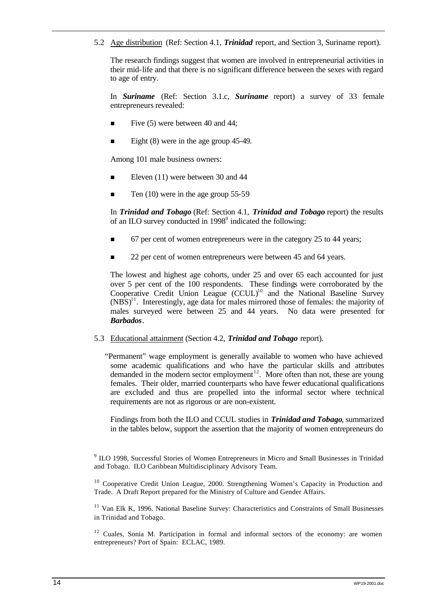5.2 Age distribution (Ref: Section 4.1, *Trinidad* report, and Section 3, Suriname report).

The research findings suggest that women are involved in entrepreneurial activities in their mid-life and that there is no significant difference between the sexes with regard to age of entry.

In *Suriname* (Ref: Section 3.1.c, *Suriname* report) a survey of 33 female entrepreneurs revealed:

- Five (5) were between 40 and 44;
- Eight  $(8)$  were in the age group 45-49.

Among 101 male business owners:

- n Eleven (11) were between 30 and 44
- Ten  $(10)$  were in the age group  $55-59$

In *Trinidad and Tobago* (Ref: Section 4.1, *Trinidad and Tobago* report) the results of an ILO survey conducted in 1998<sup>9</sup> indicated the following:

- n 67 per cent of women entrepreneurs were in the category 25 to 44 years;
- 22 per cent of women entrepreneurs were between 45 and 64 years.

The lowest and highest age cohorts, under 25 and over 65 each accounted for just over 5 per cent of the 100 respondents. These findings were corroborated by the Cooperative Credit Union League  $(CCUL)^{10}$  and the National Baseline Survey  $(NBS)^{11}$ . Interestingly, age data for males mirrored those of females: the majority of males surveyed were between 25 and 44 years. No data were presented for *Barbados*.

#### 5.3 Educational attainment (Section 4.2, *Trinidad and Tobago* report).

"Permanent" wage employment is generally available to women who have achieved some academic qualifications and who have the particular skills and attributes demanded in the modern sector employment<sup>12</sup>. More often than not, these are young females. Their older, married counterparts who have fewer educational qualifications are excluded and thus are propelled into the informal sector where technical requirements are not as rigorous or are non-existent.

Findings from both the ILO and CCUL studies in *Trinidad and Tobago*, summarized in the tables below, support the assertion that the majority of women entrepreneurs do

<sup>9</sup> ILO 1998, Successful Stories of Women Entrepreneurs in Micro and Small Businesses in Trinidad and Tobago. ILO Caribbean Multidisciplinary Advisory Team.

<sup>10</sup> Cooperative Credit Union League, 2000. Strengthening Women's Capacity in Production and Trade. A Draft Report prepared for the Ministry of Culture and Gender Affairs.

<sup>11</sup> Van Elk K, 1996. National Baseline Survey: Characteristics and Constraints of Small Businesses in Trinidad and Tobago.

 $12$  Cuales, Sonia M. Participation in formal and informal sectors of the economy: are women entrepreneurs? Port of Spain: ECLAC, 1989.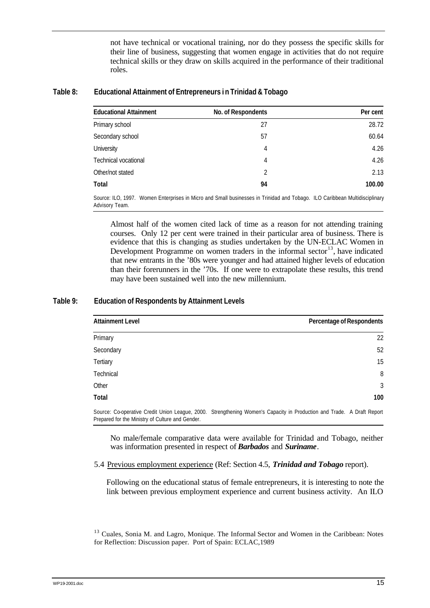not have technical or vocational training, nor do they possess the specific skills for their line of business, suggesting that women engage in activities that do not require technical skills or they draw on skills acquired in the performance of their traditional roles.

#### **Table 8: Educational Attainment of Entrepreneurs i n Trinidad & Tobago**

| <b>Educational Attainment</b> | No. of Respondents | Per cent |
|-------------------------------|--------------------|----------|
| Primary school                | 27                 | 28.72    |
| Secondary school              | 57                 | 60.64    |
| University                    | 4                  | 4.26     |
| Technical vocational          | 4                  | 4.26     |
| Other/not stated              | 2                  | 2.13     |
| Total                         | 94                 | 100.00   |

Source: ILO, 1997. Women Enterprises in Micro and Small businesses in Trinidad and Tobago. ILO Caribbean Multidisciplinary Advisory Team.

Almost half of the women cited lack of time as a reason for not attending training courses. Only 12 per cent were trained in their particular area of business. There is evidence that this is changing as studies undertaken by the UN-ECLAC Women in Development Programme on women traders in the informal sector<sup>13</sup>, have indicated that new entrants in the '80s were younger and had attained higher levels of education than their forerunners in the '70s. If one were to extrapolate these results, this trend may have been sustained well into the new millennium.

#### **Table 9: Education of Respondents by Attainment Levels**

| <b>Attainment Level</b>                          | Percentage of Respondents                                                                                              |
|--------------------------------------------------|------------------------------------------------------------------------------------------------------------------------|
| Primary                                          | 22                                                                                                                     |
| Secondary                                        | 52                                                                                                                     |
| Tertiary                                         | 15                                                                                                                     |
| Technical                                        | 8                                                                                                                      |
| Other                                            | 3                                                                                                                      |
| <b>Total</b>                                     | 100                                                                                                                    |
| Prepared for the Ministry of Culture and Gender. | Source: Co-operative Credit Union League, 2000. Strengthening Women's Capacity in Production and Trade. A Draft Report |

No male/female comparative data were available for Trinidad and Tobago, neither was information presented in respect of *Barbados* and *Suriname*.

5.4 Previous employment experience (Ref: Section 4.5, *Trinidad and Tobago* report).

Following on the educational status of female entrepreneurs, it is interesting to note the link between previous employment experience and current business activity. An ILO

<sup>13</sup> Cuales, Sonia M. and Lagro, Monique. The Informal Sector and Women in the Caribbean: Notes for Reflection: Discussion paper. Port of Spain: ECLAC,1989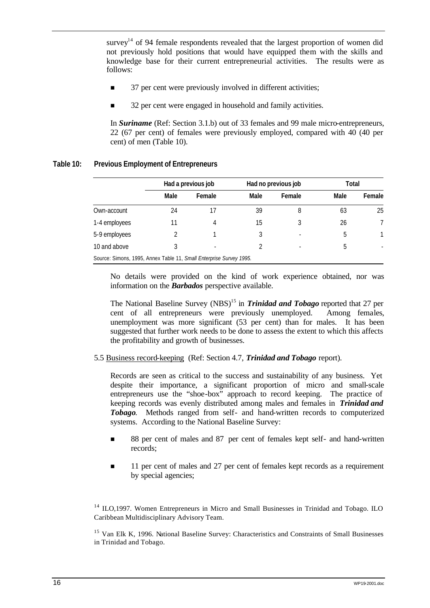survey<sup>14</sup> of 94 female respondents revealed that the largest proportion of women did not previously hold positions that would have equipped them with the skills and knowledge base for their current entrepreneurial activities. The results were as follows:

- **n** 37 per cent were previously involved in different activities;
- 32 per cent were engaged in household and family activities.

In *Suriname* (Ref: Section 3.1.b) out of 33 females and 99 male micro-entrepreneurs, 22 (67 per cent) of females were previously employed, compared with 40 (40 per cent) of men (Table 10).

|               |      | Had a previous job |      | Had no previous job | Total |        |
|---------------|------|--------------------|------|---------------------|-------|--------|
|               | Male | Female             | Male | Female              | Male  | Female |
| Own-account   | 24   |                    | 39   | 8                   | 63    | 25     |
| 1-4 employees | 11   | 4                  | 15   |                     | 26    |        |
| 5-9 employees |      |                    |      |                     | 5     |        |
| 10 and above  | 3    |                    |      |                     | 5     |        |

#### **Table 10: Previous Employment of Entrepreneurs**

No details were provided on the kind of work experience obtained, nor was information on the *Barbados* perspective available.

The National Baseline Survey (NBS)<sup>15</sup> in *Trinidad and Tobago* reported that 27 per cent of all entrepreneurs were previously unemployed. Among females, unemployment was more significant (53 per cent) than for males. It has been suggested that further work needs to be done to assess the extent to which this affects the profitability and growth of businesses.

5.5 Business record-keeping (Ref: Section 4.7, *Trinidad and Tobago* report).

Records are seen as critical to the success and sustainability of any business. Yet despite their importance, a significant proportion of micro and small-scale entrepreneurs use the "shoe-box" approach to record keeping. The practice of keeping records was evenly distributed among males and females in *Trinidad and Tobago*. Methods ranged from self- and hand-written records to computerized systems. According to the National Baseline Survey:

- n 88 per cent of males and 87 per cent of females kept self- and hand-written records;
- **n** 11 per cent of males and 27 per cent of females kept records as a requirement by special agencies;

<sup>14</sup> ILO,1997. Women Entrepreneurs in Micro and Small Businesses in Trinidad and Tobago. ILO Caribbean Multidisciplinary Advisory Team.

<sup>15</sup> Van Elk K, 1996. National Baseline Survey: Characteristics and Constraints of Small Businesses in Trinidad and Tobago.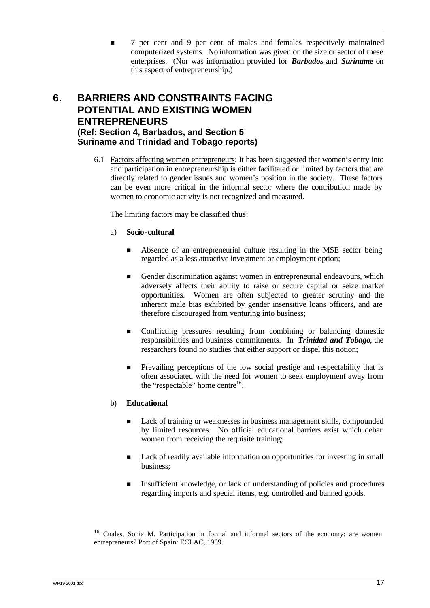n 7 per cent and 9 per cent of males and females respectively maintained computerized systems. No information was given on the size or sector of these enterprises. (Nor was information provided for *Barbados* and *Suriname* on this aspect of entrepreneurship.)

### **6. BARRIERS AND CONSTRAINTS FACING POTENTIAL AND EXISTING WOMEN ENTREPRENEURS (Ref: Section 4, Barbados, and Section 5 Suriname and Trinidad and Tobago reports)**

6.1 Factors affecting women entrepreneurs: It has been suggested that women's entry into and participation in entrepreneurship is either facilitated or limited by factors that are directly related to gender issues and women's position in the society. These factors can be even more critical in the informal sector where the contribution made by women to economic activity is not recognized and measured.

The limiting factors may be classified thus:

#### a) **Socio-cultural**

- n Absence of an entrepreneurial culture resulting in the MSE sector being regarded as a less attractive investment or employment option;
- Gender discrimination against women in entrepreneurial endeavours, which adversely affects their ability to raise or secure capital or seize market opportunities. Women are often subjected to greater scrutiny and the inherent male bias exhibited by gender insensitive loans officers, and are therefore discouraged from venturing into business;
- n Conflicting pressures resulting from combining or balancing domestic responsibilities and business commitments. In *Trinidad and Tobago*, the researchers found no studies that either support or dispel this notion;
- n Prevailing perceptions of the low social prestige and respectability that is often associated with the need for women to seek employment away from the "respectable" home centre $16$ .

#### b) **Educational**

- Lack of training or weaknesses in business management skills, compounded by limited resources. No official educational barriers exist which debar women from receiving the requisite training;
- Lack of readily available information on opportunities for investing in small business;
- n Insufficient knowledge, or lack of understanding of policies and procedures regarding imports and special items, e.g. controlled and banned goods.

<sup>16</sup> Cuales, Sonia M. Participation in formal and informal sectors of the economy: are women entrepreneurs? Port of Spain: ECLAC, 1989.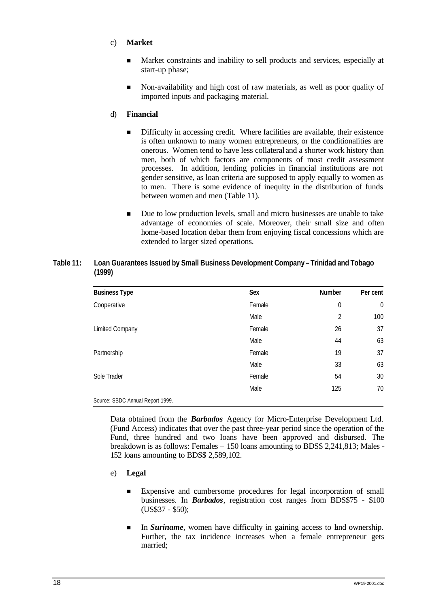- c) **Market**
	- n Market constraints and inability to sell products and services, especially at start-up phase;
	- n Non-availability and high cost of raw materials, as well as poor quality of imported inputs and packaging material.

#### d) **Financial**

- n Difficulty in accessing credit. Where facilities are available, their existence is often unknown to many women entrepreneurs, or the conditionalities are onerous. Women tend to have less collateral and a shorter work history than men, both of which factors are components of most credit assessment processes. In addition, lending policies in financial institutions are not gender sensitive, as loan criteria are supposed to apply equally to women as to men. There is some evidence of inequity in the distribution of funds between women and men (Table 11).
- Due to low production levels, small and micro businesses are unable to take advantage of economies of scale. Moreover, their small size and often home-based location debar them from enjoying fiscal concessions which are extended to larger sized operations.

#### **Table 11: Loan Guarantees Issued by Small Business Development Company – Trinidad and Tobago (1999)**

| <b>Business Type</b>             | Sex    | Number         | Per cent       |
|----------------------------------|--------|----------------|----------------|
| Cooperative                      | Female | 0              | $\overline{0}$ |
|                                  | Male   | $\overline{2}$ | 100            |
| <b>Limited Company</b>           | Female | 26             | 37             |
|                                  | Male   | 44             | 63             |
| Partnership                      | Female | 19             | 37             |
|                                  | Male   | 33             | 63             |
| Sole Trader                      | Female | 54             | 30             |
|                                  | Male   | 125            | 70             |
| Source: SBDC Annual Report 1999. |        |                |                |

Data obtained from the *Barbados* Agency for Micro-Enterprise Development Ltd. (Fund Access) indicates that over the past three-year period since the operation of the Fund, three hundred and two loans have been approved and disbursed. The breakdown is as follows: Females – 150 loans amounting to BDS\$ 2,241,813; Males - 152 loans amounting to BDS\$ 2,589,102.

- e) **Legal**
	- n Expensive and cumbersome procedures for legal incorporation of small businesses. In *Barbados*, registration cost ranges from BDS\$75 - \$100 (US\$37 - \$50);
	- In *Suriname*, women have difficulty in gaining access to land ownership. Further, the tax incidence increases when a female entrepreneur gets married;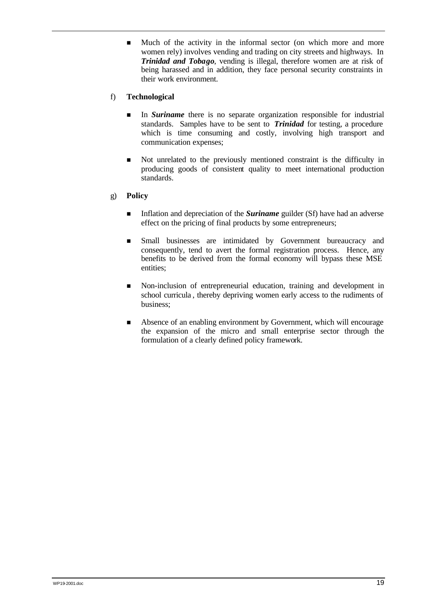n Much of the activity in the informal sector (on which more and more women rely) involves vending and trading on city streets and highways. In *Trinidad and Tobago*, vending is illegal, therefore women are at risk of being harassed and in addition, they face personal security constraints in their work environment.

#### f) **Technological**

- n In *Suriname* there is no separate organization responsible for industrial standards. Samples have to be sent to *Trinidad* for testing, a procedure which is time consuming and costly, involving high transport and communication expenses;
- n Not unrelated to the previously mentioned constraint is the difficulty in producing goods of consistent quality to meet international production standards.

#### g) **Policy**

- **n** Inflation and depreciation of the **Suriname** guilder (Sf) have had an adverse effect on the pricing of final products by some entrepreneurs;
- n Small businesses are intimidated by Government bureaucracy and consequently, tend to avert the formal registration process. Hence, any benefits to be derived from the formal economy will bypass these MSE entities;
- n Non-inclusion of entrepreneurial education, training and development in school curricula , thereby depriving women early access to the rudiments of business;
- Absence of an enabling environment by Government, which will encourage the expansion of the micro and small enterprise sector through the formulation of a clearly defined policy framework.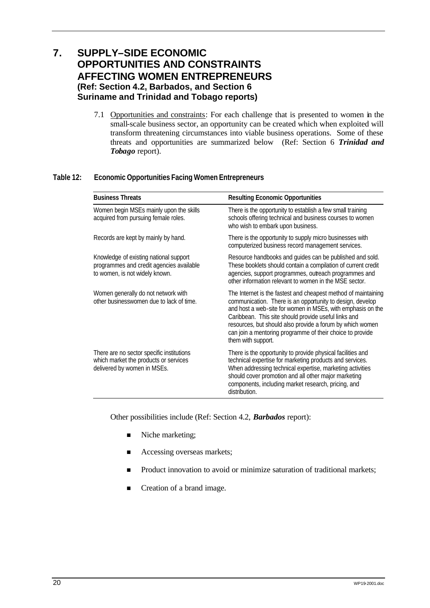## **7. SUPPLY–SIDE ECONOMIC OPPORTUNITIES AND CONSTRAINTS AFFECTING WOMEN ENTREPRENEURS (Ref: Section 4.2, Barbados, and Section 6 Suriname and Trinidad and Tobago reports)**

7.1 Opportunities and constraints: For each challenge that is presented to women in the small-scale business sector, an opportunity can be created which when exploited will transform threatening circumstances into viable business operations. Some of these threats and opportunities are summarized below (Ref: Section 6 *Trinidad and Tobago* report).

#### **Table 12: Economic Opportunities Facing Women Entrepreneurs**

| <b>Business Threats</b>                                                                                              | <b>Resulting Economic Opportunities</b>                                                                                                                                                                                                                                                                                                                                                            |
|----------------------------------------------------------------------------------------------------------------------|----------------------------------------------------------------------------------------------------------------------------------------------------------------------------------------------------------------------------------------------------------------------------------------------------------------------------------------------------------------------------------------------------|
| Women begin MSEs mainly upon the skills<br>acquired from pursuing female roles.                                      | There is the opportunity to establish a few small training<br>schools offering technical and business courses to women<br>who wish to embark upon business.                                                                                                                                                                                                                                        |
| Records are kept by mainly by hand.                                                                                  | There is the opportunity to supply micro businesses with<br>computerized business record management services.                                                                                                                                                                                                                                                                                      |
| Knowledge of existing national support<br>programmes and credit agencies available<br>to women, is not widely known. | Resource handbooks and guides can be published and sold.<br>These booklets should contain a compilation of current credit<br>agencies, support programmes, outreach programmes and<br>other information relevant to women in the MSF sector.                                                                                                                                                       |
| Women generally do not network with<br>other businesswomen due to lack of time.                                      | The Internet is the fastest and cheapest method of maintaining<br>communication. There is an opportunity to design, develop<br>and host a web-site for women in MSEs, with emphasis on the<br>Caribbean. This site should provide useful links and<br>resources, but should also provide a forum by which women<br>can join a mentoring programme of their choice to provide<br>them with support. |
| There are no sector specific institutions<br>which market the products or services<br>delivered by women in MSEs.    | There is the opportunity to provide physical facilities and<br>technical expertise for marketing products and services.<br>When addressing technical expertise, marketing activities<br>should cover promotion and all other major marketing<br>components, including market research, pricing, and<br>distribution.                                                                               |

Other possibilities include (Ref: Section 4.2, *Barbados* report):

- Niche marketing;
- Accessing overseas markets;
- **n** Product innovation to avoid or minimize saturation of traditional markets;
- Creation of a brand image.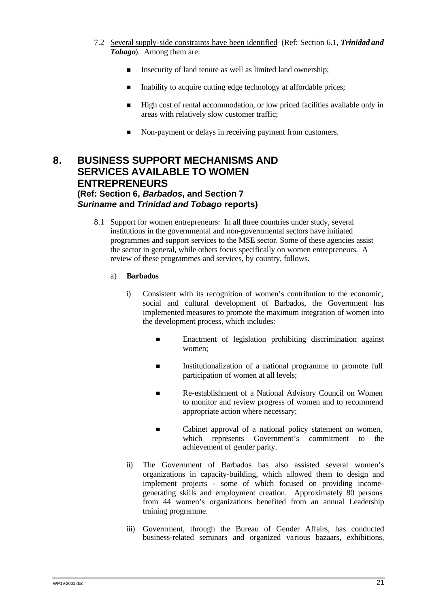- 7.2 Several supply-side constraints have been identified (Ref: Section 6.1, *Trinidad and Tobago*). Among them are:
	- **n** Insecurity of land tenure as well as limited land ownership;
	- Inability to acquire cutting edge technology at affordable prices;
	- n High cost of rental accommodation, or low priced facilities available only in areas with relatively slow customer traffic;
	- Non-payment or delays in receiving payment from customers.

### **8. BUSINESS SUPPORT MECHANISMS AND SERVICES AVAILABLE TO WOMEN ENTREPRENEURS (Ref: Section 6,** *Barbados***, and Section 7**

# *Suriname* **and** *Trinidad and Tobago* **reports)**

- 8.1 Support for women entrepreneurs: In all three countries under study, several institutions in the governmental and non-governmental sectors have initiated programmes and support services to the MSE sector. Some of these agencies assist the sector in general, while others focus specifically on women entrepreneurs. A review of these programmes and services, by country, follows.
	- a) **Barbados**
		- i) Consistent with its recognition of women's contribution to the economic, social and cultural development of Barbados, the Government has implemented measures to promote the maximum integration of women into the development process, which includes:
			- n Enactment of legislation prohibiting discrimination against women;
			- **n** Institutionalization of a national programme to promote full participation of women at all levels;
			- n Re-establishment of a National Advisory Council on Women to monitor and review progress of women and to recommend appropriate action where necessary;
			- Cabinet approval of a national policy statement on women, which represents Government's commitment to the achievement of gender parity.
		- ii) The Government of Barbados has also assisted several women's organizations in capacity-building, which allowed them to design and implement projects - some of which focused on providing incomegenerating skills and employment creation. Approximately 80 persons from 44 women's organizations benefited from an annual Leadership training programme.
		- iii) Government, through the Bureau of Gender Affairs, has conducted business-related seminars and organized various bazaars, exhibitions,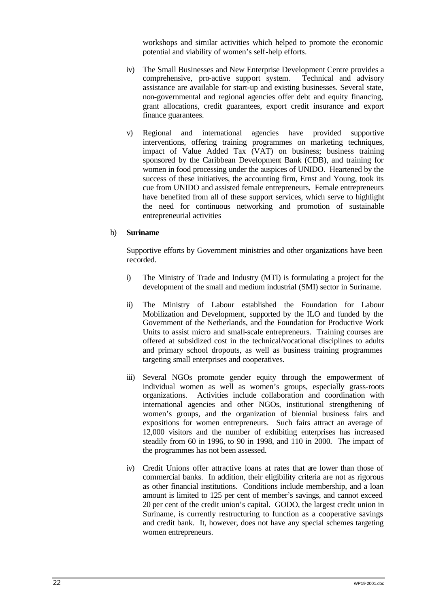workshops and similar activities which helped to promote the economic potential and viability of women's self-help efforts.

- iv) The Small Businesses and New Enterprise Development Centre provides a comprehensive, pro-active support system. Technical and advisory assistance are available for start-up and existing businesses. Several state, non-governmental and regional agencies offer debt and equity financing, grant allocations, credit guarantees, export credit insurance and export finance guarantees.
- v) Regional and international agencies have provided supportive interventions, offering training programmes on marketing techniques, impact of Value Added Tax (VAT) on business; business training sponsored by the Caribbean Development Bank (CDB), and training for women in food processing under the auspices of UNIDO. Heartened by the success of these initiatives, the accounting firm, Ernst and Young, took its cue from UNIDO and assisted female entrepreneurs. Female entrepreneurs have benefited from all of these support services, which serve to highlight the need for continuous networking and promotion of sustainable entrepreneurial activities

#### b) **Suriname**

Supportive efforts by Government ministries and other organizations have been recorded.

- i) The Ministry of Trade and Industry (MTI) is formulating a project for the development of the small and medium industrial (SMI) sector in Suriname.
- ii) The Ministry of Labour established the Foundation for Labour Mobilization and Development, supported by the ILO and funded by the Government of the Netherlands, and the Foundation for Productive Work Units to assist micro and small-scale entrepreneurs. Training courses are offered at subsidized cost in the technical/vocational disciplines to adults and primary school dropouts, as well as business training programmes targeting small enterprises and cooperatives.
- iii) Several NGOs promote gender equity through the empowerment of individual women as well as women's groups, especially grass-roots organizations. Activities include collaboration and coordination with international agencies and other NGOs, institutional strengthening of women's groups, and the organization of biennial business fairs and expositions for women entrepreneurs. Such fairs attract an average of 12,000 visitors and the number of exhibiting enterprises has increased steadily from 60 in 1996, to 90 in 1998, and 110 in 2000. The impact of the programmes has not been assessed.
- iv) Credit Unions offer attractive loans at rates that are lower than those of commercial banks. In addition, their eligibility criteria are not as rigorous as other financial institutions. Conditions include membership, and a loan amount is limited to 125 per cent of member's savings, and cannot exceed 20 per cent of the credit union's capital. GODO, the largest credit union in Suriname, is currently restructuring to function as a cooperative savings and credit bank. It, however, does not have any special schemes targeting women entrepreneurs.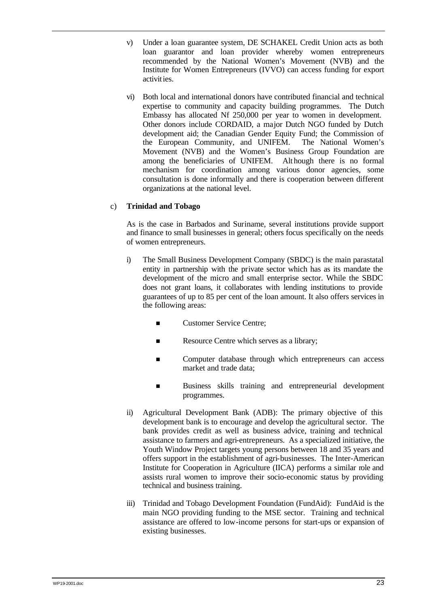- v) Under a loan guarantee system, DE SCHAKEL Credit Union acts as both loan guarantor and loan provider whereby women entrepreneurs recommended by the National Women's Movement (NVB) and the Institute for Women Entrepreneurs (IVVO) can access funding for export activities.
- vi) Both local and international donors have contributed financial and technical expertise to community and capacity building programmes. The Dutch Embassy has allocated Nf 250,000 per year to women in development. Other donors include CORDAID, a major Dutch NGO funded by Dutch development aid; the Canadian Gender Equity Fund; the Commission of the European Community, and UNIFEM. The National Women's Movement (NVB) and the Women's Business Group Foundation are among the beneficiaries of UNIFEM. Although there is no formal mechanism for coordination among various donor agencies, some consultation is done informally and there is cooperation between different organizations at the national level.

#### c) **Trinidad and Tobago**

As is the case in Barbados and Suriname, several institutions provide support and finance to small businesses in general; others focus specifically on the needs of women entrepreneurs.

- i) The Small Business Development Company (SBDC) is the main parastatal entity in partnership with the private sector which has as its mandate the development of the micro and small enterprise sector. While the SBDC does not grant loans, it collaborates with lending institutions to provide guarantees of up to 85 per cent of the loan amount. It also offers services in the following areas:
	- Customer Service Centre;
	- **n** Resource Centre which serves as a library;
	- Computer database through which entrepreneurs can access market and trade data;
	- **n** Business skills training and entrepreneurial development programmes.
- ii) Agricultural Development Bank (ADB): The primary objective of this development bank is to encourage and develop the agricultural sector. The bank provides credit as well as business advice, training and technical assistance to farmers and agri-entrepreneurs. As a specialized initiative, the Youth Window Project targets young persons between 18 and 35 years and offers support in the establishment of agri-businesses. The Inter-American Institute for Cooperation in Agriculture (IICA) performs a similar role and assists rural women to improve their socio-economic status by providing technical and business training.
- iii) Trinidad and Tobago Development Foundation (FundAid): FundAid is the main NGO providing funding to the MSE sector. Training and technical assistance are offered to low-income persons for start-ups or expansion of existing businesses.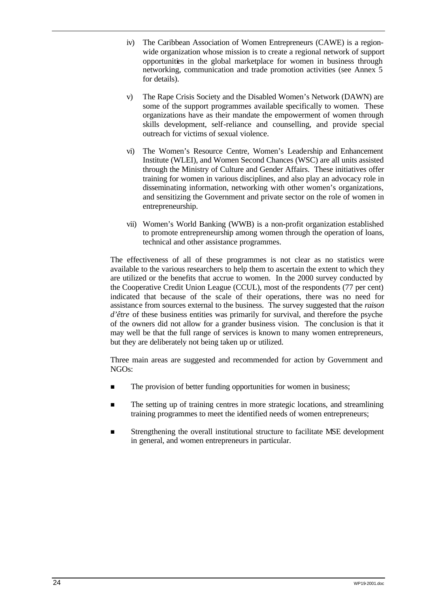- iv) The Caribbean Association of Women Entrepreneurs (CAWE) is a regionwide organization whose mission is to create a regional network of support opportunities in the global marketplace for women in business through networking, communication and trade promotion activities (see Annex 5 for details).
- v) The Rape Crisis Society and the Disabled Women's Network (DAWN) are some of the support programmes available specifically to women. These organizations have as their mandate the empowerment of women through skills development, self-reliance and counselling, and provide special outreach for victims of sexual violence.
- vi) The Women's Resource Centre, Women's Leadership and Enhancement Institute (WLEI), and Women Second Chances (WSC) are all units assisted through the Ministry of Culture and Gender Affairs. These initiatives offer training for women in various disciplines, and also play an advocacy role in disseminating information, networking with other women's organizations, and sensitizing the Government and private sector on the role of women in entrepreneurship.
- vii) Women's World Banking (WWB) is a non-profit organization established to promote entrepreneurship among women through the operation of loans, technical and other assistance programmes.

The effectiveness of all of these programmes is not clear as no statistics were available to the various researchers to help them to ascertain the extent to which they are utilized or the benefits that accrue to women. In the 2000 survey conducted by the Cooperative Credit Union League (CCUL), most of the respondents (77 per cent) indicated that because of the scale of their operations, there was no need for assistance from sources external to the business. The survey suggested that the *raison d'être* of these business entities was primarily for survival, and therefore the psyche of the owners did not allow for a grander business vision. The conclusion is that it may well be that the full range of services is known to many women entrepreneurs, but they are deliberately not being taken up or utilized.

Three main areas are suggested and recommended for action by Government and NGOs:

- The provision of better funding opportunities for women in business;
- n The setting up of training centres in more strategic locations, and streamlining training programmes to meet the identified needs of women entrepreneurs;
- n Strengthening the overall institutional structure to facilitate MSE development in general, and women entrepreneurs in particular.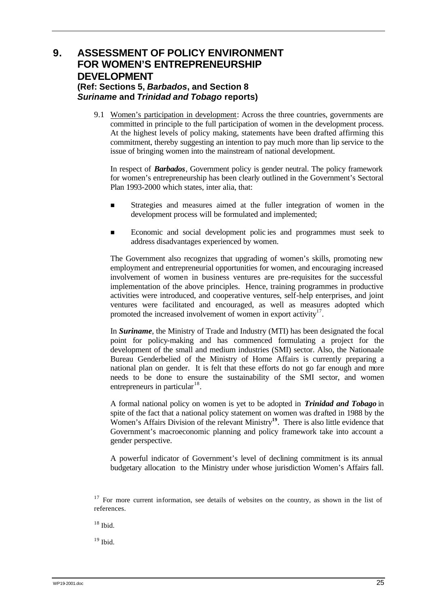### **9. ASSESSMENT OF POLICY ENVIRONMENT FOR WOMEN'S ENTREPRENEURSHIP DEVELOPMENT (Ref: Sections 5,** *Barbados***, and Section 8**  *Suriname* **and** *Trinidad and Tobago* **reports)**

9.1 Women's participation in development: Across the three countries, governments are committed in principle to the full participation of women in the development process. At the highest levels of policy making, statements have been drafted affirming this commitment, thereby suggesting an intention to pay much more than lip service to the issue of bringing women into the mainstream of national development.

In respect of *Barbados*, Government policy is gender neutral. The policy framework for women's entrepreneurship has been clearly outlined in the Government's Sectoral Plan 1993-2000 which states, inter alia, that:

- n Strategies and measures aimed at the fuller integration of women in the development process will be formulated and implemented;
- n Economic and social development polic ies and programmes must seek to address disadvantages experienced by women.

The Government also recognizes that upgrading of women's skills, promoting new employment and entrepreneurial opportunities for women, and encouraging increased involvement of women in business ventures are pre-requisites for the successful implementation of the above principles. Hence, training programmes in productive activities were introduced, and cooperative ventures, self-help enterprises, and joint ventures were facilitated and encouraged, as well as measures adopted which promoted the increased involvement of women in export activity $17$ .

In *Suriname*, the Ministry of Trade and Industry (MTI) has been designated the focal point for policy-making and has commenced formulating a project for the development of the small and medium industries (SMI) sector. Also, the Nationaale Bureau Genderbelied of the Ministry of Home Affairs is currently preparing a national plan on gender. It is felt that these efforts do not go far enough and more needs to be done to ensure the sustainability of the SMI sector, and women entrepreneurs in particular<sup>18</sup>.

A formal national policy on women is yet to be adopted in *Trinidad and Tobago* in spite of the fact that a national policy statement on women was drafted in 1988 by the Women's Affairs Division of the relevant Ministry**<sup>19</sup>**. There is also little evidence that Government's macroeconomic planning and policy framework take into account a gender perspective.

A powerful indicator of Government's level of declining commitment is its annual budgetary allocation to the Ministry under whose jurisdiction Women's Affairs fall.

 $19$  Ibid.

<sup>&</sup>lt;sup>17</sup> For more current information, see details of websites on the country, as shown in the list of references.

<sup>18</sup> Ibid.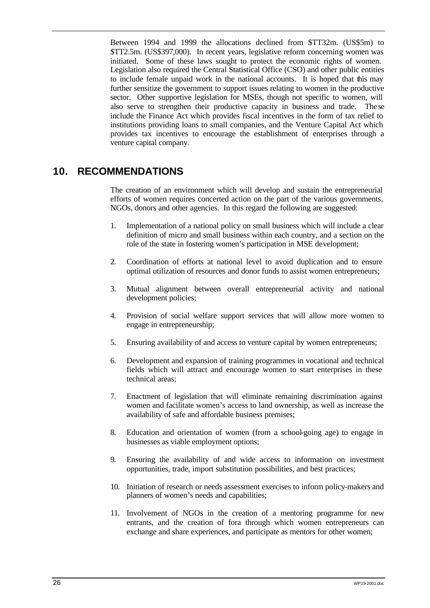Between 1994 and 1999 the allocations declined from \$TT32m. (US\$5m) to \$TT2.5m. (US\$397,000). In recent years, legislative reform concerning women was initiated. Some of these laws sought to protect the economic rights of women. Legislation also required the Central Statistical Office (CSO) and other public entities to include female unpaid work in the national accounts. It is hoped that this may further sensitize the government to support issues relating to women in the productive sector. Other supportive legislation for MSEs, though not specific to women, will also serve to strengthen their productive capacity in business and trade. The se include the Finance Act which provides fiscal incentives in the form of tax relief to institutions providing loans to small companies, and the Venture Capital Act which provides tax incentives to encourage the establishment of enterprises through a venture capital company.

### **10. RECOMMENDATIONS**

The creation of an environment which will develop and sustain the entrepreneurial efforts of women requires concerted action on the part of the various governments, NGOs, donors and other agencies. In this regard the following are suggested:

- 1. Implementation of a national policy on small business which will include a clear definition of micro and small business within each country, and a section on the role of the state in fostering women's participation in MSE development;
- 2. Coordination of efforts at national level to avoid duplication and to ensure optimal utilization of resources and donor funds to assist women entrepreneurs;
- 3. Mutual alignment between overall entrepreneurial activity and national development policies;
- 4. Provision of social welfare support services that will allow more women to engage in entrepreneurship;
- 5. Ensuring availability of and access to venture capital by women entrepreneurs;
- 6. Development and expansion of training programmes in vocational and technical fields which will attract and encourage women to start enterprises in these technical areas;
- 7. Enactment of legislation that will eliminate remaining discrimination against women and facilitate women's access to land ownership, as well as increase the availability of safe and affordable business premises;
- 8. Education and orientation of women (from a school-going age) to engage in businesses as viable employment options;
- 9. Ensuring the availability of and wide access to information on investment opportunities, trade, import substitution possibilities, and best practices;
- 10. Initiation of research or needs assessment exercises to inform policy-makers and planners of women's needs and capabilities;
- 11. Involvement of NGOs in the creation of a mentoring programme for new entrants, and the creation of fora through which women entrepreneurs can exchange and share experiences, and participate as mentors for other women;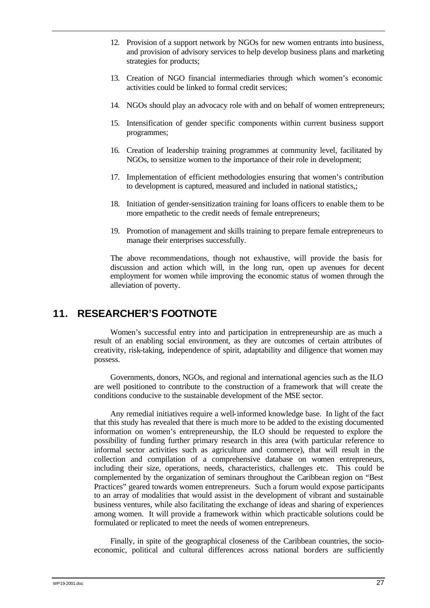- 12. Provision of a support network by NGOs for new women entrants into business, and provision of advisory services to help develop business plans and marketing strategies for products;
- 13. Creation of NGO financial intermediaries through which women's economic activities could be linked to formal credit services;
- 14. NGOs should play an advocacy role with and on behalf of women entrepreneurs;
- 15. Intensification of gender specific components within current business support programmes;
- 16. Creation of leadership training programmes at community level, facilitated by NGOs, to sensitize women to the importance of their role in development;
- 17. Implementation of efficient methodologies ensuring that women's contribution to development is captured, measured and included in national statistics,;
- 18. Initiation of gender-sensitization training for loans officers to enable them to be more empathetic to the credit needs of female entrepreneurs;
- 19. Promotion of management and skills training to prepare female entrepreneurs to manage their enterprises successfully.

The above recommendations, though not exhaustive, will provide the basis for discussion and action which will, in the long run, open up avenues for decent employment for women while improving the economic status of women through the alleviation of poverty.

# **11. RESEARCHER'S FOOTNOTE**

Women's successful entry into and participation in entrepreneurship are as much a result of an enabling social environment, as they are outcomes of certain attributes of creativity, risk-taking, independence of spirit, adaptability and diligence that women may possess.

Governments, donors, NGOs, and regional and international agencies such as the ILO are well positioned to contribute to the construction of a framework that will create the conditions conducive to the sustainable development of the MSE sector.

Any remedial initiatives require a well-informed knowledge base. In light of the fact that this study has revealed that there is much more to be added to the existing documented information on women's entrepreneurship, the ILO should be requested to explore the possibility of funding further primary research in this area (with particular reference to informal sector activities such as agriculture and commerce), that will result in the collection and compilation of a comprehensive database on women entrepreneurs, including their size, operations, needs, characteristics, challenges etc. This could be complemented by the organization of seminars throughout the Caribbean region on "Best Practices" geared towards women entrepreneurs. Such a forum would expose participants to an array of modalities that would assist in the development of vibrant and sustainable business ventures, while also facilitating the exchange of ideas and sharing of experiences among women. It will provide a framework within which practicable solutions could be formulated or replicated to meet the needs of women entrepreneurs.

Finally, in spite of the geographical closeness of the Caribbean countries, the socioeconomic, political and cultural differences across national borders are sufficiently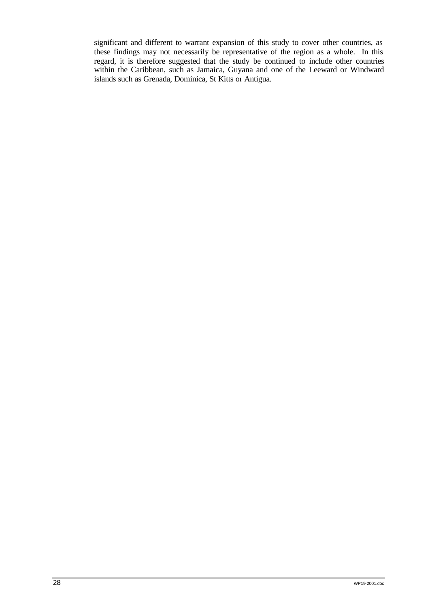significant and different to warrant expansion of this study to cover other countries, as these findings may not necessarily be representative of the region as a whole. In this regard, it is therefore suggested that the study be continued to include other countries within the Caribbean, such as Jamaica, Guyana and one of the Leeward or Windward islands such as Grenada, Dominica, St Kitts or Antigua.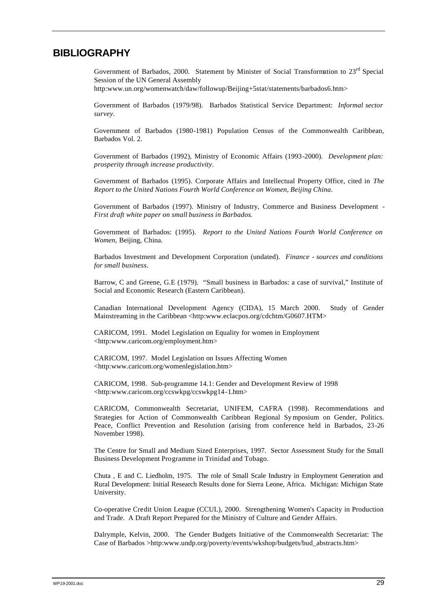# **BIBLIOGRAPHY**

Government of Barbados, 2000. Statement by Minister of Social Transformation to 23rd Special Session of the UN General Assembly

http:www.un.org/womenwatch/daw/followup/Beijing+5stat/statements/barbados6.htm>

Government of Barbados (1979/98). Barbados Statistical Service Department: *Informal sector survey*.

Government of Barbados (1980-1981) Population Census of the Commonwealth Caribbean, Barbados Vol. 2.

Government of Barbados (1992), Ministry of Economic Affairs (1993-2000). *Development plan: prosperity through increase productivity*.

Government of Barbados (1995). Corporate Affairs and Intellectual Property Office, cited in *The Report to the United Nations Fourth World Conference on Women, Beijing China*.

Government of Barbados (1997). Ministry of Industry, Commerce and Business Development - *First draft white paper on small business in Barbados*.

Government of Barbados: (1995). *Report to the United Nations Fourth World Conference on Women*, Beijing, China.

Barbados Investment and Development Corporation (undated). *Finance - sources and conditions for small business*.

Barrow, C and Greene, G.E (1979). "Small business in Barbados: a case of survival," Institute of Social and Economic Research (Eastern Caribbean).

Canadian International Development Agency (CIDA), 15 March 2000. Study of Gender Mainstreaming in the Caribbean <http:www.eclacpos.org/cdchtm/G0607.HTM>

CARICOM, 1991. Model Legislation on Equality for women in Employment <http:www.caricom.org/employment.htm>

CARICOM, 1997. Model Legislation on Issues Affecting Women <http:www.caricom.org/womenlegislation.htm>

CARICOM, 1998. Sub-programme 14.1: Gender and Development Review of 1998 <http:www.caricom.org/ccswkpg/ccswkpg14-1.htm>

CARICOM, Commonwealth Secretariat, UNIFEM, CAFRA (1998). Recommendations and Strategies for Action of Commonwealth Caribbean Regional Sy mposium on Gender, Politics. Peace, Conflict Prevention and Resolution (arising from conference held in Barbados, 23-26 November 1998).

The Centre for Small and Medium Sized Enterprises, 1997. Sector Assessment Study for the Small Business Development Programme in Trinidad and Tobago.

Chuta , E and C. Liedholm, 1975. The role of Small Scale Industry in Employment Generation and Rural Development: Initial Research Results done for Sierra Leone, Africa. Michigan: Michigan State University.

Co-operative Credit Union League (CCUL), 2000. Strengthening Women's Capacity in Production and Trade. A Draft Report Prepared for the Ministry of Culture and Gender Affairs.

Dalrymple, Kelvin, 2000. The Gender Budgets Initiative of the Commonwealth Secretariat: The Case of Barbados >http:www.undp.org/poverty/events/wkshop/budgets/bud\_abstracts.htm>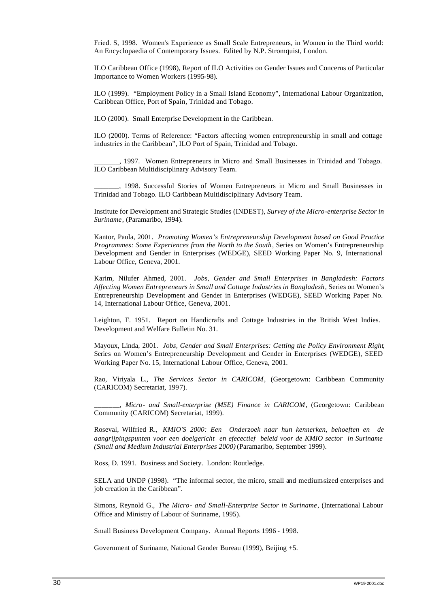Fried. S, 1998. Women's Experience as Small Scale Entrepreneurs, in Women in the Third world: An Encyclopaedia of Contemporary Issues. Edited by N.P. Stromquist, London.

ILO Caribbean Office (1998), Report of ILO Activities on Gender Issues and Concerns of Particular Importance to Women Workers (1995-98).

ILO (1999). "Employment Policy in a Small Island Economy", International Labour Organization, Caribbean Office, Port of Spain, Trinidad and Tobago.

ILO (2000). Small Enterprise Development in the Caribbean.

ILO (2000). Terms of Reference: "Factors affecting women entrepreneurship in small and cottage industries in the Caribbean", ILO Port of Spain, Trinidad and Tobago.

\_\_\_\_\_\_\_, 1997. Women Entrepreneurs in Micro and Small Businesses in Trinidad and Tobago. ILO Caribbean Multidisciplinary Advisory Team.

\_\_\_\_\_\_\_, 1998. Successful Stories of Women Entrepreneurs in Micro and Small Businesses in Trinidad and Tobago. ILO Caribbean Multidisciplinary Advisory Team.

Institute for Development and Strategic Studies (INDEST), *Survey of the Micro-enterprise Sector in Suriname*, (Paramaribo, 1994).

Kantor, Paula, 2001. *Promoting Women's Entrepreneurship Development based on Good Practice Programmes: Some Experiences from the North to the South*, Series on Women's Entrepreneurship Development and Gender in Enterprises (WEDGE), SEED Working Paper No. 9, International Labour Office, Geneva, 2001.

Karim, Nilufer Ahmed, 2001. *Jobs, Gender and Small Enterprises in Bangladesh: Factors Affecting Women Entrepreneurs in Small and Cottage Industries in Bangladesh*, Series on Women's Entrepreneurship Development and Gender in Enterprises (WEDGE), SEED Working Paper No. 14, International Labour Office, Geneva, 2001.

Leighton, F. 1951. Report on Handicrafts and Cottage Industries in the British West Indies. Development and Welfare Bulletin No. 31.

Mayoux, Linda, 2001. *Jobs, Gender and Small Enterprises: Getting the Policy Environment Right*, Series on Women's Entrepreneurship Development and Gender in Enterprises (WEDGE), SEED Working Paper No. 15, International Labour Office, Geneva, 2001.

Rao, Viriyala L., *The Services Sector in CARICOM*, (Georgetown: Caribbean Community (CARICOM) Secretariat, 1997).

\_\_\_\_\_\_\_, *Micro- and Small-enterprise (MSE) Finance in CARICOM*, (Georgetown: Caribbean Community (CARICOM) Secretariat, 1999).

Roseval, Wilfried R., *KMIO'S 2000: Een Onderzoek naar hun kennerken, behoeften en de aangrijpingspunten voor een doelgericht en efecectief beleid voor de KMIO sector in Suriname (Small and Medium Industrial Enterprises 2000)* (Paramaribo, September 1999).

Ross, D. 1991. Business and Society. London: Routledge.

SELA and UNDP (1998). "The informal sector, the micro, small and medium-sized enterprises and job creation in the Caribbean".

Simons, Reynold G., *The Micro- and Small-Enterprise Sector in Suriname*, (International Labour Office and Ministry of Labour of Suriname, 1995).

Small Business Development Company. Annual Reports 1996 - 1998.

Government of Suriname, National Gender Bureau (1999), Beijing +5.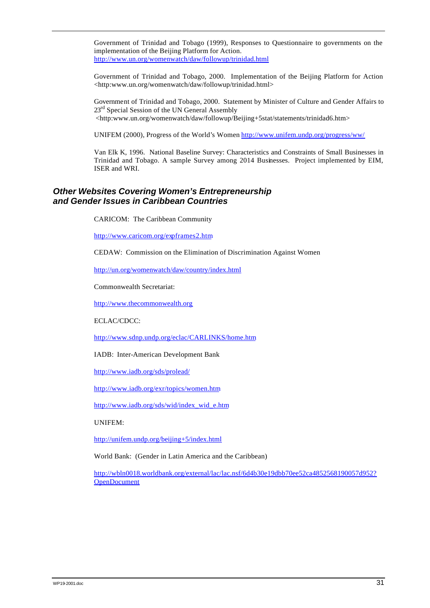Government of Trinidad and Tobago (1999), Responses to Questionnaire to governments on the implementation of the Beijing Platform for Action. http://www.un.org/womenwatch/daw/followup/trinidad.html

Government of Trinidad and Tobago, 2000. Implementation of the Beijing Platform for Action <http:www.un.org/womenwatch/daw/followup/trinidad.html>

Government of Trinidad and Tobago, 2000. Statement by Minister of Culture and Gender Affairs to 23<sup>rd</sup> Special Session of the UN General Assembly <http:www.un.org/womenwatch/daw/followup/Beijing+5stat/statements/trinidad6.htm>

UNIFEM (2000), Progress of the World's Women http://www.unifem.undp.org/progress/ww/

Van Elk K, 1996. National Baseline Survey: Characteristics and Constraints of Small Businesses in Trinidad and Tobago. A sample Survey among 2014 Businesses. Project implemented by EIM, ISER and WRI.

## *Other Websites Covering Women's Entrepreneurship and Gender Issues in Caribbean Countries*

CARICOM: The Caribbean Community

http://www.caricom.org/expframes2.htm

CEDAW: Commission on the Elimination of Discrimination Against Women

http://un.org/womenwatch/daw/country/index.html

Commonwealth Secretariat:

http://www.thecommonwealth.org

ECLAC/CDCC:

http://www.sdnp.undp.org/eclac/CARLINKS/home.htm

IADB: Inter-American Development Bank

http://www.iadb.org/sds/prolead/

http://www.iadb.org/exr/topics/women.htm

http://www.iadb.org/sds/wid/index\_wid\_e.htm

UNIFEM:

http://unifem.undp.org/beijing+5/index.html

World Bank: (Gender in Latin America and the Caribbean)

http://wbln0018.worldbank.org/external/lac/lac.nsf/6d4b30e19dbb70ee52ca4852568190057d952? OpenDocument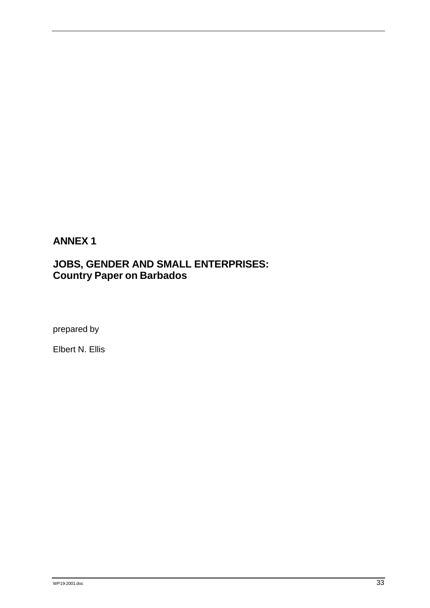# **ANNEX 1**

# **JOBS, GENDER AND SMALL ENTERPRISES: Country Paper on Barbados**

prepared by

Elbert N. Ellis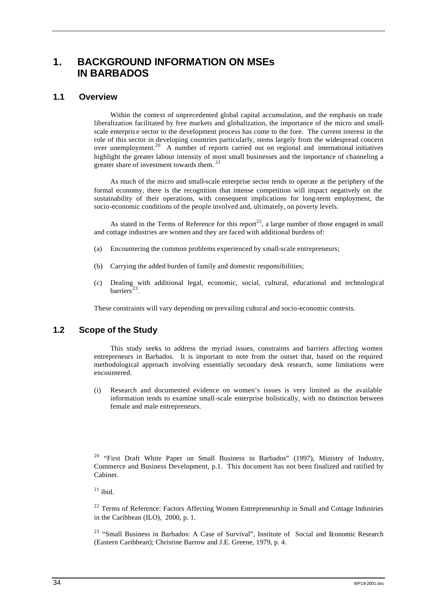# **1. BACKGROUND INFORMATION ON MSEs IN BARBADOS**

## **1.1 Overview**

Within the context of unprecedented global capital accumulation, and the emphasis on trade liberalization facilitated by free markets and globalization, the importance of the micro and smallscale enterpris e sector to the development process has come to the fore. The current interest in the role of this sector in developing countries particularly, stems largely from the widespread concern over unemployment.<sup>20</sup> A number of reports carried out on regional and international initiatives highlight the greater labour intensity of most small businesses and the importance of channeling a greater share of investment towards them.<sup>21</sup>

As much of the micro and small-scale enterprise sector tends to operate at the periphery of the formal economy, there is the recognition that intense competition will impact negatively on the sustainability of their operations, with consequent implications for long-term employment, the socio-economic conditions of the people involved and, ultimately, on poverty levels.

As stated in the Terms of Reference for this report<sup>22</sup>, a large number of those engaged in small and cottage industries are women and they are faced with additional burdens of:

- (a) Encountering the common problems experienced by small-scale entrepreneurs;
- (b) Carrying the added burden of family and domestic responsibilities;
- (c) Dealing with additional legal, economic, social, cultural, educational and technological  $barrier^{\frac{23}{3}}$ .

These constraints will vary depending on prevailing cultural and socio-economic contexts.

## **1.2 Scope of the Study**

This study seeks to address the myriad issues, constraints and barriers affecting women entrepreneurs in Barbados. It is important to note from the outset that, based on the required methodological approach involving essentially secondary desk research, some limitations were encountered.

(i) Research and documented evidence on women's issues is very limited as the available information tends to examine small-scale enterprise holistically, with no distinction between female and male entrepreneurs.

<sup>20</sup> "First Draft White Paper on Small Business in Barbados" (1997), Ministry of Industry, Commerce and Business Development, p.1. This document has not been finalized and ratified by Cabinet.

 $^{21}$  ibid.

 $2<sup>22</sup>$  Terms of Reference: Factors Affecting Women Entrepreneurship in Small and Cottage Industries in the Caribbean (ILO), 2000, p. 1.

<sup>23</sup> "Small Business in Barbados: A Case of Survival", Institute of Social and Economic Research (Eastern Caribbean); Christine Barrow and J.E. Greene, 1979, p. 4.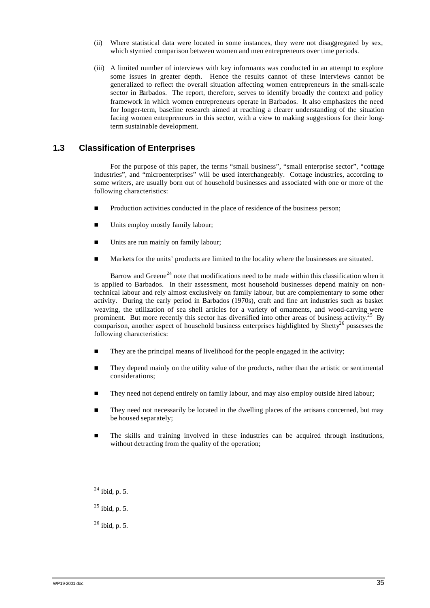- (ii) Where statistical data were located in some instances, they were not disaggregated by sex, which stymied comparison between women and men entrepreneurs over time periods.
- (iii) A limited number of interviews with key informants was conducted in an attempt to explore some issues in greater depth. Hence the results cannot of these interviews cannot be generalized to reflect the overall situation affecting women entrepreneurs in the small-scale sector in Barbados. The report, therefore, serves to identify broadly the context and policy framework in which women entrepreneurs operate in Barbados. It also emphasizes the need for longer-term, baseline research aimed at reaching a clearer understanding of the situation facing women entrepreneurs in this sector, with a view to making suggestions for their longterm sustainable development.

## **1.3 Classification of Enterprises**

For the purpose of this paper, the terms "small business", "small enterprise sector", "cottage industries", and "microenterprises" will be used interchangeably. Cottage industries, according to some writers, are usually born out of household businesses and associated with one or more of the following characteristics:

- Production activities conducted in the place of residence of the business person;
- Units employ mostly family labour;
- Units are run mainly on family labour;
- n Markets for the units' products are limited to the locality where the businesses are situated.

Barrow and Greene<sup>24</sup> note that modifications need to be made within this classification when it is applied to Barbados. In their assessment, most household businesses depend mainly on nontechnical labour and rely almost exclusively on family labour, but are complementary to some other activity. During the early period in Barbados (1970s), craft and fine art industries such as basket weaving, the utilization of sea shell articles for a variety of ornaments, and wood-carving were prominent. But more recently this sector has diversified into other areas of business activity.<sup>25</sup> By comparison, another aspect of household business enterprises highlighted by Shetty<sup>26</sup> possesses the following characteristics:

- They are the principal means of livelihood for the people engaged in the activity;
- n They depend mainly on the utility value of the products, rather than the artistic or sentimental considerations;
- They need not depend entirely on family labour, and may also employ outside hired labour;
- n They need not necessarily be located in the dwelling places of the artisans concerned, but may be housed separately;
- n The skills and training involved in these industries can be acquired through institutions, without detracting from the quality of the operation;

 $24$  ibid, p. 5.

<sup>25</sup> ibid, p. 5.

 $26$  ibid, p. 5.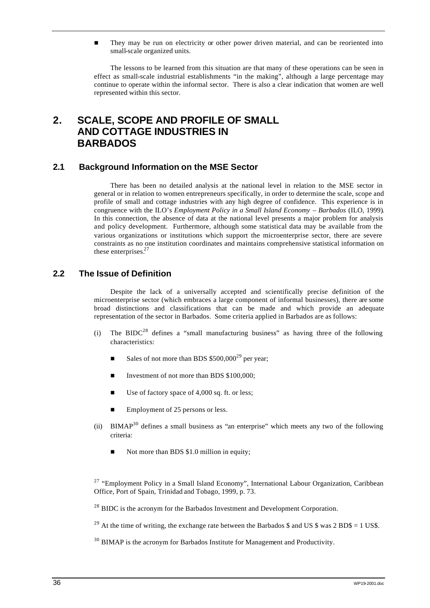**n** They may be run on electricity or other power driven material, and can be reoriented into small-scale organized units.

The lessons to be learned from this situation are that many of these operations can be seen in effect as small-scale industrial establishments "in the making", although a large percentage may continue to operate within the informal sector. There is also a clear indication that women are well represented within this sector.

# **2. SCALE, SCOPE AND PROFILE OF SMALL AND COTTAGE INDUSTRIES IN BARBADOS**

## **2.1 Background Information on the MSE Sector**

There has been no detailed analysis at the national level in relation to the MSE sector in general or in relation to women entrepreneurs specifically, in order to determine the scale, scope and profile of small and cottage industries with any high degree of confidence. This experience is in congruence with the ILO's *Employment Policy in a Small Island Economy – Barbados* (ILO, 1999)*.* In this connection, the absence of data at the national level presents a major problem for analysis and policy development. Furthermore, although some statistical data may be available from the various organizations or institutions which support the microenterprise sector, there are severe constraints as no one institution coordinates and maintains comprehensive statistical information on these enterprises.<sup>27</sup>

## **2.2 The Issue of Definition**

Despite the lack of a universally accepted and scientifically precise definition of the microenterprise sector (which embraces a large component of informal businesses), there are some broad distinctions and classifications that can be made and which provide an adequate representation of the sector in Barbados. Some criteria applied in Barbados are as follows:

- (i) The BIDC<sup>28</sup> defines a "small manufacturing business" as having three of the following characteristics:
	- Sales of not more than BDS  $$500,000^{29}$  per year;
	- Investment of not more than BDS \$100,000:
	- $\blacksquare$  Use of factory space of 4,000 sq. ft. or less;
	- Employment of 25 persons or less.
- (ii) BIMAP<sup>30</sup> defines a small business as "an enterprise" which meets any two of the following criteria:
	- Not more than BDS \$1.0 million in equity;

 $27$  "Employment Policy in a Small Island Economy", International Labour Organization, Caribbean Office, Port of Spain, Trinidad and Tobago, 1999, p. 73.

 $^{28}$  BIDC is the acronym for the Barbados Investment and Development Corporation.

<sup>29</sup> At the time of writing, the exchange rate between the Barbados  $\frac{1}{2}$  and US  $\frac{1}{2}$  was 2 BD\$ = 1 US\$.

 $30$  BIMAP is the acronym for Barbados Institute for Management and Productivity.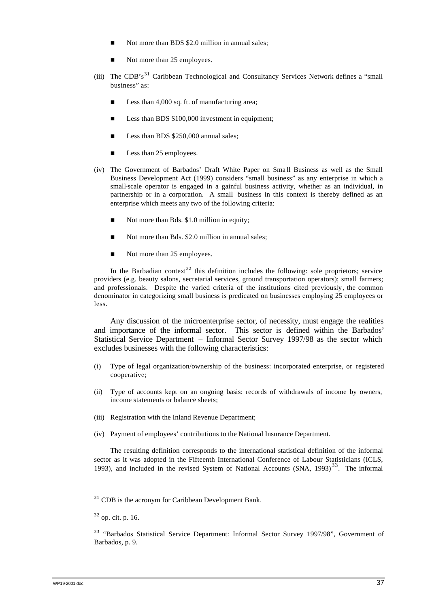- Not more than BDS \$2.0 million in annual sales;
- Not more than 25 employees.
- (iii) The CDB's<sup>31</sup> Caribbean Technological and Consultancy Services Network defines a "small business" as:
	- Less than 4,000 sq. ft. of manufacturing area;
	- Less than BDS \$100,000 investment in equipment;
	- Example Less than BDS \$250,000 annual sales;
	- $\blacksquare$  Less than 25 employees.
- (iv) The Government of Barbados' Draft White Paper on Sma ll Business as well as the Small Business Development Act (1999) considers "small business" as any enterprise in which a small-scale operator is engaged in a gainful business activity, whether as an individual, in partnership or in a corporation. A small business in this context is thereby defined as an enterprise which meets any two of the following criteria:
	- Not more than Bds. \$1.0 million in equity;
	- Not more than Bds. \$2.0 million in annual sales;
	- $\blacksquare$  Not more than 25 employees.

In the Barbadian context<sup>32</sup> this definition includes the following: sole proprietors; service providers (e.g. beauty salons, secretarial services, ground transportation operators); small farmers; and professionals. Despite the varied criteria of the institutions cited previously, the common denominator in categorizing small business is predicated on businesses employing 25 employees or less.

Any discussion of the microenterprise sector, of necessity, must engage the realities and importance of the informal sector. This sector is defined within the Barbados' Statistical Service Department – Informal Sector Survey 1997/98 as the sector which excludes businesses with the following characteristics:

- (i) Type of legal organization/ownership of the business: incorporated enterprise, or registered cooperative;
- (ii) Type of accounts kept on an ongoing basis: records of withdrawals of income by owners, income statements or balance sheets;
- (iii) Registration with the Inland Revenue Department;
- (iv) Payment of employees' contributions to the National Insurance Department.

The resulting definition corresponds to the international statistical definition of the informal sector as it was adopted in the Fifteenth International Conference of Labour Statisticians (ICLS, 1993), and included in the revised System of National Accounts  $(SNA, 1993)^{33}$ . The informal

 $31$  CDB is the acronym for Caribbean Development Bank.

 $32$  op. cit. p. 16.

<sup>33</sup> "Barbados Statistical Service Department: Informal Sector Survey 1997/98", Government of Barbados, p. 9.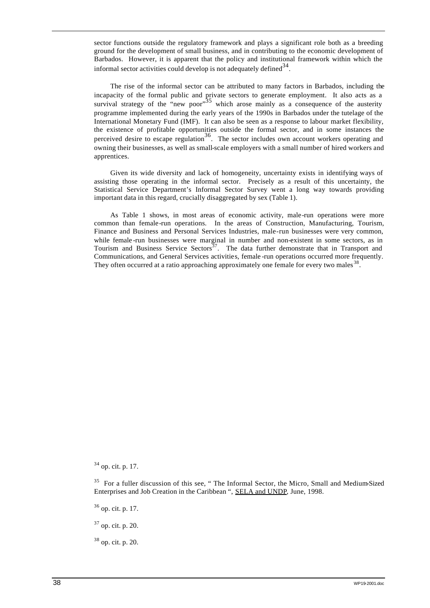sector functions outside the regulatory framework and plays a significant role both as a breeding ground for the development of small business, and in contributing to the economic development of Barbados. However, it is apparent that the policy and institutional framework within which the informal sector activities could develop is not adequately defined  $34$ .

The rise of the informal sector can be attributed to many factors in Barbados, including the incapacity of the formal public and private sectors to generate employment. It also acts as a survival strategy of the "new poor"<sup>35</sup> which arose mainly as a consequence of the austerity programme implemented during the early years of the 1990s in Barbados under the tutelage of the International Monetary Fund (IMF). It can also be seen as a response to labour market flexibility, the existence of profitable opportunities outside the formal sector, and in some instances the perceived desire to escape regulation<sup>36</sup>. The sector includes own account workers operating and owning their businesses, as well as small-scale employers with a small number of hired workers and apprentices.

Given its wide diversity and lack of homogeneity, uncertainty exists in identifying ways of assisting those operating in the informal sector. Precisely as a result of this uncertainty, the Statistical Service Department's Informal Sector Survey went a long way towards providing important data in this regard, crucially disaggregated by sex (Table 1).

As Table 1 shows, in most areas of economic activity, male-run operations were more common than female-run operations. In the areas of Construction, Manufacturing, Tourism, Finance and Business and Personal Services Industries, male-run businesses were very common, while female -run businesses were marginal in number and non-existent in some sectors, as in Tourism and Business Service Sectors<sup>37</sup>. The data further demonstrate that in Transport and Communications, and General Services activities, female -run operations occurred more frequently. They often occurred at a ratio approaching approximately one female for every two males<sup>38</sup>.

<sup>34</sup> op. cit. p. 17.

<sup>35</sup> For a fuller discussion of this see, " The Informal Sector, the Micro, Small and Medium-Sized Enterprises and Job Creation in the Caribbean ", SELA and UNDP, June, 1998.

 $36$  op. cit. p. 17.

<sup>37</sup> op. cit. p. 20.

<sup>38</sup> op. cit. p. 20.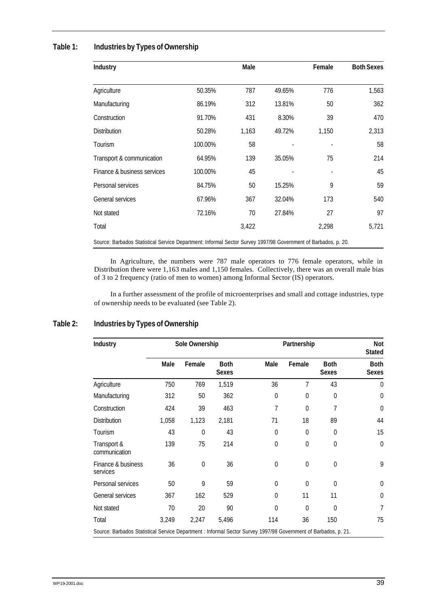## **Table 1: Industries by Types of Ownership**

| Industry                                                                                                       |         | Male  |        | Female | <b>Both Sexes</b> |
|----------------------------------------------------------------------------------------------------------------|---------|-------|--------|--------|-------------------|
| Agriculture                                                                                                    | 50.35%  | 787   | 49.65% | 776    | 1,563             |
| Manufacturing                                                                                                  | 86.19%  | 312   | 13.81% | 50     | 362               |
| Construction                                                                                                   | 91.70%  | 431   | 8.30%  | 39     | 470               |
| <b>Distribution</b>                                                                                            | 50.28%  | 1,163 | 49.72% | 1,150  | 2,313             |
| Tourism                                                                                                        | 100.00% | 58    |        |        | 58                |
| Transport & communication                                                                                      | 64.95%  | 139   | 35.05% | 75     | 214               |
| Finance & business services                                                                                    | 100.00% | 45    |        |        | 45                |
| Personal services                                                                                              | 84.75%  | 50    | 15.25% | 9      | 59                |
| General services                                                                                               | 67.96%  | 367   | 32.04% | 173    | 540               |
| Not stated                                                                                                     | 72.16%  | 70    | 27.84% | 27     | 97                |
| Total                                                                                                          |         | 3,422 |        | 2,298  | 5,721             |
| Source: Barbados Statistical Service Department: Informal Sector Survey 1997/98 Government of Barbados, p. 20. |         |       |        |        |                   |

In Agriculture, the numbers were 787 male operators to 776 female operators, while in Distribution there were 1,163 males and 1,150 females. Collectively, there was an overall male bias of 3 to 2 frequency (ratio of men to women) among Informal Sector (IS) operators.

In a further assessment of the profile of microenterprises and small and cottage industries, type of ownership needs to be evaluated (see Table 2).

| Industry                                                                                                        |       | Sole Ownership |                             |                | Partnership    |                             | Not<br><b>Stated</b>        |
|-----------------------------------------------------------------------------------------------------------------|-------|----------------|-----------------------------|----------------|----------------|-----------------------------|-----------------------------|
|                                                                                                                 | Male  | Female         | <b>Both</b><br><b>Sexes</b> | Male           | Female         | <b>Both</b><br><b>Sexes</b> | <b>Both</b><br><b>Sexes</b> |
| Agriculture                                                                                                     | 750   | 769            | 1,519                       | 36             | 7              | 43                          | $\theta$                    |
| Manufacturing                                                                                                   | 312   | 50             | 362                         | $\overline{0}$ | $\overline{0}$ | 0                           | $\theta$                    |
| Construction                                                                                                    | 424   | 39             | 463                         | 7              | $\theta$       | 7                           | $\theta$                    |
| <b>Distribution</b>                                                                                             | 1,058 | 1,123          | 2,181                       | 71             | 18             | 89                          | 44                          |
| Tourism                                                                                                         | 43    | $\Omega$       | 43                          | $\theta$       | $\overline{0}$ | $\mathbf 0$                 | 15                          |
| Transport &<br>communication                                                                                    | 139   | 75             | 214                         | $\overline{0}$ | $\overline{0}$ | $\mathbf 0$                 | $\theta$                    |
| Finance & business<br>services                                                                                  | 36    | $\mathbf 0$    | 36                          | $\mathbf 0$    | $\mathbf 0$    | $\mathbf 0$                 | 9                           |
| Personal services                                                                                               | 50    | 9              | 59                          | $\theta$       | $\theta$       | $\Omega$                    | $\theta$                    |
| General services                                                                                                | 367   | 162            | 529                         | $\theta$       | 11             | 11                          | $\theta$                    |
| Not stated                                                                                                      | 70    | 20             | 90                          | $\Omega$       | 0              | 0                           | 7                           |
| Total                                                                                                           | 3,249 | 2,247          | 5,496                       | 114            | 36             | 150                         | 75                          |
| Source: Barbados Statistical Service Department : Informal Sector Survey 1997/98 Government of Barbados, p. 21. |       |                |                             |                |                |                             |                             |

## **Table 2: Industries by Types of Ownership**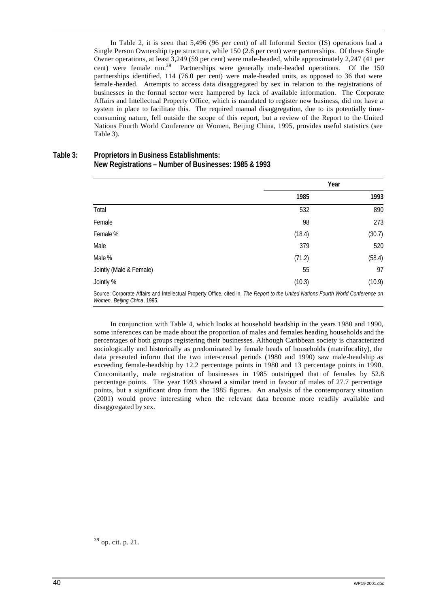In Table 2, it is seen that 5,496 (96 per cent) of all Informal Sector (IS) operations had a Single Person Ownership type structure, while 150 (2.6 per cent) were partnerships. Of these Single Owner operations, at least 3,249 (59 per cent) were male-headed, while approximately 2,247 (41 per cent) were female run.<sup>39</sup> Partnerships were generally male-headed operations. Of the 150 partnerships identified, 114 (76.0 per cent) were male-headed units, as opposed to 36 that were female -headed. Attempts to access data disaggregated by sex in relation to the registrations of businesses in the formal sector were hampered by lack of available information. The Corporate Affairs and Intellectual Property Office, which is mandated to register new business, did not have a system in place to facilitate this. The required manual disaggregation, due to its potentially timeconsuming nature, fell outside the scope of this report, but a review of the Report to the United Nations Fourth World Conference on Women, Beijing China, 1995, provides useful statistics (see Table 3).

#### **Table 3: Proprietors in Business Establishments: New Registrations – Number of Businesses: 1985 & 1993**

|                                                                                                                                                                  | Year   |        |
|------------------------------------------------------------------------------------------------------------------------------------------------------------------|--------|--------|
|                                                                                                                                                                  | 1985   | 1993   |
| Total                                                                                                                                                            | 532    | 890    |
| Female                                                                                                                                                           | 98     | 273    |
| Female %                                                                                                                                                         | (18.4) | (30.7) |
| Male                                                                                                                                                             | 379    | 520    |
| Male%                                                                                                                                                            | (71.2) | (58.4) |
| Jointly (Male & Female)                                                                                                                                          | 55     | 97     |
| Jointly %                                                                                                                                                        | (10.3) | (10.9) |
| Source: Corporate Affairs and Intellectual Property Office, cited in, The Report to the United Nations Fourth World Conference on<br>Women, Beijing China, 1995. |        |        |

In conjunction with Table 4, which looks at household headship in the years 1980 and 1990, some inferences can be made about the proportion of males and females heading households and the percentages of both groups registering their businesses. Although Caribbean society is characterized sociologically and historically as predominated by female heads of households (matrifocality), the data presented inform that the two inter-censal periods (1980 and 1990) saw male-headship as exceeding female-headship by 12.2 percentage points in 1980 and 13 percentage points in 1990. Concomitantly, male registration of businesses in 1985 outstripped that of females by 52.8 percentage points. The year 1993 showed a similar trend in favour of males of 27.7 percentage points, but a significant drop from the 1985 figures. An analysis of the contemporary situation (2001) would prove interesting when the relevant data become more readily available and disaggregated by sex.

<sup>39</sup> op. cit. p. 21.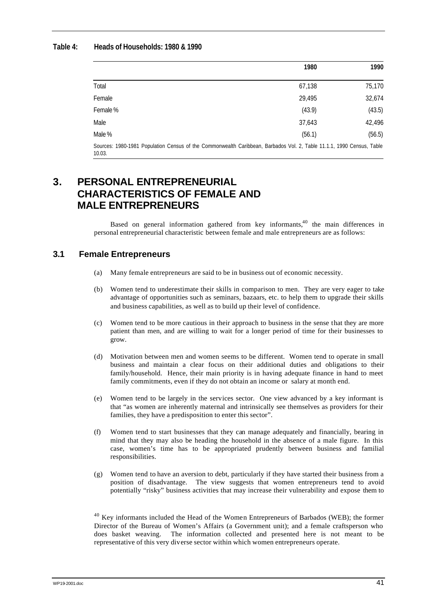### **Table 4: Heads of Households: 1980 & 1990**

|                                                                                                                                 | 1980   | 1990   |
|---------------------------------------------------------------------------------------------------------------------------------|--------|--------|
| Total                                                                                                                           | 67,138 | 75,170 |
| Female                                                                                                                          | 29.495 | 32,674 |
| Female %                                                                                                                        | (43.9) | (43.5) |
| Male                                                                                                                            | 37,643 | 42,496 |
| Male %                                                                                                                          | (56.1) | (56.5) |
| Sources: 1980-1981 Population Census of the Commonwealth Caribbean, Barbados Vol. 2, Table 11.1.1, 1990 Census, Table<br>10.03. |        |        |

# **3. PERSONAL ENTREPRENEURIAL CHARACTERISTICS OF FEMALE AND MALE ENTREPRENEURS**

Based on general information gathered from key informants,  $40$  the main differences in personal entrepreneurial characteristic between female and male entrepreneurs are as follows:

## **3.1 Female Entrepreneurs**

- (a) Many female entrepreneurs are said to be in business out of economic necessity.
- (b) Women tend to underestimate their skills in comparison to men. They are very eager to take advantage of opportunities such as seminars, bazaars, etc. to help them to upgrade their skills and business capabilities, as well as to build up their level of confidence.
- (c) Women tend to be more cautious in their approach to business in the sense that they are more patient than men, and are willing to wait for a longer period of time for their businesses to grow.
- (d) Motivation between men and women seems to be different. Women tend to operate in small business and maintain a clear focus on their additional duties and obligations to their family/household. Hence, their main priority is in having adequate finance in hand to meet family commitments, even if they do not obtain an income or salary at month end.
- (e) Women tend to be largely in the services sector. One view advanced by a key informant is that "as women are inherently maternal and intrinsically see themselves as providers for their families, they have a predisposition to enter this sector".
- (f) Women tend to start businesses that they can manage adequately and financially, bearing in mind that they may also be heading the household in the absence of a male figure. In this case, women's time has to be appropriated prudently between business and familial responsibilities.
- (g) Women tend to have an aversion to debt, particularly if they have started their business from a position of disadvantage. The view suggests that women entrepreneurs tend to avoid potentially "risky" business activities that may increase their vulnerability and expose them to

 $40$  Key informants included the Head of the Women Entrepreneurs of Barbados (WEB); the former Director of the Bureau of Women's Affairs (a Government unit); and a female craftsperson who does basket weaving. The information collected and presented here is not meant to be representative of this very diverse sector within which women entrepreneurs operate.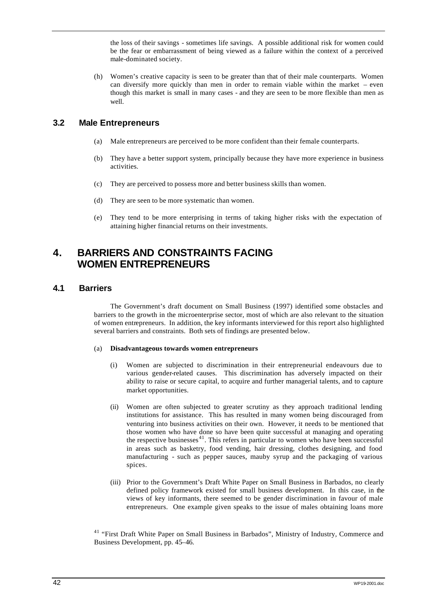the loss of their savings - sometimes life savings. A possible additional risk for women could be the fear or embarrassment of being viewed as a failure within the context of a perceived male-dominated society.

(h) Women's creative capacity is seen to be greater than that of their male counterparts. Women can diversify more quickly than men in order to remain viable within the market – even though this market is small in many cases - and they are seen to be more flexible than men as well.

## **3.2 Male Entrepreneurs**

- (a) Male entrepreneurs are perceived to be more confident than their female counterparts.
- (b) They have a better support system, principally because they have more experience in business activities.
- (c) They are perceived to possess more and better business skills than women.
- (d) They are seen to be more systematic than women.
- (e) They tend to be more enterprising in terms of taking higher risks with the expectation of attaining higher financial returns on their investments.

# **4. BARRIERS AND CONSTRAINTS FACING WOMEN ENTREPRENEURS**

## **4.1 Barriers**

The Government's draft document on Small Business (1997) identified some obstacles and barriers to the growth in the microenterprise sector, most of which are also relevant to the situation of women entrepreneurs. In addition, the key informants interviewed for this report also highlighted several barriers and constraints. Both sets of findings are presented below.

#### (a) **Disadvantageous towards women entrepreneurs**

- (i) Women are subjected to discrimination in their entrepreneurial endeavours due to various gender-related causes. This discrimination has adversely impacted on their ability to raise or secure capital, to acquire and further managerial talents, and to capture market opportunities.
- (ii) Women are often subjected to greater scrutiny as they approach traditional lending institutions for assistance. This has resulted in many women being discouraged from venturing into business activities on their own. However, it needs to be mentioned that those women who have done so have been quite successful at managing and operating the respective businesses $41$ . This refers in particular to women who have been successful in areas such as basketry, food vending, hair dressing, clothes designing, and food manufacturing - such as pepper sauces, mauby syrup and the packaging of various spices.
- (iii) Prior to the Government's Draft White Paper on Small Business in Barbados, no clearly defined policy framework existed for small business development. In this case, in the views of key informants, there seemed to be gender discrimination in favour of male entrepreneurs. One example given speaks to the issue of males obtaining loans more

<sup>41</sup> "First Draft White Paper on Small Business in Barbados", Ministry of Industry, Commerce and Business Development, pp. 45–46.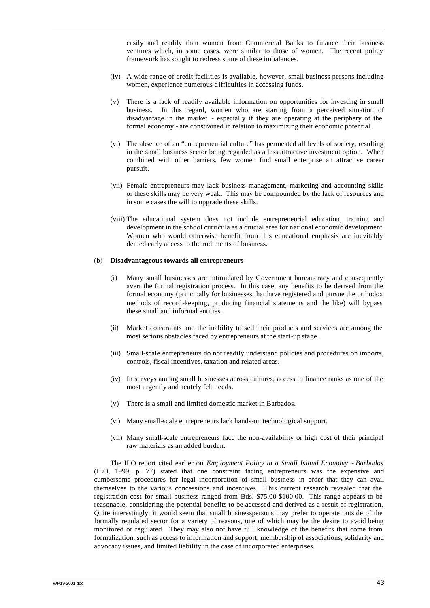easily and readily than women from Commercial Banks to finance their business ventures which, in some cases, were similar to those of women. The recent policy framework has sought to redress some of these imbalances.

- (iv) A wide range of credit facilities is available, however, small-business persons including women, experience numerous difficulties in accessing funds.
- (v) There is a lack of readily available information on opportunities for investing in small business. In this regard, women who are starting from a perceived situation of disadvantage in the market - especially if they are operating at the periphery of the formal economy - are constrained in relation to maximizing their economic potential.
- (vi) The absence of an "entrepreneurial culture" has permeated all levels of society, resulting in the small business sector being regarded as a less attractive investment option. When combined with other barriers, few women find small enterprise an attractive career pursuit.
- (vii) Female entrepreneurs may lack business management, marketing and accounting skills or these skills may be very weak. This may be compounded by the lack of resources and in some cases the will to upgrade these skills.
- (viii) The educational system does not include entrepreneurial education, training and development in the school curricula as a crucial area for national economic development. Women who would otherwise benefit from this educational emphasis are inevitably denied early access to the rudiments of business.

#### (b) **Disadvantageous towards all entrepreneurs**

- (i) Many small businesses are intimidated by Government bureaucracy and consequently avert the formal registration process. In this case, any benefits to be derived from the formal economy (principally for businesses that have registered and pursue the orthodox methods of record-keeping, producing financial statements and the like) will bypass these small and informal entities.
- (ii) Market constraints and the inability to sell their products and services are among the most serious obstacles faced by entrepreneurs at the start-up stage.
- (iii) Small-scale entrepreneurs do not readily understand policies and procedures on imports, controls, fiscal incentives, taxation and related areas.
- (iv) In surveys among small businesses across cultures, access to finance ranks as one of the most urgently and acutely felt needs.
- (v) There is a small and limited domestic market in Barbados.
- (vi) Many small-scale entrepreneurs lack hands-on technological support.
- (vii) Many small-scale entrepreneurs face the non-availability or high cost of their principal raw materials as an added burden.

The ILO report cited earlier on *Employment Policy in a Small Island Economy - Barbados*  (ILO, 1999, p. 77) stated that one constraint facing entrepreneurs was the expensive and cumbersome procedures for legal incorporation of small business in order that they can avail themselves to the various concessions and incentives. This current research revealed that the registration cost for small business ranged from Bds. \$75.00-\$100.00. This range appears to be reasonable, considering the potential benefits to be accessed and derived as a result of registration. Quite interestingly, it would seem that small businesspersons may prefer to operate outside of the formally regulated sector for a variety of reasons, one of which may be the desire to avoid being monitored or regulated. They may also not have full knowledge of the benefits that come from formalization, such as access to information and support, membership of associations, solidarity and advocacy issues, and limited liability in the case of incorporated enterprises.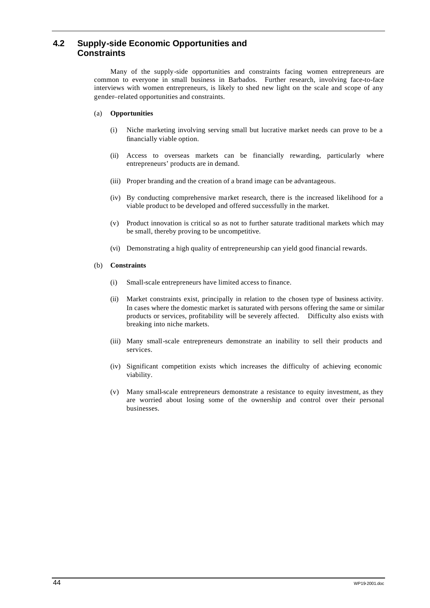# **4.2 Supply-side Economic Opportunities and Constraints**

Many of the supply-side opportunities and constraints facing women entrepreneurs are common to everyone in small business in Barbados. Further research, involving face-to-face interviews with women entrepreneurs, is likely to shed new light on the scale and scope of any gender–related opportunities and constraints.

#### (a) **Opportunities**

- (i) Niche marketing involving serving small but lucrative market needs can prove to be a financially viable option.
- (ii) Access to overseas markets can be financially rewarding, particularly where entrepreneurs' products are in demand.
- (iii) Proper branding and the creation of a brand image can be advantageous.
- (iv) By conducting comprehensive market research, there is the increased likelihood for a viable product to be developed and offered successfully in the market.
- (v) Product innovation is critical so as not to further saturate traditional markets which may be small, thereby proving to be uncompetitive.
- (vi) Demonstrating a high quality of entrepreneurship can yield good financial rewards.

#### (b) **Constraints**

- (i) Small-scale entrepreneurs have limited access to finance.
- (ii) Market constraints exist, principally in relation to the chosen type of business activity. In cases where the domestic market is saturated with persons offering the same or similar products or services, profitability will be severely affected. Difficulty also exists with breaking into niche markets.
- (iii) Many small-scale entrepreneurs demonstrate an inability to sell their products and services.
- (iv) Significant competition exists which increases the difficulty of achieving economic viability.
- (v) Many small-scale entrepreneurs demonstrate a resistance to equity investment, as they are worried about losing some of the ownership and control over their personal businesses.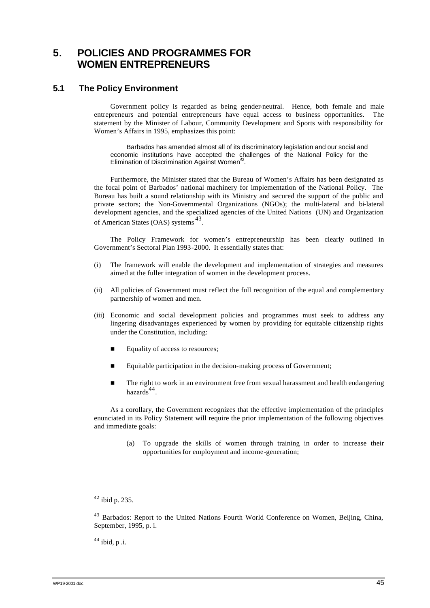# **5. POLICIES AND PROGRAMMES FOR WOMEN ENTREPRENEURS**

## **5.1 The Policy Environment**

Government policy is regarded as being gender-neutral. Hence, both female and male entrepreneurs and potential entrepreneurs have equal access to business opportunities. The statement by the Minister of Labour, Community Development and Sports with responsibility for Women's Affairs in 1995, emphasizes this point:

Barbados has amended almost all of its discriminatory legislation and our social and economic institutions have accepted the challenges of the National Policy for the Elimination of Discrimination Against Women*<sup>42</sup>* .

Furthermore, the Minister stated that the Bureau of Women's Affairs has been designated as the focal point of Barbados' national machinery for implementation of the National Policy. The Bureau has built a sound relationship with its Ministry and secured the support of the public and private sectors; the Non-Governmental Organizations (NGOs); the multi-lateral and bi-lateral development agencies, and the specialized agencies of the United Nations (UN) and Organization of American States (OAS) systems <sup>43</sup> .

The Policy Framework for women's entrepreneurship has been clearly outlined in Government's Sectoral Plan 1993-2000. It essentially states that:

- (i) The framework will enable the development and implementation of strategies and measures aimed at the fuller integration of women in the development process.
- (ii) All policies of Government must reflect the full recognition of the equal and complementary partnership of women and men.
- (iii) Economic and social development policies and programmes must seek to address any lingering disadvantages experienced by women by providing for equitable citizenship rights under the Constitution, including:
	- $\blacksquare$  Equality of access to resources;
	- Equitable participation in the decision-making process of Government;
	- **n** The right to work in an environment free from sexual harassment and health endangering hazards<sup>44</sup>.

As a corollary, the Government recognizes that the effective implementation of the principles enunciated in its Policy Statement will require the prior implementation of the following objectives and immediate goals:

> (a) To upgrade the skills of women through training in order to increase their opportunities for employment and income-generation;

<sup>42</sup> ibid p. 235.

<sup>43</sup> Barbados: Report to the United Nations Fourth World Conference on Women, Beijing, China, September, 1995, p. i.

 $44$  ibid, p .i.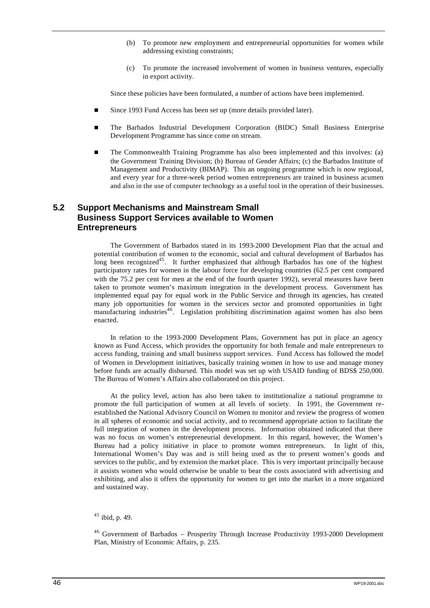- (b) To promote new employment and entrepreneurial opportunities for women while addressing existing constraints;
- (c) To promote the increased involvement of women in business ventures, especially in export activity.

Since these policies have been formulated, a number of actions have been implemented.

- Since 1993 Fund Access has been set up (more details provided later).
- n The Barbados Industrial Development Corporation (BIDC) Small Business Enterprise Development Programme has since come on stream.
- n The Commonwealth Training Programme has also been implemented and this involves: (a) the Government Training Division; (b) Bureau of Gender Affairs; (c) the Barbados Institute of Management and Productivity (BIMAP). This an ongoing programme which is now regional, and every year for a three-week period women entrepreneurs are trained in business acumen and also in the use of computer technology as a useful tool in the operation of their businesses.

## **5.2 Support Mechanisms and Mainstream Small Business Support Services available to Women Entrepreneurs**

The Government of Barbados stated in its 1993-2000 Development Plan that the actual and potential contribution of women to the economic, social and cultural development of Barbados has long been recognized<sup>45</sup>. It further emphasized that although Barbados has one of the highest participatory rates for women in the labour force for developing countries (62.5 per cent compared with the 75.2 per cent for men at the end of the fourth quarter 1992), several measures have been taken to promote women's maximum integration in the development process. Government has implemented equal pay for equal work in the Public Service and through its agencies, has created many job opportunities for women in the services sector and promoted opportunities in light manufacturing industries<sup>46</sup>. Legislation prohibiting discrimination against women has also been enacted.

In relation to the 1993-2000 Development Plans, Government has put in place an agency known as Fund Access, which provides the opportunity for both female and male entrepreneurs to access funding, training and small business support services. Fund Access has followed the model of Women in Development initiatives, basically training women in how to use and manage money before funds are actually disbursed. This model was set up with USAID funding of BDS\$ 250,000. The Bureau of Women's Affairs also collaborated on this project.

At the policy level, action has also been taken to institutionalize a national programme to promote the full participation of women at all levels of society. In 1991, the Government reestablished the National Advisory Council on Women to monitor and review the progress of women in all spheres of economic and social activity, and to recommend appropriate action to facilitate the full integration of women in the development process. Information obtained indicated that there was no focus on women's entrepreneurial development. In this regard, however, the Women's Bureau had a policy initiative in place to promote women entrepreneurs. In light of this, International Women's Day was and is still being used as the to present women's goods and services to the public, and by extension the market place. This is very important principally because it assists women who would otherwise be unable to bear the costs associated with advertising and exhibiting, and also it offers the opportunity for women to get into the market in a more organized and sustained way.

 $45$  ibid, p. 49.

<sup>46</sup> Government of Barbados – Prosperity Through Increase Productivity 1993-2000 Development Plan, Ministry of Economic Affairs, p. 235.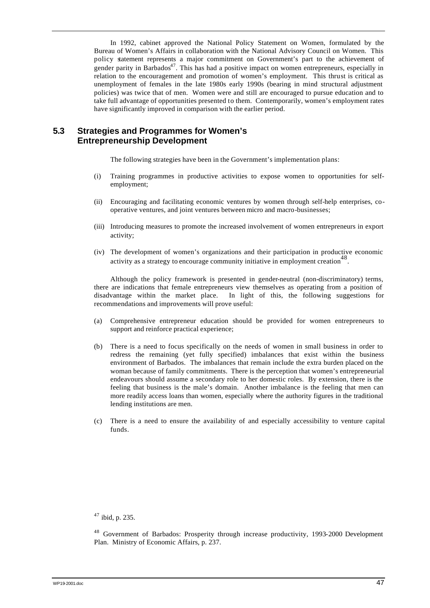In 1992, cabinet approved the National Policy Statement on Women, formulated by the Bureau of Women's Affairs in collaboration with the National Advisory Council on Women. This policy statement represents a major commitment on Government's part to the achievement of gender parity in Barbados $47$ . This has had a positive impact on women entrepreneurs, especially in relation to the encouragement and promotion of women's employment. This thrust is critical as unemployment of females in the late 1980s early 1990s (bearing in mind structural adjustment policies) was twice that of men. Women were and still are encouraged to pursue education and to take full advantage of opportunities presented to them. Contemporarily, women's employment rates have significantly improved in comparison with the earlier period.

## **5.3 Strategies and Programmes for Women's Entrepreneurship Development**

The following strategies have been in the Government's implementation plans:

- (i) Training programmes in productive activities to expose women to opportunities for selfemployment;
- (ii) Encouraging and facilitating economic ventures by women through self-help enterprises, cooperative ventures, and joint ventures between micro and macro-businesses;
- (iii) Introducing measures to promote the increased involvement of women entrepreneurs in export activity;
- (iv) The development of women's organizations and their participation in productive economic  $\frac{1}{4}$  activity as a strategy to encourage community initiative in employment creation<sup>48</sup>.

Although the policy framework is presented in gender-neutral (non-discriminatory) terms, there are indications that female entrepreneurs view themselves as operating from a position of disadvantage within the market place. In light of this, the following suggestions for recommendations and improvements will prove useful:

- (a) Comprehensive entrepreneur education should be provided for women entrepreneurs to support and reinforce practical experience;
- (b) There is a need to focus specifically on the needs of women in small business in order to redress the remaining (yet fully specified) imbalances that exist within the business environment of Barbados. The imbalances that remain include the extra burden placed on the woman because of family commitments. There is the perception that women's entrepreneurial endeavours should assume a secondary role to her domestic roles. By extension, there is the feeling that business is the male's domain. Another imbalance is the feeling that men can more readily access loans than women, especially where the authority figures in the traditional lending institutions are men.
- (c) There is a need to ensure the availability of and especially accessibility to venture capital funds.

<sup>47</sup> ibid, p. 235.

<sup>48</sup> Government of Barbados: Prosperity through increase productivity, 1993-2000 Development Plan. Ministry of Economic Affairs, p. 237.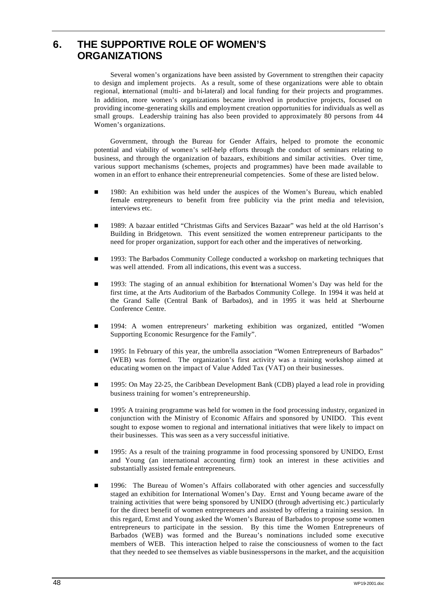# **6. THE SUPPORTIVE ROLE OF WOMEN'S ORGANIZATIONS**

Several women's organizations have been assisted by Government to strengthen their capacity to design and implement projects. As a result, some of these organizations were able to obtain regional, international (multi- and bi-lateral) and local funding for their projects and programmes. In addition, more women's organizations became involved in productive projects, focused on providing income-generating skills and employment creation opportunities for individuals as well as small groups. Leadership training has also been provided to approximately 80 persons from 44 Women's organizations.

Government, through the Bureau for Gender Affairs, helped to promote the economic potential and viability of women's self-help efforts through the conduct of seminars relating to business, and through the organization of bazaars, exhibitions and similar activities. Over time, various support mechanisms (schemes, projects and programmes) have been made available to women in an effort to enhance their entrepreneurial competencies. Some of these are listed below.

- n 1980: An exhibition was held under the auspices of the Women's Bureau, which enabled female entrepreneurs to benefit from free publicity via the print media and television, interviews etc.
- n 1989: A bazaar entitled "Christmas Gifts and Services Bazaar" was held at the old Harrison's Building in Bridgetown. This event sensitized the women entrepreneur participants to the need for proper organization, support for each other and the imperatives of networking.
- n 1993: The Barbados Community College conducted a workshop on marketing techniques that was well attended. From all indications, this event was a success.
- n 1993: The staging of an annual exhibition for International Women's Day was held for the first time, at the Arts Auditorium of the Barbados Community College. In 1994 it was held at the Grand Salle (Central Bank of Barbados), and in 1995 it was held at Sherbourne Conference Centre.
- n 1994: A women entrepreneurs' marketing exhibition was organized, entitled "Women Supporting Economic Resurgence for the Family".
- 1995: In February of this year, the umbrella association "Women Entrepreneurs of Barbados" (WEB) was formed. The organization's first activity was a training workshop aimed at educating women on the impact of Value Added Tax (VAT) on their businesses.
- n 1995: On May 22-25, the Caribbean Development Bank (CDB) played a lead role in providing business training for women's entrepreneurship.
- n 1995: A training programme was held for women in the food processing industry, organized in conjunction with the Ministry of Economic Affairs and sponsored by UNIDO. This event sought to expose women to regional and international initiatives that were likely to impact on their businesses. This was seen as a very successful initiative.
- n 1995: As a result of the training programme in food processing sponsored by UNIDO, Ernst and Young (an international accounting firm) took an interest in these activities and substantially assisted female entrepreneurs.
- 1996: The Bureau of Women's Affairs collaborated with other agencies and successfully staged an exhibition for International Women's Day. Ernst and Young became aware of the training activities that were being sponsored by UNIDO (through advertising etc.) particularly for the direct benefit of women entrepreneurs and assisted by offering a training session. In this regard, Ernst and Young asked the Women's Bureau of Barbados to propose some women entrepreneurs to participate in the session. By this time the Women Entrepreneurs of Barbados (WEB) was formed and the Bureau's nominations included some executive members of WEB. This interaction helped to raise the consciousness of women to the fact that they needed to see themselves as viable businesspersons in the market, and the acquisition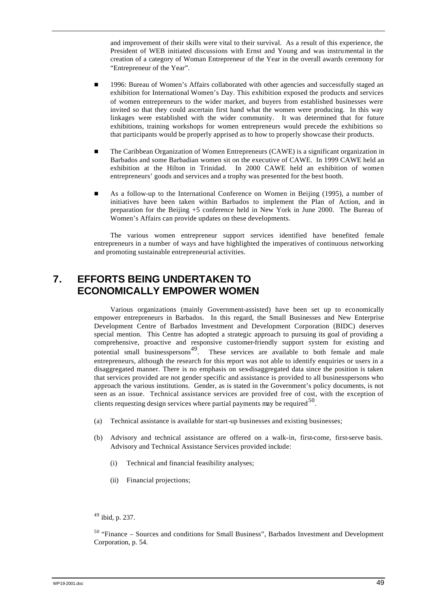and improvement of their skills were vital to their survival. As a result of this experience, the President of WEB initiated discussions with Ernst and Young and was instrumental in the creation of a category of Woman Entrepreneur of the Year in the overall awards ceremony for "Entrepreneur of the Year".

- n 1996: Bureau of Women's Affairs collaborated with other agencies and successfully staged an exhibition for International Women's Day. This exhibition exposed the products and services of women entrepreneurs to the wider market, and buyers from established businesses were invited so that they could ascertain first hand what the women were producing. In this way linkages were established with the wider community. It was determined that for future exhibitions, training workshops for women entrepreneurs would precede the exhibitions so that participants would be properly apprised as to how to properly showcase their products.
- n The Caribbean Organization of Women Entrepreneurs (CAWE) is a significant organization in Barbados and some Barbadian women sit on the executive of CAWE. In 1999 CAWE held an exhibition at the Hilton in Trinidad. In 2000 CAWE held an exhibition of women entrepreneurs' goods and services and a trophy was presented for the best booth.
- n As a follow-up to the International Conference on Women in Beijing (1995), a number of initiatives have been taken within Barbados to implement the Plan of Action, and in preparation for the Beijing +5 conference held in New York in June 2000. The Bureau of Women's Affairs can provide updates on these developments.

The various women entrepreneur support services identified have benefited female entrepreneurs in a number of ways and have highlighted the imperatives of continuous networking and promoting sustainable entrepreneurial activities.

# **7. EFFORTS BEING UNDERTAKEN TO ECONOMICALLY EMPOWER WOMEN**

Various organizations (mainly Government-assisted) have been set up to economically empower entrepreneurs in Barbados. In this regard, the Small Businesses and New Enterprise Development Centre of Barbados Investment and Development Corporation (BIDC) deserves special mention. This Centre has adopted a strategic approach to pursuing its goal of providing a comprehensive, proactive and responsive customer-friendly support system for existing and potential small businesspersons<sup>49</sup>. These services are available to both female and male These services are available to both female and male entrepreneurs, although the research for this report was not able to identify enquiries or users in a disaggregated manner. There is no emphasis on sex-disaggregated data since the position is taken that services provided are not gender specific and assistance is provided to all businesspersons who approach the various institutions. Gender, as is stated in the Government's policy documents, is not seen as an issue. Technical assistance services are provided free of cost, with the exception of clients requesting design services where partial payments may be required  $50$ .

- (a) Technical assistance is available for start-up businesses and existing businesses;
- (b) Advisory and technical assistance are offered on a walk-in, first-come, first-serve basis. Advisory and Technical Assistance Services provided include:
	- (i) Technical and financial feasibility analyses;
	- (ii) Financial projections;

<sup>49</sup> ibid, p. 237.

<sup>50</sup> "Finance – Sources and conditions for Small Business", Barbados Investment and Development Corporation, p. 54.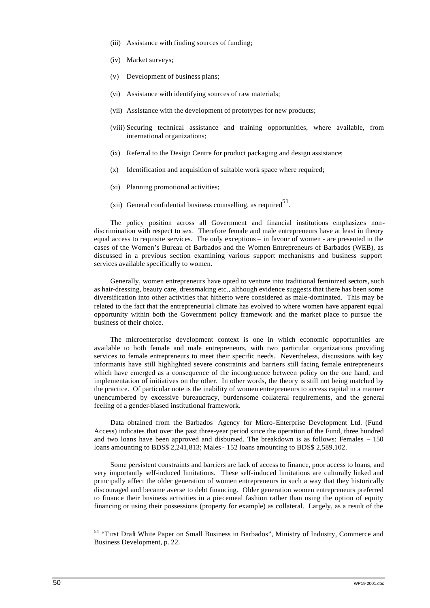- (iii) Assistance with finding sources of funding;
- (iv) Market surveys;
- (v) Development of business plans;
- (vi) Assistance with identifying sources of raw materials;
- (vii) Assistance with the development of prototypes for new products;
- (viii) Securing technical assistance and training opportunities, where available, from international organizations;
- (ix) Referral to the Design Centre for product packaging and design assistance;
- (x) Identification and acquisition of suitable work space where required;
- (xi) Planning promotional activities;
- (xii) General confidential business counselling, as required<sup>51</sup>.

The policy position across all Government and financial institutions emphasizes nondiscrimination with respect to sex. Therefore female and male entrepreneurs have at least in theory equal access to requisite services. The only exceptions – in favour of women - are presented in the cases of the Women's Bureau of Barbados and the Women Entrepreneurs of Barbados (WEB), as discussed in a previous section examining various support mechanisms and business support services available specifically to women.

Generally, women entrepreneurs have opted to venture into traditional feminized sectors, such as hair-dressing, beauty care, dressmaking etc., although evidence suggests that there has been some diversification into other activities that hitherto were considered as male-dominated. This may be related to the fact that the entrepreneurial climate has evolved to where women have apparent equal opportunity within both the Government policy framework and the market place to pursue the business of their choice.

The microenterprise development context is one in which economic opportunities are available to both female and male entrepreneurs, with two particular organizations providing services to female entrepreneurs to meet their specific needs. Nevertheless, discussions with key informants have still highlighted severe constraints and barriers still facing female entrepreneurs which have emerged as a consequence of the incongruence between policy on the one hand, and implementation of initiatives on the other. In other words, the theory is still not being matched by the practice. Of particular note is the inability of women entrepreneurs to access capital in a manner unencumbered by excessive bureaucracy, burdensome collateral requirements, and the general feeling of a gender-biased institutional framework.

Data obtained from the Barbados Agency for Micro-Enterprise Development Ltd. (Fund Access) indicates that over the past three-year period since the operation of the Fund, three hundred and two loans have been approved and disbursed. The breakdown is as follows: Females – 150 loans amounting to BDS\$ 2,241,813; Males - 152 loans amounting to BDS\$ 2,589,102.

Some persistent constraints and barriers are lack of access to finance, poor access to loans, and very importantly self-induced limitations. These self-induced limitations are culturally linked and principally affect the older generation of women entrepreneurs in such a way that they historically discouraged and became averse to debt financing. Older generation women entrepreneurs preferred to finance their business activities in a piecemeal fashion rather than using the option of equity financing or using their possessions (property for example) as collateral. Largely, as a result of the

<sup>51</sup> "First Draft White Paper on Small Business in Barbados", Ministry of Industry, Commerce and Business Development, p. 22.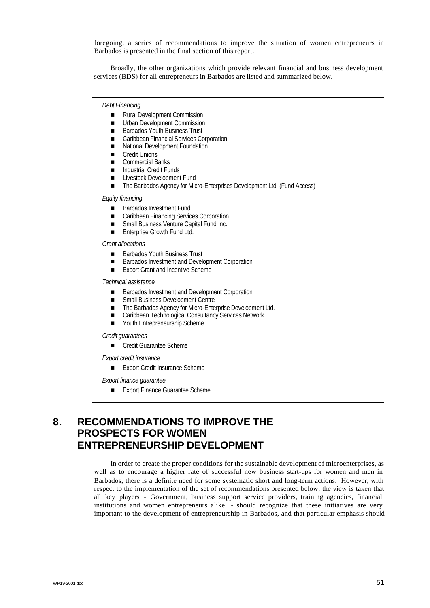foregoing, a series of recommendations to improve the situation of women entrepreneurs in Barbados is presented in the final section of this report.

Broadly, the other organizations which provide relevant financial and business development services (BDS) for all entrepreneurs in Barbados are listed and summarized below.

#### *Debt Financing*

- Rural Development Commission
- **n** Urban Development Commission
- Barbados Youth Business Trust
- Caribbean Financial Services Corporation<br>■ National Development Foundation
- n National Development Foundation
- **n** Credit Unions
- Commercial Banks
- **n Industrial Credit Funds**<br>**n** Livestock Development
- Livestock Development Fund
- The Barbados Agency for Micro-Enterprises Development Ltd. (Fund Access)

*Equity financing*

- Barbados Investment Fund
- Caribbean Financing Services Corporation
- Small Business Venture Capital Fund Inc.
- **n** Enterprise Growth Fund Ltd.

*Grant allocations*

- Barbados Youth Business Trust
- Barbados Investment and Development Corporation
- Export Grant and Incentive Scheme

*Technical assistance*

- Barbados Investment and Development Corporation
- Small Business Development Centre<br>■ The Barbados Agency for Micro-Ente
- The Barbados Agency for Micro-Enterprise Development Ltd.<br>■ Caribbean Technological Consultancy Services Network
- Caribbean Technological Consultancy Services Network<br>■ Youth Entrepreneurship Scheme
- Youth Entrepreneurship Scheme

*Credit guarantees*

■ Credit Guarantee Scheme

*Export credit insurance*

■ Export Credit Insurance Scheme

*Export finance guarantee* 

**Export Finance Guarantee Scheme** 

# **8. RECOMMENDATIONS TO IMPROVE THE PROSPECTS FOR WOMEN ENTREPRENEURSHIP DEVELOPMENT**

In order to create the proper conditions for the sustainable development of microenterprises, as well as to encourage a higher rate of successful new business start-ups for women and men in Barbados, there is a definite need for some systematic short and long-term actions. However, with respect to the implementation of the set of recommendations presented below, the view is taken that all key players - Government, business support service providers, training agencies, financial institutions and women entrepreneurs alike - should recognize that these initiatives are very important to the development of entrepreneurship in Barbados, and that particular emphasis should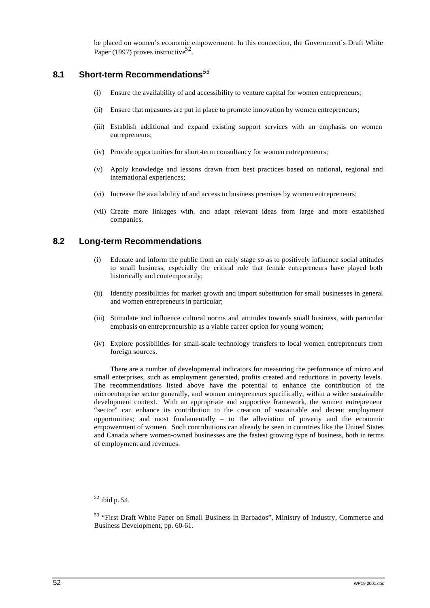be placed on women's economic empowerment. In this connection, the Government's Draft White Paper (1997) proves instructive<sup>52</sup>.

# **8.1 Short-term Recommendations***<sup>53</sup>*

- (i) Ensure the availability of and accessibility to venture capital for women entrepreneurs;
- (ii) Ensure that measures are put in place to promote innovation by women entrepreneurs;
- (iii) Establish additional and expand existing support services with an emphasis on women entrepreneurs;
- (iv) Provide opportunities for short-term consultancy for women entrepreneurs;
- (v) Apply knowledge and lessons drawn from best practices based on national, regional and international experiences;
- (vi) Increase the availability of and access to business premises by women entrepreneurs;
- (vii) Create more linkages with, and adapt relevant ideas from large and more established companies.

## **8.2 Long-term Recommendations**

- (i) Educate and inform the public from an early stage so as to positively influence social attitudes to small business, especially the critical role that female entrepreneurs have played both historically and contemporarily;
- (ii) Identify possibilities for market growth and import substitution for small businesses in general and women entrepreneurs in particular;
- (iii) Stimulate and influence cultural norms and attitudes towards small business, with particular emphasis on entrepreneurship as a viable career option for young women;
- (iv) Explore possibilities for small-scale technology transfers to local women entrepreneurs from foreign sources.

There are a number of developmental indicators for measuring the performance of micro and small enterprises, such as employment generated, profits created and reductions in poverty levels. The recommendations listed above have the potential to enhance the contribution of the microenterprise sector generally, and women entrepreneurs specifically, within a wider sustainable development context. With an appropriate and supportive framework, the women entrepreneur "sector" can enhance its contribution to the creation of sustainable and decent employment opportunities; and most fundamentally – to the alleviation of poverty and the economic empowerment of women. Such contributions can already be seen in countries like the United States and Canada where women-owned businesses are the fastest growing type of business, both in terms of employment and revenues.

<sup>52</sup> ibid p. 54.

<sup>53</sup> "First Draft White Paper on Small Business in Barbados", Ministry of Industry, Commerce and Business Development, pp. 60-61.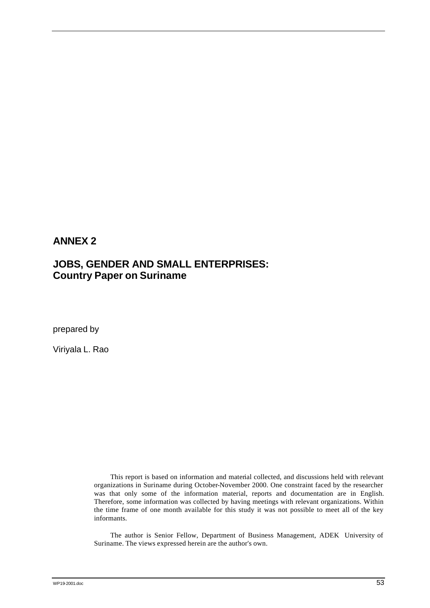# **ANNEX 2**

# **JOBS, GENDER AND SMALL ENTERPRISES: Country Paper on Suriname**

prepared by

Viriyala L. Rao

This report is based on information and material collected, and discussions held with relevant organizations in Suriname during October-November 2000. One constraint faced by the researcher was that only some of the information material, reports and documentation are in English. Therefore, some information was collected by having meetings with relevant organizations. Within the time frame of one month available for this study it was not possible to meet all of the key informants.

The author is Senior Fellow, Department of Business Management, ADEK University of Suriname. The views expressed herein are the author's own.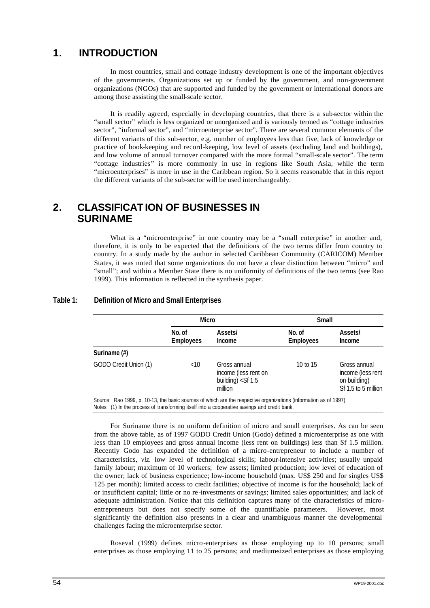# **1. INTRODUCTION**

In most countries, small and cottage industry development is one of the important objectives of the governments. Organizations set up or funded by the government, and non-government organizations (NGOs) that are supported and funded by the government or international donors are among those assisting the small-scale sector.

It is readily agreed, especially in developing countries, that there is a sub-sector within the "small sector" which is less organized or unorganized and is variously termed as "cottage industries sector", "informal sector", and "microenterprise sector". There are several common elements of the different variants of this sub-sector, e.g. number of employees less than five, lack of knowledge or practice of book-keeping and record-keeping, low level of assets (excluding land and buildings), and low volume of annual turnover compared with the more formal "small-scale sector". The term "cottage industries" is more commonly in use in regions like South Asia, while the term "microenterprises" is more in use in the Caribbean region. So it seems reasonable that in this report the different variants of the sub-sector will be used interchangeably.

# **2. CLASSIFICATION OF BUSINESSES IN SURINAME**

What is a "microenterprise" in one country may be a "small enterprise" in another and, therefore, it is only to be expected that the definitions of the two terms differ from country to country. In a study made by the author in selected Caribbean Community (CARICOM) Member States, it was noted that some organizations do not have a clear distinction between "micro" and "small"; and within a Member State there is no uniformity of definitions of the two terms (see Rao 1999). This information is reflected in the synthesis paper.

### **Table 1: Definition of Micro and Small Enterprises**

|                       |                            | <b>Micro</b>                                                                  |                            | Small                                                                    |
|-----------------------|----------------------------|-------------------------------------------------------------------------------|----------------------------|--------------------------------------------------------------------------|
|                       | No. of<br><b>Employees</b> | Assets/<br>Income                                                             | No. of<br><b>Employees</b> | Assets/<br>Income                                                        |
| Suriname (#)          |                            |                                                                               |                            |                                                                          |
| GODO Credit Union (1) | $<$ 10                     | Gross annual<br>income (less rent on<br>building) $\langle$ Sf 1.5<br>million | 10 to 15                   | Gross annual<br>income (less rent<br>on building)<br>Sf 1.5 to 5 million |

Notes: (1) In the process of transforming itself into a cooperative savings and credit bank.

For Suriname there is no uniform definition of micro and small enterprises. As can be seen from the above table, as of 1997 GODO Credit Union (Godo) defined a microenterprise as one with less than 10 employees and gross annual income (less rent on buildings) less than Sf 1.5 million. Recently Godo has expanded the definition of a micro-entrepreneur to include a number of characteristics, *viz.* low level of technological skills; labour-intensive activities; usually unpaid family labour; maximum of 10 workers; few assets; limited production; low level of education of the owner; lack of business experience; low-income household (max. US\$ 250 and for singles US\$ 125 per month); limited access to credit facilities; objective of income is for the household; lack of or insufficient capital; little or no re-investments or savings; limited sales opportunities; and lack of adequate administration. Notice that this definition captures many of the characteristics of microentrepreneurs but does not specify some of the quantifiable parameters. However, most significantly the definition also presents in a clear and unambiguous manner the developmental challenges facing the microenterprise sector.

Roseval (1999) defines micro-enterprises as those employing up to 10 persons; small enterprises as those employing 11 to 25 persons; and medium-sized enterprises as those employing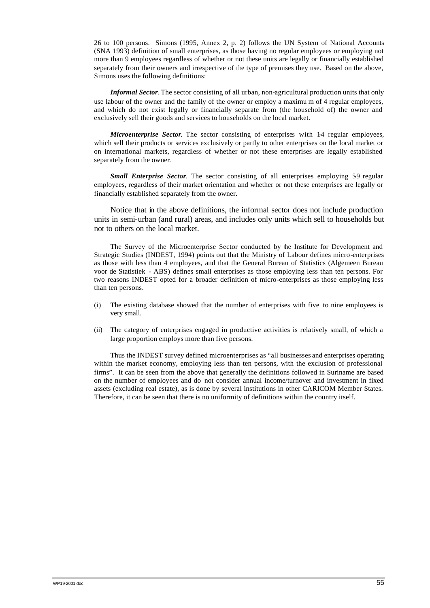26 to 100 persons. Simons (1995, Annex 2, p. 2) follows the UN System of National Accounts (SNA 1993) definition of small enterprises, as those having no regular employees or employing not more than 9 employees regardless of whether or not these units are legally or financially established separately from their owners and irrespective of the type of premises they use. Based on the above, Simons uses the following definitions:

*Informal Sector*. The sector consisting of all urban, non-agricultural production units that only use labour of the owner and the family of the owner or employ a maximu m of 4 regular employees, and which do not exist legally or financially separate from (the household of) the owner and exclusively sell their goods and services to households on the local market.

*Microenterprise Sector.* The sector consisting of enterprises with 14 regular employees, which sell their products or services exclusively or partly to other enterprises on the local market or on international markets, regardless of whether or not these enterprises are legally established separately from the owner.

*Small Enterprise Sector.* The sector consisting of all enterprises employing 59 regular employees, regardless of their market orientation and whether or not these enterprises are legally or financially established separately from the owner.

Notice that in the above definitions, the informal sector does not include production units in semi-urban (and rural) areas, and includes only units which sell to households but not to others on the local market.

The Survey of the Microenterprise Sector conducted by the Institute for Development and Strategic Studies (INDEST, 1994) points out that the Ministry of Labour defines micro-enterprises as those with less than 4 employees, and that the General Bureau of Statistics (Algemeen Bureau voor de Statistiek - ABS) defines small enterprises as those employing less than ten persons. For two reasons INDEST opted for a broader definition of micro-enterprises as those employing less than ten persons.

- (i) The existing database showed that the number of enterprises with five to nine employees is very small.
- (ii) The category of enterprises engaged in productive activities is relatively small, of which a large proportion employs more than five persons.

Thus the INDEST survey defined microenterprises as "all businesses and enterprises operating within the market economy, employing less than ten persons, with the exclusion of professional firms". It can be seen from the above that generally the definitions followed in Suriname are based on the number of employees and do not consider annual income/turnover and investment in fixed assets (excluding real estate), as is done by several institutions in other CARICOM Member States. Therefore, it can be seen that there is no uniformity of definitions within the country itself.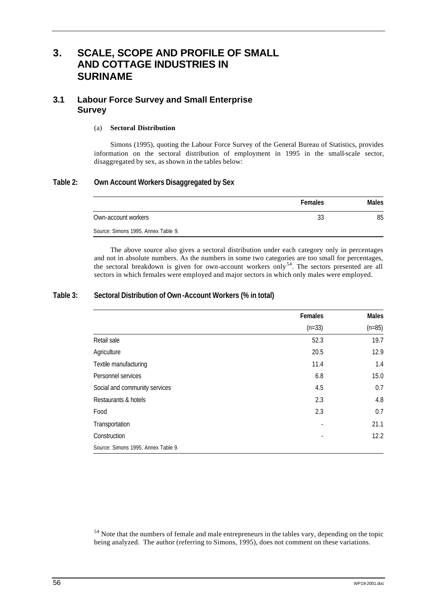# **3. SCALE, SCOPE AND PROFILE OF SMALL AND COTTAGE INDUSTRIES IN SURINAME**

# **3.1 Labour Force Survey and Small Enterprise Survey**

#### (a) **Sectoral Distribution**

Simons (1995), quoting the Labour Force Survey of the General Bureau of Statistics, provides information on the sectoral distribution of employment in 1995 in the small-scale sector, disaggregated by sex, as shown in the tables below:

## **Table 2: Own Account Workers Disaggregated by Sex**

|                                     | <b>Females</b> | <b>Males</b> |
|-------------------------------------|----------------|--------------|
| Own-account workers                 | 33             | 85           |
| Source: Simons 1995, Annex Table 9. |                |              |

The above source also gives a sectoral distribution under each category only in percentages and not in absolute numbers. As the numbers in some two categories are too small for percentages, the sectoral breakdown is given for own-account workers only<sup>54</sup>. The sectors presented are all sectors in which females were employed and major sectors in which only males were employed.

## **Table 3: Sectoral Distribution of Own-Account Workers (% in total)**

|                                     | Females  | <b>Males</b> |
|-------------------------------------|----------|--------------|
|                                     | $(n=33)$ | $(n=85)$     |
| Retail sale                         | 52.3     | 19.7         |
| Agriculture                         | 20.5     | 12.9         |
| Textile manufacturing               | 11.4     | 1.4          |
| Personnel services                  | 6.8      | 15.0         |
| Social and community services       | 4.5      | 0.7          |
| Restaurants & hotels                | 2.3      | 4.8          |
| Food                                | 2.3      | 0.7          |
| Transportation                      |          | 21.1         |
| Construction                        |          | 12.2         |
| Source: Simons 1995, Annex Table 9. |          |              |

<sup>54</sup> Note that the numbers of female and male entrepreneurs in the tables vary, depending on the topic being analyzed. The author (referring to Simons, 1995), does not comment on these variations.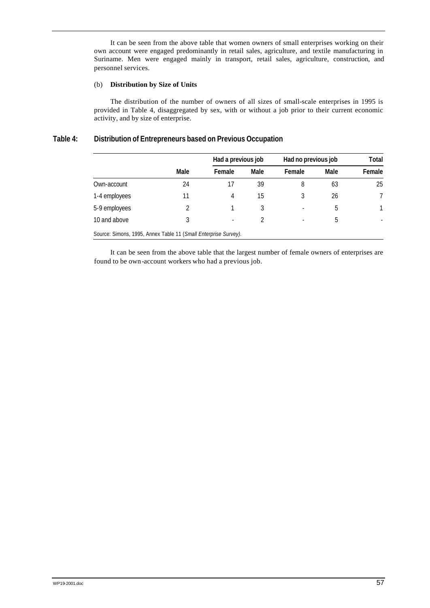It can be seen from the above table that women owners of small enterprises working on their own account were engaged predominantly in retail sales, agriculture, and textile manufacturing in Suriname. Men were engaged mainly in transport, retail sales, agriculture, construction, and personnel services.

#### (b) **Distribution by Size of Units**

The distribution of the number of owners of all sizes of small-scale enterprises in 1995 is provided in Table 4, disaggregated by sex, with or without a job prior to their current economic activity, and by size of enterprise.

### **Table 4: Distribution of Entrepreneurs based on Previous Occupation**

|                                                                 | Had a previous job |        |      | Had no previous job |      |        |
|-----------------------------------------------------------------|--------------------|--------|------|---------------------|------|--------|
|                                                                 | Male               | Female | Male | Female              | Male | Female |
| Own-account                                                     | 24                 | 17     | 39   | 8                   | 63   | 25     |
| 1-4 employees                                                   | 11                 | 4      | 15   | 3                   | 26   | 7      |
| 5-9 employees                                                   | 2                  |        |      |                     | 5    | 1      |
| 10 and above                                                    | 3                  |        |      |                     | 5    |        |
| Source: Simons, 1995, Annex Table 11 (Small Enterprise Survey). |                    |        |      |                     |      |        |

It can be seen from the above table that the largest number of female owners of enterprises are found to be own-account workers who had a previous job.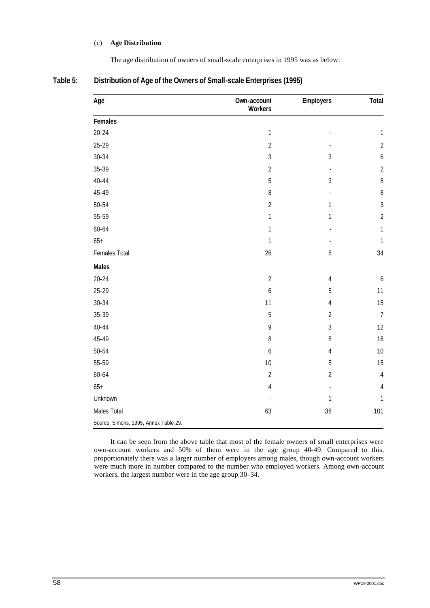### (c) **Age Distribution**

The age distribution of owners of small-scale enterprises in 1995 was as below:

| Table 5: | Distribution of Age of the Owners of Small-scale Enterprises (1995) |  |
|----------|---------------------------------------------------------------------|--|
|          |                                                                     |  |

| Age                                   | Own-account<br><b>Workers</b> | <b>Employers</b> | Total            |
|---------------------------------------|-------------------------------|------------------|------------------|
| Females                               |                               |                  |                  |
| $20 - 24$                             | $\mathbf{1}$                  |                  | $\mathbf{1}$     |
| 25-29                                 | $\overline{2}$                |                  | $\overline{2}$   |
| $30 - 34$                             | $\overline{3}$                | $\overline{3}$   | $\boldsymbol{6}$ |
| 35-39                                 | $\overline{2}$                | $\blacksquare$   | $\overline{2}$   |
| $40 - 44$                             | 5                             | $\sqrt{3}$       | $\, 8$           |
| 45-49                                 | $\, 8$                        |                  | $\, 8$           |
| $50 - 54$                             | $\overline{2}$                | $\mathbf{1}$     | $\mathfrak{Z}$   |
| 55-59                                 | 1                             | $\mathbf{1}$     | $\overline{2}$   |
| 60-64                                 | 1                             |                  | $\mathbf{1}$     |
| $65+$                                 | $\mathbf{1}$                  |                  | $\mathbf{1}$     |
| Females Total                         | 26                            | $\, 8$           | 34               |
| <b>Males</b>                          |                               |                  |                  |
| $20 - 24$                             | $\overline{2}$                | $\sqrt{4}$       | $\boldsymbol{6}$ |
| 25-29                                 | $\boldsymbol{6}$              | $\overline{5}$   | 11               |
| $30 - 34$                             | 11                            | $\sqrt{4}$       | 15               |
| 35-39                                 | 5                             | $\overline{2}$   | $\overline{7}$   |
| $40 - 44$                             | 9                             | $\mathfrak{Z}$   | 12               |
| 45-49                                 | 8                             | $\, 8$           | 16               |
| 50-54                                 | 6                             | $\sqrt{4}$       | 10               |
| 55-59                                 | 10                            | $\overline{5}$   | 15               |
| 60-64                                 | $\overline{2}$                | $\overline{2}$   | $\sqrt{4}$       |
| $65+$                                 | 4                             | L,               | $\overline{4}$   |
| Unknown                               |                               | $\mathbf{1}$     | 1                |
| Males Total                           | 63                            | 38               | 101              |
| Source: Simons, 1995, Annex Table 29. |                               |                  |                  |

It can be seen from the above table that most of the female owners of small enterprises were own-account workers and 50% of them were in the age group 40-49. Compared to this, proportionately there was a larger number of employers among males, though own-account workers were much more in number compared to the number who employed workers. Among own-account workers, the largest number were in the age group 30-34.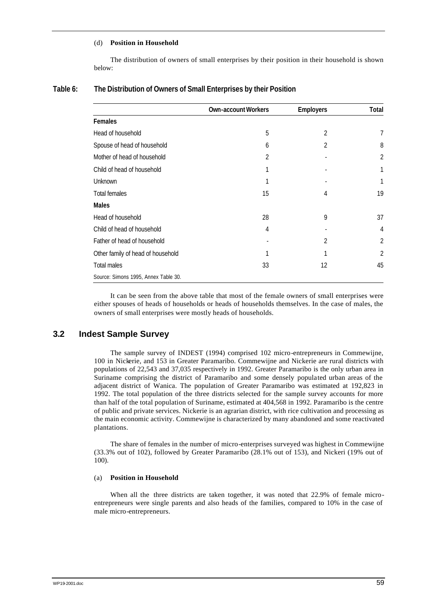#### (d) **Position in Household**

The distribution of owners of small enterprises by their position in their household is shown below:

|                                      | <b>Own-account Workers</b> | <b>Employers</b> | Total          |
|--------------------------------------|----------------------------|------------------|----------------|
| Females                              |                            |                  |                |
| Head of household                    | 5                          | $\overline{2}$   | 7              |
| Spouse of head of household          | 6                          | 2                | 8              |
| Mother of head of household          | 2                          |                  | $\overline{2}$ |
| Child of head of household           | 1                          |                  | 1              |
| Unknown                              |                            |                  |                |
| <b>Total females</b>                 | 15                         | 4                | 19             |
| <b>Males</b>                         |                            |                  |                |
| Head of household                    | 28                         | 9                | 37             |
| Child of head of household           | 4                          |                  | 4              |
| Father of head of household          |                            | 2                | $\overline{2}$ |
| Other family of head of household    |                            |                  | 2              |
| <b>Total males</b>                   | 33                         | 12               | 45             |
| Source: Simons 1995, Annex Table 30. |                            |                  |                |

#### **Table 6: The Distribution of Owners of Small Enterprises by their Position**

It can be seen from the above table that most of the female owners of small enterprises were either spouses of heads of households or heads of households themselves. In the case of males, the owners of small enterprises were mostly heads of households.

### **3.2 Indest Sample Survey**

The sample survey of INDEST (1994) comprised 102 micro-entrepreneurs in Commewijne, 100 in Nickerie, and 153 in Greater Paramaribo. Commewijne and Nickerie are rural districts with populations of 22,543 and 37,035 respectively in 1992. Greater Paramaribo is the only urban area in Suriname comprising the district of Paramaribo and some densely populated urban areas of the adjacent district of Wanica. The population of Greater Paramaribo was estimated at 192,823 in 1992. The total population of the three districts selected for the sample survey accounts for more than half of the total population of Suriname, estimated at 404,568 in 1992. Paramaribo is the centre of public and private services. Nickerie is an agrarian district, with rice cultivation and processing as the main economic activity. Commewijne is characterized by many abandoned and some reactivated plantations.

The share of females in the number of micro-enterprises surveyed was highest in Commewijne (33.3% out of 102), followed by Greater Paramaribo (28.1% out of 153), and Nickeri (19% out of 100).

#### (a) **Position in Household**

When all the three districts are taken together, it was noted that 22.9% of female microentrepreneurs were single parents and also heads of the families, compared to 10% in the case of male micro-entrepreneurs.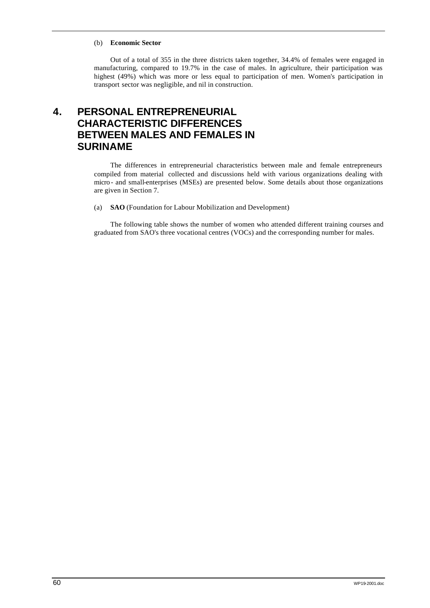#### (b) **Economic Sector**

Out of a total of 355 in the three districts taken together, 34.4% of females were engaged in manufacturing, compared to 19.7% in the case of males. In agriculture, their participation was highest (49%) which was more or less equal to participation of men. Women's participation in transport sector was negligible, and nil in construction.

# **4. PERSONAL ENTREPRENEURIAL CHARACTERISTIC DIFFERENCES BETWEEN MALES AND FEMALES IN SURINAME**

The differences in entrepreneurial characteristics between male and female entrepreneurs compiled from material collected and discussions held with various organizations dealing with micro - and small-enterprises (MSEs) are presented below. Some details about those organizations are given in Section 7.

(a) **SAO** (Foundation for Labour Mobilization and Development)

The following table shows the number of women who attended different training courses and graduated from SAO's three vocational centres (VOCs) and the corresponding number for males.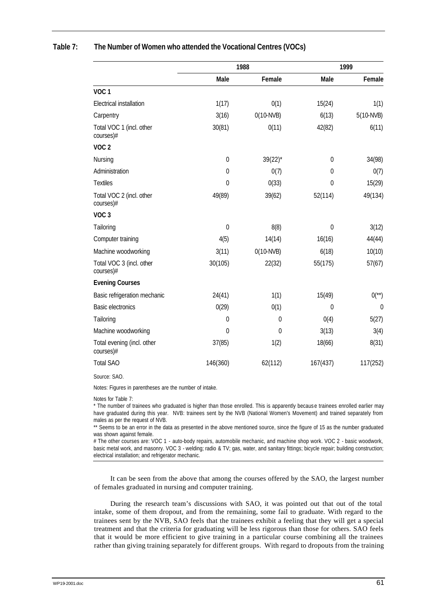|                                         |                | 1988         |                  | 1999                  |
|-----------------------------------------|----------------|--------------|------------------|-----------------------|
|                                         | Male           | Female       | Male             | Female                |
| VOC <sub>1</sub>                        |                |              |                  |                       |
| <b>Electrical installation</b>          | 1(17)          | 0(1)         | 15(24)           | 1(1)                  |
| Carpentry                               | 3(16)          | $0(10-NVB)$  | 6(13)            | 5(10-NVB)             |
| Total VOC 1 (incl. other<br>courses)#   | 30(81)         | 0(11)        | 42(82)           | 6(11)                 |
| VOC <sub>2</sub>                        |                |              |                  |                       |
| Nursing                                 | $\mathbf 0$    | $39(22)^{*}$ | $\mathbf 0$      | 34(98)                |
| Administration                          | $\mathbf 0$    | 0(7)         | $\overline{0}$   | 0(7)                  |
| <b>Textiles</b>                         | $\theta$       | 0(33)        | $\Omega$         | 15(29)                |
| Total VOC 2 (incl. other<br>courses)#   | 49(89)         | 39(62)       | 52(114)          | 49(134)               |
| VOC <sub>3</sub>                        |                |              |                  |                       |
| Tailoring                               | $\mathbf 0$    | 8(8)         | $\boldsymbol{0}$ | 3(12)                 |
| Computer training                       | 4(5)           | 14(14)       | 16(16)           | 44(44)                |
| Machine woodworking                     | 3(11)          | $0(10-NVB)$  | 6(18)            | 10(10)                |
| Total VOC 3 (incl. other<br>courses)#   | 30(105)        | 22(32)       | 55(175)          | 57(67)                |
| <b>Evening Courses</b>                  |                |              |                  |                       |
| Basic refrigeration mechanic            | 24(41)         | 1(1)         | 15(49)           | $0$ <sup>(**)</sup> ) |
| <b>Basic electronics</b>                | 0(29)          | 0(1)         | $\mathbf{0}$     | $\mathbf 0$           |
| Tailoring                               | $\mathbf 0$    | $\mathbf 0$  | 0(4)             | 5(27)                 |
| Machine woodworking                     | $\overline{0}$ | $\mathbf{0}$ | 3(13)            | 3(4)                  |
| Total evening (incl. other<br>courses)# | 37(85)         | 1(2)         | 18(66)           | 8(31)                 |
| <b>Total SAO</b>                        | 146(360)       | 62(112)      | 167(437)         | 117(252)              |
|                                         |                |              |                  |                       |

### **Table 7: The Number of Women who attended the Vocational Centres (VOCs)**

Source: SAO.

Notes: Figures in parentheses are the number of intake.

Notes for Table 7:

\* The number of trainees who graduated is higher than those enrolled. This is apparently because trainees enrolled earlier may have graduated during this year. NVB: trainees sent by the NVB (National Women's Movement) and trained separately from males as per the request of NVB.

\*\* Seems to be an error in the data as presented in the above mentioned source, since the figure of 15 as the number graduated was shown against female.

# The other courses are: VOC 1 - auto-body repairs, automobile mechanic, and machine shop work. VOC 2 - basic woodwork, basic metal work, and masonry. VOC 3 - welding; radio & TV; gas, water, and sanitary fittings; bicycle repair; building construction; electrical installation; and refrigerator mechanic.

It can be seen from the above that among the courses offered by the SAO, the largest number of females graduated in nursing and computer training.

During the research team's discussions with SAO, it was pointed out that out of the total intake, some of them dropout, and from the remaining, some fail to graduate. With regard to the trainees sent by the NVB, SAO feels that the trainees exhibit a feeling that they will get a special treatment and that the criteria for graduating will be less rigorous than those for others. SAO feels that it would be more efficient to give training in a particular course combining all the trainees rather than giving training separately for different groups. With regard to dropouts from the training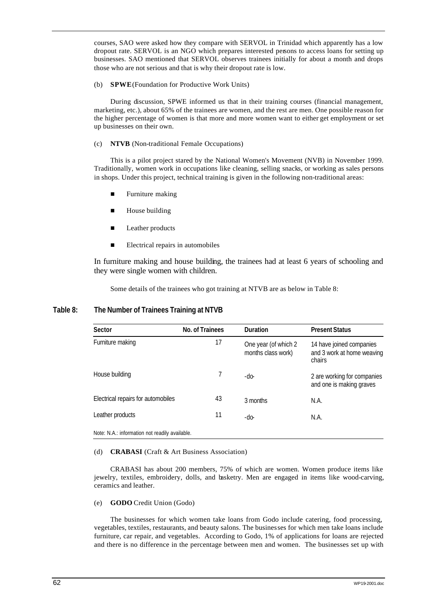courses, SAO were asked how they compare with SERVOL in Trinidad which apparently has a low dropout rate. SERVOL is an NGO which prepares interested persons to access loans for setting up businesses. SAO mentioned that SERVOL observes trainees initially for about a month and drops those who are not serious and that is why their dropout rate is low.

#### (b) **SPWE** (Foundation for Productive Work Units)

During discussion, SPWE informed us that in their training courses (financial management, marketing, etc.), about 65% of the trainees are women, and the rest are men. One possible reason for the higher percentage of women is that more and more women want to either get employment or set up businesses on their own.

#### (c) **NTVB** (Non-traditional Female Occupations)

This is a pilot project stared by the National Women's Movement (NVB) in November 1999. Traditionally, women work in occupations like cleaning, selling snacks, or working as sales persons in shops. Under this project, technical training is given in the following non-traditional areas:

- $\blacksquare$  Furniture making
- $\blacksquare$  House building
- **n** Leather products
- $\blacksquare$  Electrical repairs in automobiles

In furniture making and house building, the trainees had at least 6 years of schooling and they were single women with children.

Some details of the trainees who got training at NTVB are as below in Table 8:

### **Table 8: The Number of Trainees Training at NTVB**

| Sector                                         | No. of Trainees | <b>Duration</b>                            | <b>Present Status</b>                                            |
|------------------------------------------------|-----------------|--------------------------------------------|------------------------------------------------------------------|
| Furniture making                               | 17              | One year (of which 2<br>months class work) | 14 have joined companies<br>and 3 work at home weaving<br>chairs |
| House building                                 |                 | -do-                                       | 2 are working for companies<br>and one is making graves          |
| Electrical repairs for automobiles             | 43              | 3 months                                   | N.A.                                                             |
| Leather products                               | 11              | $-do-$                                     | N.A.                                                             |
| Note: N.A.: information not readily available. |                 |                                            |                                                                  |

#### (d) **CRABASI** (Craft & Art Business Association)

CRABASI has about 200 members, 75% of which are women. Women produce items like jewelry, textiles, embroidery, dolls, and basketry. Men are engaged in items like wood-carving, ceramics and leather.

#### (e) **GODO** Credit Union (Godo)

The businesses for which women take loans from Godo include catering, food processing, vegetables, textiles, restaurants, and beauty salons. The businesses for which men take loans include furniture, car repair, and vegetables. According to Godo, 1% of applications for loans are rejected and there is no difference in the percentage between men and women. The businesses set up with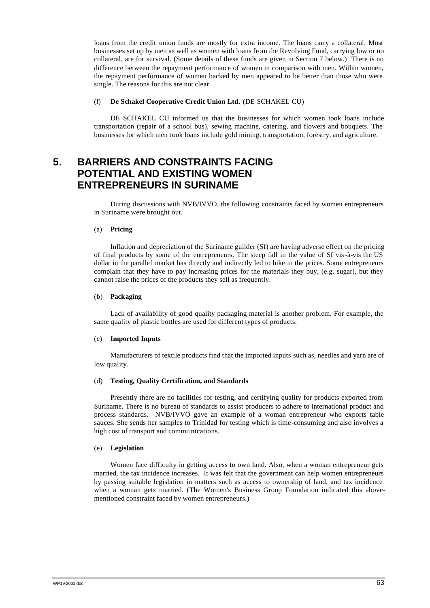loans from the credit union funds are mostly for extra income. The loans carry a collateral. Most businesses set up by men as well as women with loans from the Revolving Fund, carrying low or no collateral, are for survival. (Some details of these funds are given in Section 7 below.) There is no difference between the repayment performance of women in comparison with men. Within women, the repayment performance of women backed by men appeared to be better than those who were single. The reasons for this are not clear.

### (f) **De Schakel Cooperative Credit Union Ltd.** (DE SCHAKEL CU)

DE SCHAKEL CU informed us that the businesses for which women took loans include transportation (repair of a school bus), sewing machine, catering, and flowers and bouquets. The businesses for which men took loans include gold mining, transportation, forestry, and agriculture.

# **5. BARRIERS AND CONSTRAINTS FACING POTENTIAL AND EXISTING WOMEN ENTREPRENEURS IN SURINAME**

During discussions with NVB/IVVO, the following constraints faced by women entrepreneurs in Suriname were brought out.

#### (a) **Pricing**

Inflation and depreciation of the Suriname guilder (Sf) are having adverse effect on the pricing of final products by some of the entrepreneurs. The steep fall in the value of Sf vis-à-vis the US dollar in the paralle l market has directly and indirectly led to hike in the prices. Some entrepreneurs complain that they have to pay increasing prices for the materials they buy, (e.g. sugar), but they cannot raise the prices of the products they sell as frequently.

#### (b) **Packaging**

Lack of availability of good quality packaging material is another problem. For example, the same quality of plastic bottles are used for different types of products.

#### (c) **Imported Inputs**

Manufacturers of textile products find that the imported inputs such as, needles and yarn are of low quality.

#### (d) **Testing, Quality Certification, and Standards**

Presently there are no facilities for testing, and certifying quality for products exported from Suriname. There is no bureau of standards to assist producers to adhere to international product and process standards. NVB/IVVO gave an example of a woman entrepreneur who exports table sauces. She sends her samples to Trinidad for testing which is time-consuming and also involves a high cost of transport and commu nications.

### (e) **Legislation**

Women face difficulty in getting access to own land. Also, when a woman entrepreneur gets married, the tax incidence increases. It was felt that the government can help women entrepreneurs by passing suitable legislation in matters such as access to ownership of land, and tax incidence when a woman gets married. (The Women's Business Group Foundation indicated this abovementioned constraint faced by women entrepreneurs.)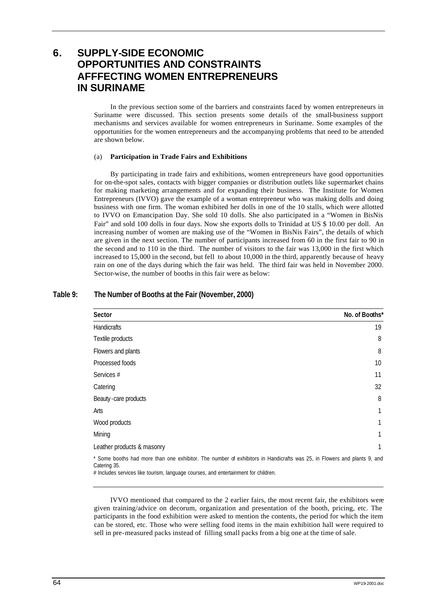# **6. SUPPLY-SIDE ECONOMIC OPPORTUNITIES AND CONSTRAINTS AFFFECTING WOMEN ENTREPRENEURS IN SURINAME**

In the previous section some of the barriers and constraints faced by women entrepreneurs in Suriname were discussed. This section presents some details of the small-business support mechanisms and services available for women entrepreneurs in Suriname. Some examples of the opportunities for the women entrepreneurs and the accompanying problems that need to be attended are shown below.

## (a) **Participation in Trade Fairs and Exhibitions**

By participating in trade fairs and exhibitions, women entrepreneurs have good opportunities for on-the-spot sales, contacts with bigger companies or distribution outlets like supermarket chains for making marketing arrangements and for expanding their business. The Institute for Women Entrepreneurs (IVVO) gave the example of a woman entrepreneur who was making dolls and doing business with one firm. The woman exhibited her dolls in one of the 10 stalls, which were allotted to IVVO on Emancipation Day. She sold 10 dolls. She also participated in a "Women in BisNis Fair" and sold 100 dolls in four days. Now she exports dolls to Trinidad at US \$ 10.00 per doll. An increasing number of women are making use of the "Women in BisNis Fairs", the details of which are given in the next section. The number of participants increased from 60 in the first fair to 90 in the second and to 110 in the third. The number of visitors to the fair was 13,000 in the first which increased to 15,000 in the second, but fell to about 10,000 in the third, apparently because of heavy rain on one of the days during which the fair was held. The third fair was held in November 2000. Sector-wise, the number of booths in this fair were as below:

| Sector                                                                                                                                  | No. of Booths* |
|-----------------------------------------------------------------------------------------------------------------------------------------|----------------|
| Handicrafts                                                                                                                             | 19             |
| Textile products                                                                                                                        | 8              |
| Flowers and plants                                                                                                                      | 8              |
| Processed foods                                                                                                                         | 10             |
| Services #                                                                                                                              | 11             |
| Catering                                                                                                                                | 32             |
| Beauty-care products                                                                                                                    | 8              |
| Arts                                                                                                                                    | 1              |
| Wood products                                                                                                                           | 1              |
| Mining                                                                                                                                  | 1              |
| Leather products & masonry                                                                                                              | 1              |
| * Some booths had more than one exhibitor. The number of exhibitors in Handicrafts was 25, in Flowers and plants 9, and<br>Catering 35. |                |

## **Table 9: The Number of Booths at the Fair (November, 2000)**

# Includes services like tourism, language courses, and entertainment for children.

IVVO mentioned that compared to the 2 earlier fairs, the most recent fair, the exhibitors were given training/advice on decorum, organization and presentation of the booth, pricing, etc. The participants in the food exhibition were asked to mention the contents, the period for which the item can be stored, etc. Those who were selling food items in the main exhibition hall were required to sell in pre-measured packs instead of filling small packs from a big one at the time of sale.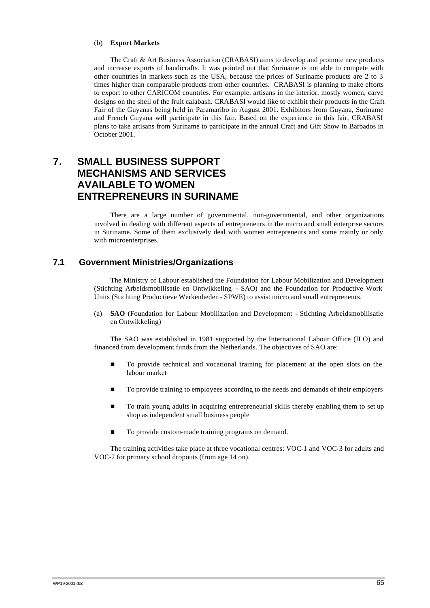### (b) **Export Markets**

The Craft & Art Business Association (CRABASI) aims to develop and promote new products and increase exports of handicrafts. It was pointed out that Suriname is not able to compete with other countries in markets such as the USA, because the prices of Suriname products are 2 to 3 times higher than comparable products from other countries. CRABASI is planning to make efforts to export to other CARICOM countries. For example, artisans in the interior, mostly women, carve designs on the shell of the fruit calabash. CRABASI would like to exhibit their products in the Craft Fair of the Guyanas being held in Paramaribo in August 2001. Exhibitors from Guyana, Suriname and French Guyana will participate in this fair. Based on the experience in this fair, CRABASI plans to take artisans from Suriname to participate in the annual Craft and Gift Show in Barbados in October 2001.

# **7. SMALL BUSINESS SUPPORT MECHANISMS AND SERVICES AVAILABLE TO WOMEN ENTREPRENEURS IN SURINAME**

There are a large number of governmental, non-governmental, and other organizations involved in dealing with different aspects of entrepreneurs in the micro and small enterprise sectors in Suriname. Some of them exclusively deal with women entrepreneurs and some mainly or only with microenterprises.

## **7.1 Government Ministries/Organizations**

The Ministry of Labour established the Foundation for Labour Mobilization and Development (Stichting Arbeidsmobilisatie en Ontwikkeling - SAO) and the Foundation for Productive Work Units (Stichting Productieve Werkenheden - SPWE) to assist micro and small entrepreneurs.

(a) **SAO** (Foundation for Labour Mobilization and Development - Stichting Arbeidsmobilisatie en Ontwikkeling)

The SAO was established in 1981 supported by the International Labour Office (ILO) and financed from development funds from the Netherlands. The objectives of SAO are:

- n To provide technical and vocational training for placement at the open slots on the labour market
- To provide training to employees according to the needs and demands of their employers
- To train young adults in acquiring entrepreneurial skills thereby enabling them to set up shop as independent small business people
- To provide custom-made training programs on demand.

The training activities take place at three vocational centres: VOC-1 and VOC-3 for adults and VOC-2 for primary school dropouts (from age 14 on).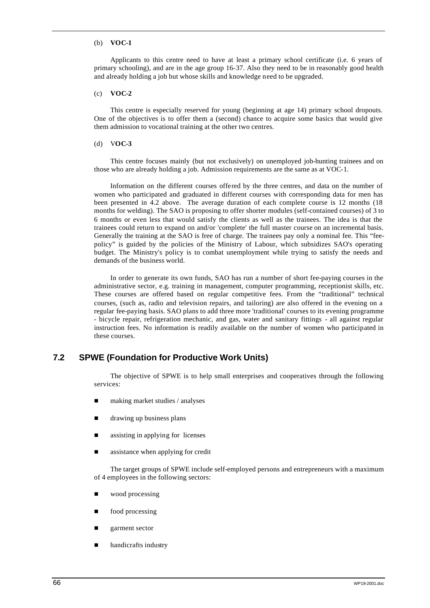### (b) **VOC-1**

Applicants to this centre need to have at least a primary school certificate (i.e. 6 years of primary schooling), and are in the age group 16-37. Also they need to be in reasonably good health and already holding a job but whose skills and knowledge need to be upgraded.

## (c) **VOC-2**

This centre is especially reserved for young (beginning at age 14) primary school dropouts. One of the objectives is to offer them a (second) chance to acquire some basics that would give them admission to vocational training at the other two centres.

### (d) V**OC-3**

This centre focuses mainly (but not exclusively) on unemployed job-hunting trainees and on those who are already holding a job. Admission requirements are the same as at VOC-1.

Information on the different courses offered by the three centres, and data on the number of women who participated and graduated in different courses with corresponding data for men has been presented in 4.2 above. The average duration of each complete course is 12 months (18 months for welding). The SAO is proposing to offer shorter modules (self-contained courses) of 3 to 6 months or even less that would satisfy the clients as well as the trainees. The idea is that the trainees could return to expand on and/or 'complete' the full master course on an incremental basis. Generally the training at the SAO is free of charge. The trainees pay only a nominal fee. This "feepolicy" is guided by the policies of the Ministry of Labour, which subsidizes SAO's operating budget. The Ministry's policy is to combat unemployment while trying to satisfy the needs and demands of the business world.

In order to generate its own funds, SAO has run a number of short fee-paying courses in the administrative sector, e.g. training in management, computer programming, receptionist skills, etc. These courses are offered based on regular competitive fees. From the "traditional" technical courses, (such as, radio and television repairs, and tailoring) are also offered in the evening on a regular fee-paying basis. SAO plans to add three more 'traditional' courses to its evening programme - bicycle repair, refrigeration mechanic, and gas, water and sanitary fittings - all against regular instruction fees. No information is readily available on the number of women who participated in these courses.

# **7.2 SPWE (Foundation for Productive Work Units)**

The objective of SPWE is to help small enterprises and cooperatives through the following services:

- making market studies / analyses
- drawing up business plans
- n assisting in applying for licenses
- assistance when applying for credit

The target groups of SPWE include self-employed persons and entrepreneurs with a maximum of 4 employees in the following sectors:

- wood processing
- food processing
- garment sector
- handicrafts industry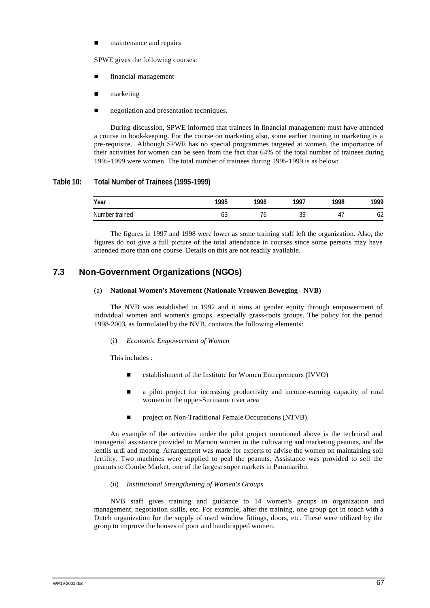maintenance and repairs

SPWE gives the following courses:

- financial management
- marketing
- negotiation and presentation techniques.

During discussion, SPWE informed that trainees in financial management must have attended a course in book-keeping. For the course on marketing also, some earlier training in marketing is a pre-requisite. Although SPWE has no special programmes targeted at women, the importance of their activities for women can be seen from the fact that 64% of the total number of trainees during 1995-1999 were women. The total number of trainees during 1995-1999 is as below:

## **Table 10: Total Number of Trainees (1995-1999)**

| Year           | 100F<br>70 | 1004 | 1007          | 1000<br>70 | 1999             |
|----------------|------------|------|---------------|------------|------------------|
| Number trained | υJ         |      | nr<br>л.<br>ັ | . .        | $\sqrt{2}$<br>υz |

The figures in 1997 and 1998 were lower as some training staff left the organization. Also, the figures do not give a full picture of the total attendance in courses since some persons may have attended more than one course. Details on this are not readily available.

# **7.3 Non-Government Organizations (NGOs)**

### (a) **National Women's Movement (Nationale Vrouwen Beweging - NVB)**

The NVB was established in 1992 and it aims at gender equity through empowerment of individual women and women's groups, especially grass-roots groups. The policy for the period 1998-2003, as formulated by the NVB, contains the following elements:

(i) *Economic Empowerment of Women*

This includes :

- establishment of the Institute for Women Entrepreneurs (IVVO)
- n a pilot project for increasing productivity and income-earning capacity of rural women in the upper-Suriname river area
- project on Non-Traditional Female Occupations (NTVB).

An example of the activities under the pilot project mentioned above is the technical and managerial assistance provided to Maroon women in the cultivating and marketing peanuts, and the lentils urdi and moong. Arrangement was made for experts to advise the women on maintaining soil fertility. Two machines were supplied to peal the peanuts. Assistance was provided to sell the peanuts to Combe Market, one of the largest super markets in Paramaribo.

## (ii) *Institutional Strengthening of Women's Groups*

NVB staff gives training and guidance to 14 women's groups in organization and management, negotiation skills, etc. For example, after the training, one group got in touch with a Dutch organization for the supply of used window fittings, doors, etc. These were utilized by the group to improve the houses of poor and handicapped women.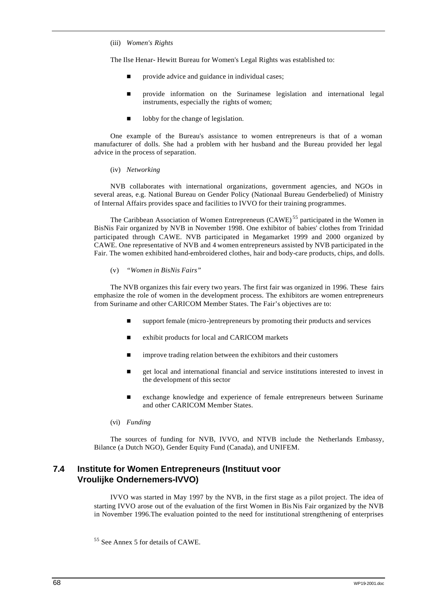(iii) *Women's Rights*

The Ilse Henar- Hewitt Bureau for Women's Legal Rights was established to:

- provide advice and guidance in individual cases;
- n provide information on the Surinamese legislation and international legal instruments, especially the rights of women;
- lobby for the change of legislation.

One example of the Bureau's assistance to women entrepreneurs is that of a woman manufacturer of dolls. She had a problem with her husband and the Bureau provided her legal advice in the process of separation.

(iv) *Networking*

NVB collaborates with international organizations, government agencies, and NGOs in several areas, e.g. National Bureau on Gender Policy (Nationaal Bureau Genderbelied) of Ministry of Internal Affairs provides space and facilities to IVVO for their training programmes.

The Caribbean Association of Women Entrepreneurs (CAWE)<sup>55</sup> participated in the Women in BisNis Fair organized by NVB in November 1998. One exhibitor of babies' clothes from Trinidad participated through CAWE. NVB participated in Megamarket 1999 and 2000 organized by CAWE. One representative of NVB and 4 women entrepreneurs assisted by NVB participated in the Fair. The women exhibited hand-embroidered clothes, hair and body-care products, chips, and dolls.

(v) *"Women in BisNis Fairs"*

The NVB organizes this fair every two years. The first fair was organized in 1996. These fairs emphasize the role of women in the development process. The exhibitors are women entrepreneurs from Suriname and other CARICOM Member States. The Fair's objectives are to:

- $\Box$  support female (micro-)entrepreneurs by promoting their products and services
- exhibit products for local and CARICOM markets
- improve trading relation between the exhibitors and their customers
- n get local and international financial and service institutions interested to invest in the development of this sector
- n exchange knowledge and experience of female entrepreneurs between Suriname and other CARICOM Member States.
- (vi) *Funding*

The sources of funding for NVB, IVVO, and NTVB include the Netherlands Embassy, Bilance (a Dutch NGO), Gender Equity Fund (Canada), and UNIFEM.

# **7.4 Institute for Women Entrepreneurs (Instituut voor Vroulijke Ondernemers-IVVO)**

IVVO was started in May 1997 by the NVB, in the first stage as a pilot project. The idea of starting IVVO arose out of the evaluation of the first Women in Bis Nis Fair organized by the NVB in November 1996.The evaluation pointed to the need for institutional strengthening of enterprises

<sup>&</sup>lt;sup>55</sup> See Annex 5 for details of CAWE.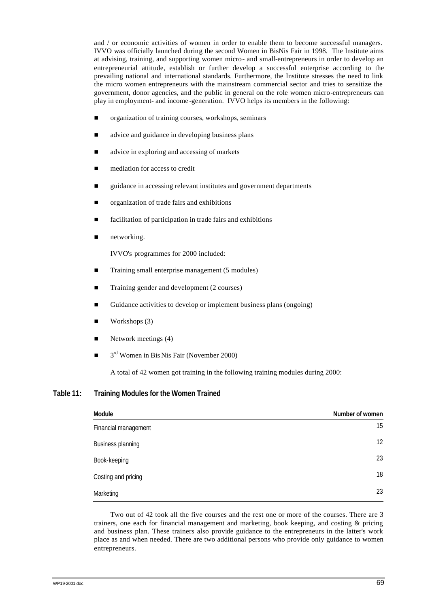and / or economic activities of women in order to enable them to become successful managers. IVVO was officially launched during the second Women in BisNis Fair in 1998. The Institute aims at advising, training, and supporting women micro- and small-entrepreneurs in order to develop an entrepreneurial attitude, establish or further develop a successful enterprise according to the prevailing national and international standards. Furthermore, the Institute stresses the need to link the micro women entrepreneurs with the mainstream commercial sector and tries to sensitize the government, donor agencies, and the public in general on the role women micro-entrepreneurs can play in employment- and income -generation. IVVO helps its members in the following:

- organization of training courses, workshops, seminars
- advice and guidance in developing business plans
- n advice in exploring and accessing of markets
- mediation for access to credit
- n guidance in accessing relevant institutes and government departments
- n organization of trade fairs and exhibitions
- facilitation of participation in trade fairs and exhibitions
- networking.

IVVO's programmes for 2000 included:

- Training small enterprise management (5 modules)
- Training gender and development (2 courses)
- Guidance activities to develop or implement business plans (ongoing)
- Workshops (3)
- Network meetings (4)
- $\Box$  3<sup>rd</sup> Women in Bis Nis Fair (November 2000)

A total of 42 women got training in the following training modules during 2000:

**Table 11: Training Modules for the Women Trained**

| Module               | Number of women |
|----------------------|-----------------|
| Financial management | 15              |
| Business planning    | 12              |
| Book-keeping         | 23              |
| Costing and pricing  | 18              |
| Marketing            | 23              |

Two out of 42 took all the five courses and the rest one or more of the courses. There are 3 trainers, one each for financial management and marketing, book keeping, and costing & pricing and business plan. These trainers also provide guidance to the entrepreneurs in the latter's work place as and when needed. There are two additional persons who provide only guidance to women entrepreneurs.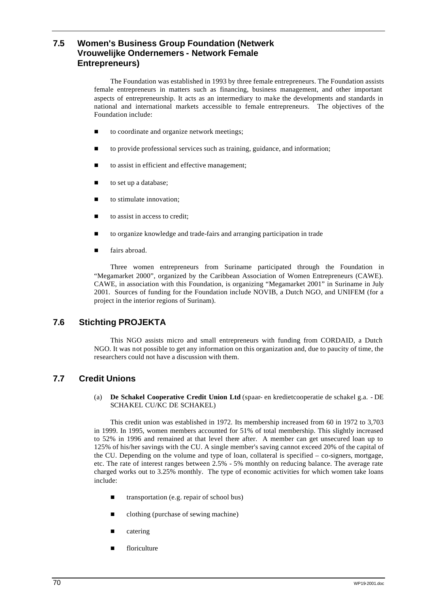# **7.5 Women's Business Group Foundation (Netwerk Vrouwelijke Ondernemers - Network Female Entrepreneurs)**

The Foundation was established in 1993 by three female entrepreneurs. The Foundation assists female entrepreneurs in matters such as financing, business management, and other important aspects of entrepreneurship. It acts as an intermediary to make the developments and standards in national and international markets accessible to female entrepreneurs. The objectives of the Foundation include:

- to coordinate and organize network meetings;
- to provide professional services such as training, guidance, and information;
- to assist in efficient and effective management;
- to set up a database;
- to stimulate innovation;
- to assist in access to credit;
- to organize knowledge and trade-fairs and arranging participation in trade
- fairs abroad.

Three women entrepreneurs from Suriname participated through the Foundation in "Megamarket 2000", organized by the Caribbean Association of Women Entrepreneurs (CAWE). CAWE, in association with this Foundation, is organizing "Megamarket 2001" in Suriname in July 2001. Sources of funding for the Foundation include NOVIB, a Dutch NGO, and UNIFEM (for a project in the interior regions of Surinam).

# **7.6 Stichting PROJEKTA**

This NGO assists micro and small entrepreneurs with funding from CORDAID, a Dutch NGO. It was not possible to get any information on this organization and, due to paucity of time, the researchers could not have a discussion with them.

# **7.7 Credit Unions**

(a) **De Schakel Cooperative Credit Union Ltd** (spaar- en kredietcooperatie de schakel g.a. - DE SCHAKEL CU/KC DE SCHAKEL)

This credit union was established in 1972. Its membership increased from 60 in 1972 to 3,703 in 1999. In 1995, women members accounted for 51% of total membership. This slightly increased to 52% in 1996 and remained at that level there after. A member can get unsecured loan up to 125% of his/her savings with the CU. A single member's saving cannot exceed 20% of the capital of the CU. Depending on the volume and type of loan, collateral is specified – co-signers, mortgage, etc. The rate of interest ranges between 2.5% - 5% monthly on reducing balance. The average rate charged works out to 3.25% monthly. The type of economic activities for which women take loans include:

- $\blacksquare$  transportation (e.g. repair of school bus)
- $\blacksquare$  clothing (purchase of sewing machine)
- catering
- $\blacksquare$  floriculture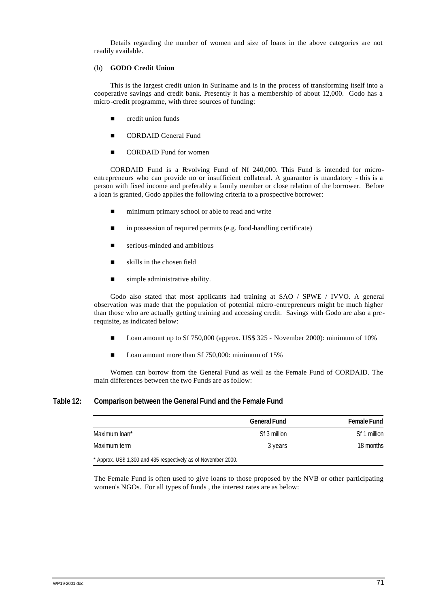Details regarding the number of women and size of loans in the above categories are not readily available.

## (b) **GODO Credit Union**

This is the largest credit union in Suriname and is in the process of transforming itself into a cooperative savings and credit bank. Presently it has a membership of about 12,000. Godo has a micro -credit programme, with three sources of funding:

- $\blacksquare$  credit union funds
- **n** CORDAID General Fund
- CORDAID Fund for women

CORDAID Fund is a Revolving Fund of Nf 240,000. This Fund is intended for microentrepreneurs who can provide no or insufficient collateral. A guarantor is mandatory - this is a person with fixed income and preferably a family member or close relation of the borrower. Before a loan is granted, Godo applies the following criteria to a prospective borrower:

- $\blacksquare$  minimum primary school or able to read and write
- $\blacksquare$  in possession of required permits (e.g. food-handling certificate)
- $\blacksquare$  serious-minded and ambitious
- $\blacksquare$  skills in the chosen field
- $\blacksquare$  simple administrative ability.

Godo also stated that most applicants had training at SAO / SPWE / IVVO. A general observation was made that the population of potential micro -entrepreneurs might be much higher than those who are actually getting training and accessing credit. Savings with Godo are also a prerequisite, as indicated below:

- n Loan amount up to Sf 750,000 (approx. US\$ 325 November 2000): minimum of 10%
- Loan amount more than Sf  $750,000$ : minimum of  $15%$

Women can borrow from the General Fund as well as the Female Fund of CORDAID. The main differences between the two Funds are as follow:

## **Table 12: Comparison between the General Fund and the Female Fund**

|                                                                | <b>General Fund</b> | <b>Female Fund</b> |
|----------------------------------------------------------------|---------------------|--------------------|
| Maximum loan*                                                  | Sf 3 million        | Sf 1 million       |
| Maximum term                                                   | 3 years             | 18 months          |
| * Approx. US\$ 1,300 and 435 respectively as of November 2000. |                     |                    |

The Female Fund is often used to give loans to those proposed by the NVB or other participating women's NGOs. For all types of funds , the interest rates are as below: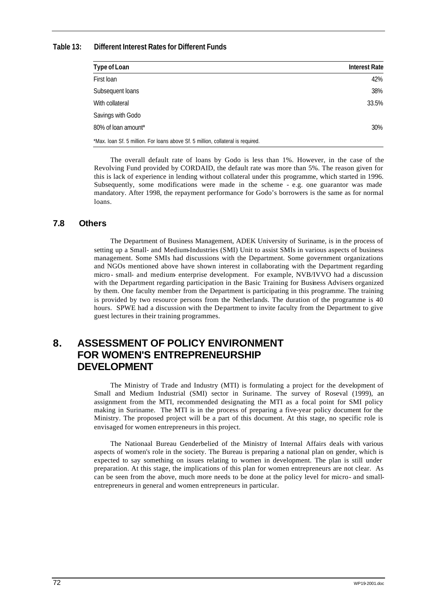## **Table 13: Different Interest Rates for Different Funds**

| Type of Loan                                                                     | <b>Interest Rate</b> |
|----------------------------------------------------------------------------------|----------------------|
| First Ioan                                                                       | 42%                  |
| Subsequent loans                                                                 | 38%                  |
| With collateral                                                                  | 33.5%                |
| Savings with Godo                                                                |                      |
| 80% of loan amount*                                                              | 30%                  |
| *Max. Ioan Sf. 5 million. For loans above Sf. 5 million, collateral is required. |                      |

The overall default rate of loans by Godo is less than 1%. However, in the case of the Revolving Fund provided by CORDAID, the default rate was more than 5%. The reason given for this is lack of experience in lending without collateral under this programme, which started in 1996. Subsequently, some modifications were made in the scheme - e.g. one guarantor was made mandatory. After 1998, the repayment performance for Godo's borrowers is the same as for normal loans.

## **7.8 Others**

The Department of Business Management, ADEK University of Suriname, is in the process of setting up a Small- and Medium-Industries (SMI) Unit to assist SMIs in various aspects of business management. Some SMIs had discussions with the Department. Some government organizations and NGOs mentioned above have shown interest in collaborating with the Department regarding micro - small- and medium- enterprise development. For example, NVB/IVVO had a discussion with the Department regarding participation in the Basic Training for Business Advisers organized by them. One faculty member from the Department is participating in this programme. The training is provided by two resource persons from the Netherlands. The duration of the programme is 40 hours. SPWE had a discussion with the Department to invite faculty from the Department to give guest lectures in their training programmes.

# **8. ASSESSMENT OF POLICY ENVIRONMENT FOR WOMEN'S ENTREPRENEURSHIP DEVELOPMENT**

The Ministry of Trade and Industry (MTI) is formulating a project for the development of Small and Medium Industrial (SMI) sector in Suriname. The survey of Roseval (1999), an assignment from the MTI, recommended designating the MTI as a focal point for SMI policy making in Suriname. The MTI is in the process of preparing a five-year policy document for the Ministry. The proposed project will be a part of this document. At this stage, no specific role is envisaged for women entrepreneurs in this project.

The Nationaal Bureau Genderbelied of the Ministry of Internal Affairs deals with various aspects of women's role in the society. The Bureau is preparing a national plan on gender, which is expected to say something on issues relating to women in development. The plan is still under preparation. At this stage, the implications of this plan for women entrepreneurs are not clear. As can be seen from the above, much more needs to be done at the policy level for micro- and smallentrepreneurs in general and women entrepreneurs in particular.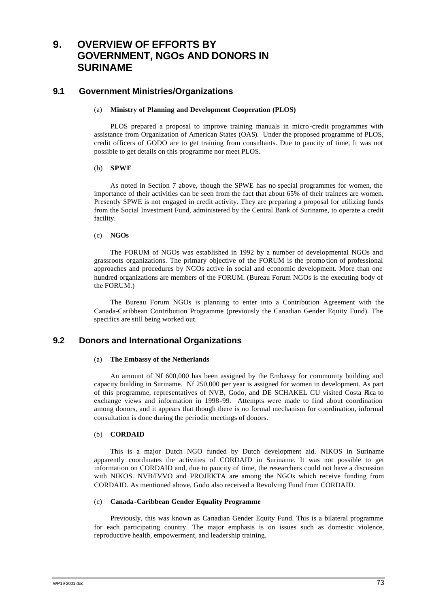# **9. OVERVIEW OF EFFORTS BY GOVERNMENT, NGOs AND DONORS IN SURINAME**

# **9.1 Government Ministries/Organizations**

## (a) **Ministry of Planning and Development Cooperation (PLOS)**

PLOS prepared a proposal to improve training manuals in micro -credit programmes with assistance from Organization of American States (OAS). Under the proposed programme of PLOS, credit officers of GODO are to get training from consultants. Due to paucity of time, It was not possible to get details on this programme nor meet PLOS.

### (b) **SPWE**

As noted in Section 7 above, though the SPWE has no special programmes for women, the importance of their activities can be seen from the fact that about 65% of their trainees are women. Presently SPWE is not engaged in credit activity. They are preparing a proposal for utilizing funds from the Social Investment Fund, administered by the Central Bank of Suriname, to operate a credit facility.

### (c) **NGOs**

The FORUM of NGOs was established in 1992 by a number of developmental NGOs and grassroots organizations. The primary objective of the FORUM is the promo tion of professional approaches and procedures by NGOs active in social and economic development. More than one hundred organizations are members of the FORUM. (Bureau Forum NGOs is the executing body of the FORUM.)

The Bureau Forum NGOs is planning to enter into a Contribution Agreement with the Canada-Caribbean Contribution Programme (previously the Canadian Gender Equity Fund). The specifics are still being worked out.

## **9.2 Donors and International Organizations**

## (a) **The Embassy of the Netherlands**

An amount of Nf 600,000 has been assigned by the Embassy for community building and capacity building in Suriname. Nf 250,000 per year is assigned for women in development. As part of this programme, representatives of NVB, Godo, and DE SCHAKEL CU visited Costa Rica to exchange views and information in 1998-99. Attempts were made to find about coordination among donors, and it appears that though there is no formal mechanism for coordination, informal consultation is done during the periodic meetings of donors.

#### (b) **CORDAID**

This is a major Dutch NGO funded by Dutch development aid. NIKOS in Suriname apparently coordinates the activities of CORDAID in Suriname. It was not possible to get information on CORDAID and, due to paucity of time, the researchers could not have a discussion with NIKOS. NVB/IVVO and PROJEKTA are among the NGOs which receive funding from CORDAID. As mentioned above, Godo also received a Revolving Fund from CORDAID.

#### (c) **Canada-Caribbean Gender Equality Programme**

Previously, this was known as Canadian Gender Equity Fund. This is a bilateral programme for each participating country. The major emphasis is on issues such as domestic violence, reproductive health, empowerment, and leadership training.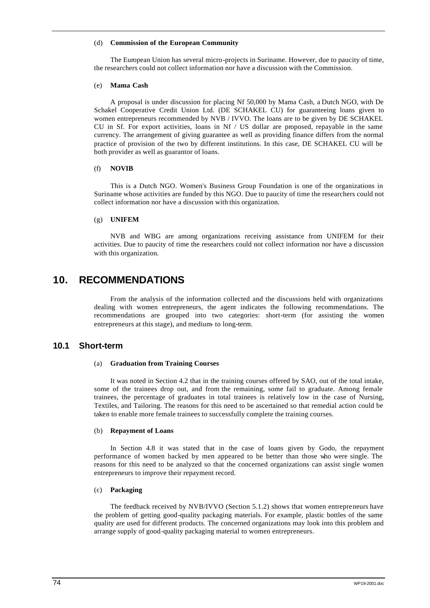#### (d) **Commission of the European Community**

The European Union has several micro-projects in Suriname. However, due to paucity of time, the researchers could not collect information nor have a discussion with the Commission.

#### (e) **Mama Cash**

A proposal is under discussion for placing Nf 50,000 by Mama Cash, a Dutch NGO, with De Schakel Cooperative Credit Union Ltd. (DE SCHAKEL CU) for guaranteeing loans given to women entrepreneurs recommended by NVB / IVVO. The loans are to be given by DE SCHAKEL CU in Sf. For export activities, loans in  $Nf / US$  dollar are proposed, repayable in the same currency. The arrangement of giving guarantee as well as providing finance differs from the normal practice of provision of the two by different institutions. In this case, DE SCHAKEL CU will be both provider as well as guarantor of loans.

### (f) **NOVIB**

This is a Dutch NGO. Women's Business Group Foundation is one of the organizations in Suriname whose activities are funded by this NGO. Due to paucity of time the researchers could not collect information nor have a discussion with this organization.

## (g) **UNIFEM**

NVB and WBG are among organizations receiving assistance from UNIFEM for their activities. Due to paucity of time the researchers could not collect information nor have a discussion with this organization.

# **10. RECOMMENDATIONS**

From the analysis of the information collected and the discussions held with organizations dealing with women entrepreneurs, the agent indicates the following recommendations. The recommendations are grouped into two categories: short-term (for assisting the women entrepreneurs at this stage), and medium- to long-term.

## **10.1 Short-term**

#### (a) **Graduation from Training Courses**

It was noted in Section 4.2 that in the training courses offered by SAO, out of the total intake, some of the trainees drop out, and from the remaining, some fail to graduate. Among female trainees, the percentage of graduates in total trainees is relatively low in the case of Nursing, Textiles, and Tailoring. The reasons for this need to be ascertained so that remedial action could be taken to enable more female trainees to successfully complete the training courses.

#### (b) **Repayment of Loans**

In Section 4.8 it was stated that in the case of loans given by Godo, the repayment performance of women backed by men appeared to be better than those who were single. The reasons for this need to be analyzed so that the concerned organizations can assist single women entrepreneurs to improve their repayment record.

#### (c) **Packaging**

The feedback received by NVB/IVVO (Section 5.1.2) shows that women entrepreneurs have the problem of getting good-quality packaging materials. For example, plastic bottles of the same quality are used for different products. The concerned organizations may look into this problem and arrange supply of good-quality packaging material to women entrepreneurs.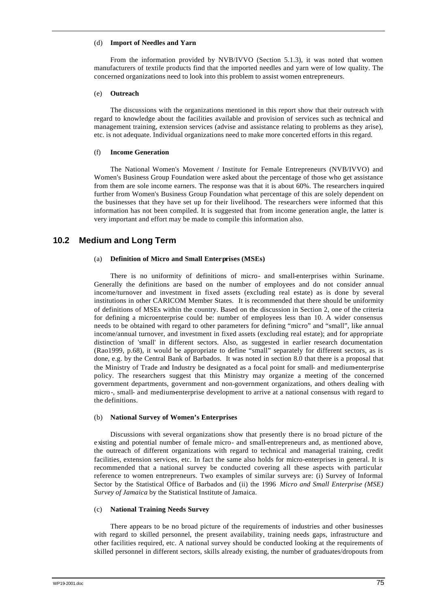### (d) **Import of Needles and Yarn**

From the information provided by NVB/IVVO (Section 5.1.3), it was noted that women manufacturers of textile products find that the imported needles and yarn were of low quality. The concerned organizations need to look into this problem to assist women entrepreneurs.

### (e) **Outreach**

The discussions with the organizations mentioned in this report show that their outreach with regard to knowledge about the facilities available and provision of services such as technical and management training, extension services (advise and assistance relating to problems as they arise), etc. is not adequate. Individual organizations need to make more concerted efforts in this regard.

### (f) **Income Generation**

The National Women's Movement / Institute for Female Entrepreneurs (NVB/IVVO) and Women's Business Group Foundation were asked about the percentage of those who get assistance from them are sole income earners. The response was that it is about 60%. The researchers inquired further from Women's Business Group Foundation what percentage of this are solely dependent on the businesses that they have set up for their livelihood. The researchers were informed that this information has not been compiled. It is suggested that from income generation angle, the latter is very important and effort may be made to compile this information also.

## **10.2 Medium and Long Term**

## (a) **Definition of Micro and Small Enterprises (MSEs)**

There is no uniformity of definitions of micro- and small-enterprises within Suriname. Generally the definitions are based on the number of employees and do not consider annual income/turnover and investment in fixed assets (excluding real estate) as is done by several institutions in other CARICOM Member States. It is recommended that there should be uniformity of definitions of MSEs within the country. Based on the discussion in Section 2, one of the criteria for defining a microenterprise could be: number of employees less than 10. A wider consensus needs to be obtained with regard to other parameters for defining "micro" and "small", like annual income/annual turnover, and investment in fixed assets (excluding real estate); and for appropriate distinction of 'small' in different sectors. Also, as suggested in earlier research documentation (Rao1999, p.68), it would be appropriate to define "small" separately for different sectors, as is done, e.g. by the Central Bank of Barbados. It was noted in section 8.0 that there is a proposal that the Ministry of Trade and Industry be designated as a focal point for small- and medium-enterprise policy. The researchers suggest that this Ministry may organize a meeting of the concerned government departments, government and non-government organizations, and others dealing with micro -, small- and medium-enterprise development to arrive at a national consensus with regard to the definitions.

## (b) **National Survey of Women's Enterprises**

Discussions with several organizations show that presently there is no broad picture of the existing and potential number of female micro- and small-entrepreneurs and, as mentioned above, the outreach of different organizations with regard to technical and managerial training, credit facilities, extension services, etc. In fact the same also holds for micro-enterprises in general. It is recommended that a national survey be conducted covering all these aspects with particular reference to women entrepreneurs. Two examples of similar surveys are: (i) Survey of Informal Sector by the Statistical Office of Barbados and (ii) the 1996 *Micro and Small Enterprise (MSE) Survey of Jamaica* by the Statistical Institute of Jamaica.

## (c) **National Training Needs Survey**

There appears to be no broad picture of the requirements of industries and other businesses with regard to skilled personnel, the present availability, training needs gaps, infrastructure and other facilities required, etc. A national survey should be conducted looking at the requirements of skilled personnel in different sectors, skills already existing, the number of graduates/dropouts from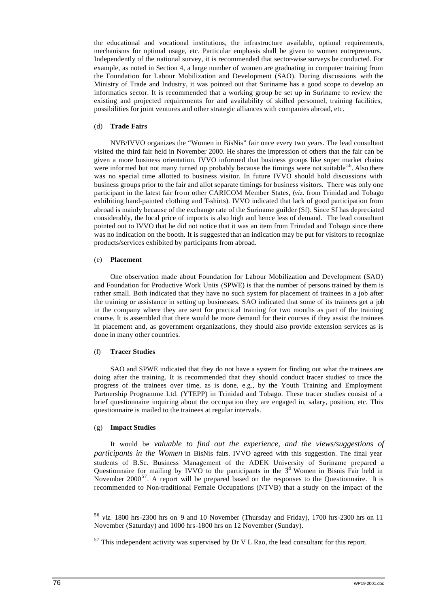the educational and vocational institutions, the infrastructure available, optimal requirements, mechanisms for optimal usage, etc. Particular emphasis shall be given to women entrepreneurs. Independently of the national survey, it is recommended that sector-wise surveys be conducted. For example, as noted in Section 4, a large number of women are graduating in computer training from the Foundation for Labour Mobilization and Development (SAO). During discussions with the Ministry of Trade and Industry, it was pointed out that Suriname has a good scope to develop an informatics sector. It is recommended that a working group be set up in Suriname to review the existing and projected requirements for and availability of skilled personnel, training facilities, possibilities for joint ventures and other strategic alliances with companies abroad, etc.

### (d) **Trade Fairs**

NVB/IVVO organizes the "Women in BisNis" fair once every two years. The lead consultant visited the third fair held in November 2000. He shares the impression of others that the fair can be given a more business orientation. IVVO informed that business groups like super market chains were informed but not many turned up probably because the timings were not suitable  $56$ . Also there was no special time allotted to business visitor. In future IVVO should hold discussions with business groups prior to the fair and allot separate timings for business visitors. There was only one participant in the latest fair fro m other CARICOM Member States, (*viz.* from Trinidad and Tobago exhibiting hand-painted clothing and T-shirts). IVVO indicated that lack of good participation from abroad is mainly because of the exchange rate of the Suriname guilder (Sf). Since Sf has depreciated considerably, the local price of imports is also high and hence less of demand. The lead consultant pointed out to IVVO that he did not notice that it was an item from Trinidad and Tobago since there was no indication on the booth. It is suggested that an indication may be put for visitors to recognize products/services exhibited by participants from abroad.

### (e) **Placement**

One observation made about Foundation for Labour Mobilization and Development (SAO) and Foundation for Productive Work Units (SPWE) is that the number of persons trained by them is rather small. Both indicated that they have no such system for placement of trainees in a job after the training or assistance in setting up businesses. SAO indicated that some of its trainees get a job in the company where they are sent for practical training for two months as part of the training course. It is assembled that there would be more demand for their courses if they assist the trainees in placement and, as government organizations, they should also provide extension services as is done in many other countries.

### (f) **Tracer Studies**

SAO and SPWE indicated that they do not have a system for finding out what the trainees are doing after the training. It is recommended that they should conduct 'tracer studies' to trace the progress of the trainees over time, as is done, e.g., by the Youth Training and Employment Partnership Programme Ltd. (YTEPP) in Trinidad and Tobago. These tracer studies consist of a brief questionnaire inquiring about the occupation they are engaged in, salary, position, etc. This questionnaire is mailed to the trainees at regular intervals.

#### (g) **Impact Studies**

It would be *valuable to find out the experience, and the views/suggestions of participants in the Women* in BisNis fairs. IVVO agreed with this suggestion. The final year students of B.Sc. Business Management of the ADEK University of Suriname prepared a Questionnaire for mailing by IVVO to the participants in the  $3<sup>d</sup>$  Women in Bisnis Fair held in November 2000<sup>57</sup>. A report will be prepared based on the responses to the Questionnaire. It is recommended to Non-traditional Female Occupations (NTVB) that a study on the impact of the

<sup>56</sup> *viz.* 1800 hrs-2300 hrs on 9 and 10 November (Thursday and Friday), 1700 hrs-2300 hrs on 11 November (Saturday) and 1000 hrs-1800 hrs on 12 November (Sunday).

 $57$  This independent activity was supervised by Dr V L Rao, the lead consultant for this report.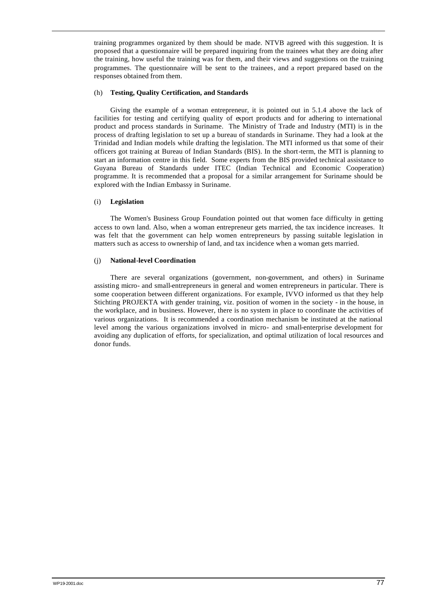training programmes organized by them should be made. NTVB agreed with this suggestion. It is proposed that a questionnaire will be prepared inquiring from the trainees what they are doing after the training, how useful the training was for them, and their views and suggestions on the training programmes. The questionnaire will be sent to the trainees, and a report prepared based on the responses obtained from them.

### (h) **Testing, Quality Certification, and Standards**

Giving the example of a woman entrepreneur, it is pointed out in 5.1.4 above the lack of facilities for testing and certifying quality of export products and for adhering to international product and process standards in Suriname. The Ministry of Trade and Industry (MTI) is in the process of drafting legislation to set up a bureau of standards in Suriname. They had a look at the Trinidad and Indian models while drafting the legislation. The MTI informed us that some of their officers got training at Bureau of Indian Standards (BIS). In the short-term, the MTI is planning to start an information centre in this field. Some experts from the BIS provided technical assistance to Guyana Bureau of Standards under ITEC (Indian Technical and Economic Cooperation) programme. It is recommended that a proposal for a similar arrangement for Suriname should be explored with the Indian Embassy in Suriname.

### (i) **Legislation**

The Women's Business Group Foundation pointed out that women face difficulty in getting access to own land. Also, when a woman entrepreneur gets married, the tax incidence increases. It was felt that the government can help women entrepreneurs by passing suitable legislation in matters such as access to ownership of land, and tax incidence when a woman gets married.

### (j) **National-level Coordination**

There are several organizations (government, non-government, and others) in Suriname assisting micro- and small-entrepreneurs in general and women entrepreneurs in particular. There is some cooperation between different organizations. For example, IVVO informed us that they help Stichting PROJEKTA with gender training, viz. position of women in the society - in the house, in the workplace, and in business. However, there is no system in place to coordinate the activities of various organizations. It is recommended a coordination mechanism be instituted at the national level among the various organizations involved in micro- and small-enterprise development for avoiding any duplication of efforts, for specialization, and optimal utilization of local resources and donor funds.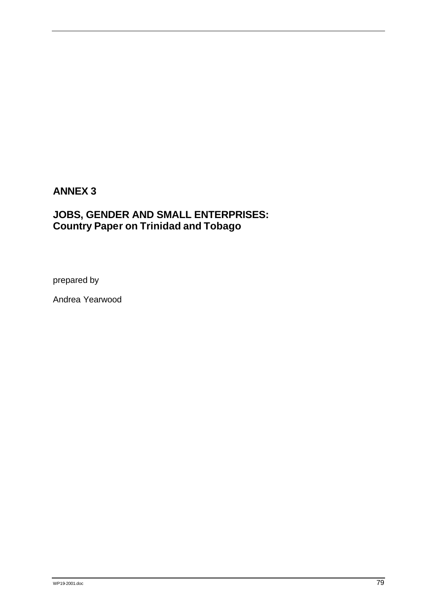# **ANNEX 3**

# **JOBS, GENDER AND SMALL ENTERPRISES: Country Paper on Trinidad and Tobago**

prepared by

Andrea Yearwood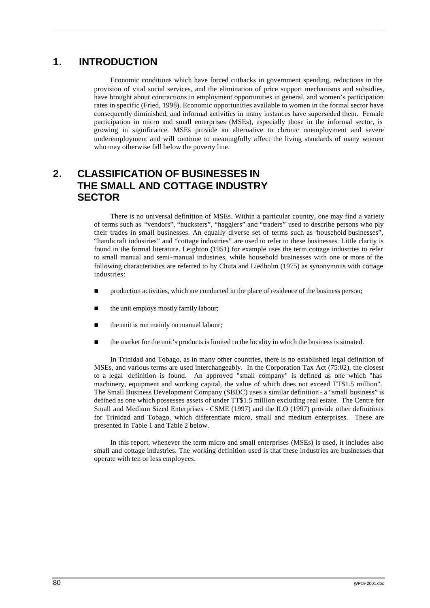# **1. INTRODUCTION**

Economic conditions which have forced cutbacks in government spending, reductions in the provision of vital social services, and the elimination of price support mechanisms and subsidies, have brought about contractions in employment opportunities in general, and women's participation rates in specific (Fried, 1998). Economic opportunities available to women in the formal sector have consequently diminished, and informal activities in many instances have superseded them. Female participation in micro and small enterprises (MSEs), especially those in the informal sector, is growing in significance. MSEs provide an alternative to chronic unemployment and severe underemployment and will continue to meaningfully affect the living standards of many women who may otherwise fall below the poverty line.

# **2. CLASSIFICATION OF BUSINESSES IN THE SMALL AND COTTAGE INDUSTRY SECTOR**

There is no universal definition of MSEs. Within a particular country, one may find a variety of terms such as "vendors", "hucksters", "hagglers" and "traders" used to describe persons who ply their trades in small businesses. An equally diverse set of terms such as "household businesses", "handicraft industries" and "cottage industries" are used to refer to these businesses. Little clarity is found in the formal literature. Leighton (1951) for example uses the term cottage industries to refer to small manual and semi-manual industries, while household businesses with one or more of the following characteristics are referred to by Chuta and Liedholm (1975) as synonymous with cottage industries:

- n production activities, which are conducted in the place of residence of the business person;
- the unit employs mostly family labour;
- the unit is run mainly on manual labour;
- $\blacksquare$  the market for the unit's products is limited to the locality in which the business is situated.

In Trinidad and Tobago, as in many other countries, there is no established legal definition of MSEs, and various terms are used interchangeably. In the Corporation Tax Act (75:02), the closest to a legal definition is found. An approved "small company" is defined as one which "has machinery, equipment and working capital, the value of which does not exceed TT\$1.5 million". The Small Business Development Company (SBDC) uses a similar definition - a "small business" is defined as one which possesses assets of under TT\$1.5 million excluding real estate. The Centre for Small and Medium Sized Enterprises - CSME (1997) and the ILO (1997) provide other definitions for Trinidad and Tobago, which differentiate micro, small and medium enterprises. These are presented in Table 1 and Table 2 below.

In this report, whenever the term micro and small enterprises (MSEs) is used, it includes also small and cottage industries. The working definition used is that these industries are businesses that operate with ten or less employees.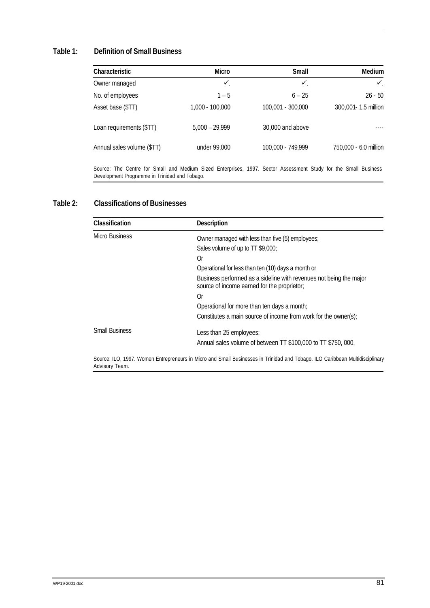## **Table 1: Definition of Small Business**

| Characteristic                                                                                                                                                   | <b>Micro</b>      | <b>Small</b>      | Medium                |
|------------------------------------------------------------------------------------------------------------------------------------------------------------------|-------------------|-------------------|-----------------------|
| Owner managed                                                                                                                                                    | $\checkmark$      | $\checkmark$      | $\checkmark$          |
| No. of employees                                                                                                                                                 | $1 - 5$           | $6 - 25$          | $26 - 50$             |
| Asset base (\$TT)                                                                                                                                                | $1,000 - 100,000$ | 100,001 - 300,000 | 300,001- 1.5 million  |
| Loan requirements (\$TT)                                                                                                                                         | $5,000 - 29,999$  | 30,000 and above  |                       |
| Annual sales volume (\$TT)                                                                                                                                       | under 99,000      | 100,000 - 749,999 | 750,000 - 6.0 million |
| Source: The Centre for Small and Medium Sized Enterprises, 1997. Sector Assessment Study for the Small Business<br>Development Programme in Trinidad and Tobago. |                   |                   |                       |

# **Table 2: Classifications of Businesses**

| Classification        | <b>Description</b>                                                                                                           |
|-----------------------|------------------------------------------------------------------------------------------------------------------------------|
| Micro Business        | Owner managed with less than five (5) employees;                                                                             |
|                       | Sales volume of up to TT \$9,000;                                                                                            |
|                       | 0r                                                                                                                           |
|                       | Operational for less than ten (10) days a month or                                                                           |
|                       | Business performed as a sideline with revenues not being the major<br>source of income earned for the proprietor;            |
|                       | 0r                                                                                                                           |
|                       | Operational for more than ten days a month;                                                                                  |
|                       | Constitutes a main source of income from work for the owner(s);                                                              |
| <b>Small Business</b> | Less than 25 employees;                                                                                                      |
|                       | Annual sales volume of between TT \$100,000 to TT \$750,000.                                                                 |
| Advisory Team.        | Source: ILO, 1997. Women Entrepreneurs in Micro and Small Businesses in Trinidad and Tobago. ILO Caribbean Multidisciplinary |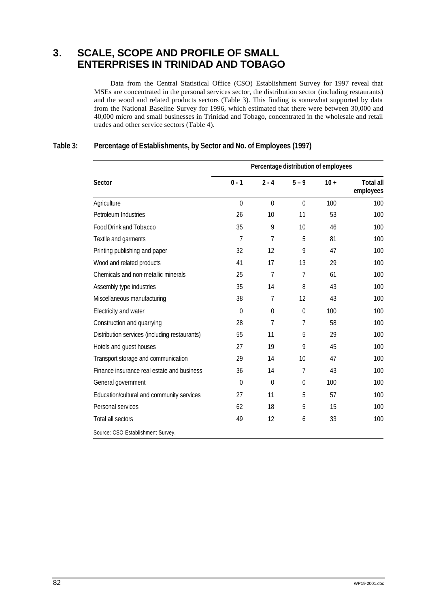# **3. SCALE, SCOPE AND PROFILE OF SMALL ENTERPRISES IN TRINIDAD AND TOBAGO**

Data from the Central Statistical Office (CSO) Establishment Survey for 1997 reveal that MSEs are concentrated in the personal services sector, the distribution sector (including restaurants) and the wood and related products sectors (Table 3). This finding is somewhat supported by data from the National Baseline Survey for 1996, which estimated that there were between 30,000 and 40,000 micro and small businesses in Trinidad and Tobago, concentrated in the wholesale and retail trades and other service sectors (Table 4).

|                                               | Percentage distribution of employees |              |                  |        |                               |
|-----------------------------------------------|--------------------------------------|--------------|------------------|--------|-------------------------------|
| <b>Sector</b>                                 | $0 - 1$                              | $2 - 4$      | $5 - 9$          | $10 +$ | <b>Total all</b><br>employees |
| Agriculture                                   | $\Omega$                             | $\Omega$     | $\Omega$         | 100    | 100                           |
| Petroleum Industries                          | 26                                   | 10           | 11               | 53     | 100                           |
| Food Drink and Tobacco                        | 35                                   | 9            | 10               | 46     | 100                           |
| Textile and garments                          | 7                                    | 7            | 5                | 81     | 100                           |
| Printing publishing and paper                 | 32                                   | 12           | 9                | 47     | 100                           |
| Wood and related products                     | 41                                   | 17           | 13               | 29     | 100                           |
| Chemicals and non-metallic minerals           | 25                                   | 7            | $\overline{7}$   | 61     | 100                           |
| Assembly type industries                      | 35                                   | 14           | 8                | 43     | 100                           |
| Miscellaneous manufacturing                   | 38                                   | 7            | 12               | 43     | 100                           |
| Electricity and water                         | $\Omega$                             | $\mathbf{0}$ | $\mathbf 0$      | 100    | 100                           |
| Construction and quarrying                    | 28                                   | 7            | $\overline{7}$   | 58     | 100                           |
| Distribution services (including restaurants) | 55                                   | 11           | 5                | 29     | 100                           |
| Hotels and guest houses                       | 27                                   | 19           | 9                | 45     | 100                           |
| Transport storage and communication           | 29                                   | 14           | 10               | 47     | 100                           |
| Finance insurance real estate and business    | 36                                   | 14           | 7                | 43     | 100                           |
| General government                            | $\overline{0}$                       | $\mathbf 0$  | $\boldsymbol{0}$ | 100    | 100                           |
| Education/cultural and community services     | 27                                   | 11           | 5                | 57     | 100                           |
| Personal services                             | 62                                   | 18           | 5                | 15     | 100                           |
| Total all sectors                             | 49                                   | 12           | 6                | 33     | 100                           |
| Source: CSO Establishment Survey.             |                                      |              |                  |        |                               |

# **Table 3: Percentage of Establishments, by Sector and No. of Employees (1997)**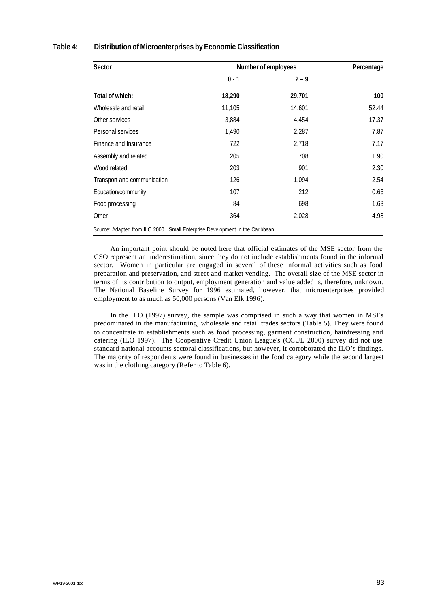| <b>Sector</b>                                                                 | Number of employees | Percentage |       |
|-------------------------------------------------------------------------------|---------------------|------------|-------|
|                                                                               | $0 - 1$             | $2 - 9$    |       |
| Total of which:                                                               | 18,290              | 29,701     | 100   |
| Wholesale and retail                                                          | 11,105              | 14,601     | 52.44 |
| Other services                                                                | 3,884               | 4,454      | 17.37 |
| Personal services                                                             | 1,490               | 2,287      | 7.87  |
| Finance and Insurance                                                         | 722                 | 2,718      | 7.17  |
| Assembly and related                                                          | 205                 | 708        | 1.90  |
| Wood related                                                                  | 203                 | 901        | 2.30  |
| Transport and communication                                                   | 126                 | 1,094      | 2.54  |
| Education/community                                                           | 107                 | 212        | 0.66  |
| Food processing                                                               | 84                  | 698        | 1.63  |
| Other                                                                         | 364                 | 2,028      | 4.98  |
| Source: Adapted from ILO 2000. Small Enterprise Development in the Caribbean. |                     |            |       |

## **Table 4: Distribution of Microenterprises by Economic Classification**

An important point should be noted here that official estimates of the MSE sector from the CSO represent an underestimation, since they do not include establishments found in the informal sector. Women in particular are engaged in several of these informal activities such as food preparation and preservation, and street and market vending. The overall size of the MSE sector in terms of its contribution to output, employment generation and value added is, therefore, unknown. The National Baseline Survey for 1996 estimated, however, that microenterprises provided employment to as much as 50,000 persons (Van Elk 1996).

In the ILO (1997) survey, the sample was comprised in such a way that women in MSEs predominated in the manufacturing, wholesale and retail trades sectors (Table 5). They were found to concentrate in establishments such as food processing, garment construction, hairdressing and catering (ILO 1997). The Cooperative Credit Union League's (CCUL 2000) survey did not use standard national accounts sectoral classifications, but however, it corroborated the ILO's findings. The majority of respondents were found in businesses in the food category while the second largest was in the clothing category (Refer to Table 6).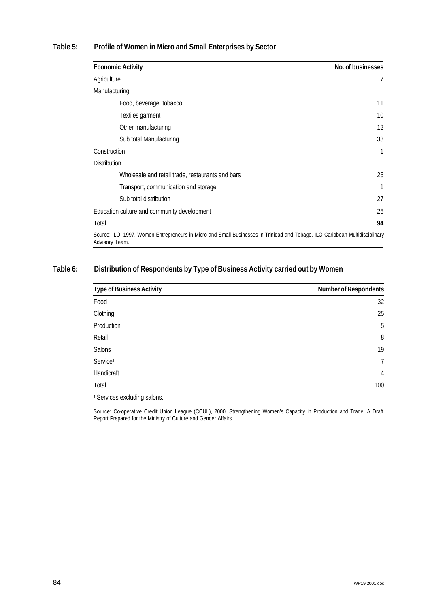# **Table 5: Profile of Women in Micro and Small Enterprises by Sector**

| <b>Economic Activity</b>                                                                                                                       | No. of businesses |
|------------------------------------------------------------------------------------------------------------------------------------------------|-------------------|
| Agriculture                                                                                                                                    | $\overline{7}$    |
| Manufacturing                                                                                                                                  |                   |
| Food, beverage, tobacco                                                                                                                        | 11                |
| Textiles garment                                                                                                                               | 10                |
| Other manufacturing                                                                                                                            | 12                |
| Sub total Manufacturing                                                                                                                        | 33                |
| Construction                                                                                                                                   | 1                 |
| <b>Distribution</b>                                                                                                                            |                   |
| Wholesale and retail trade, restaurants and bars                                                                                               | 26                |
| Transport, communication and storage                                                                                                           |                   |
| Sub total distribution                                                                                                                         | 27                |
| Education culture and community development                                                                                                    | 26                |
| Total                                                                                                                                          | 94                |
| Source: ILO, 1997. Women Entrepreneurs in Micro and Small Businesses in Trinidad and Tobago. ILO Caribbean Multidisciplinary<br>Advisory Team. |                   |

# **Table 6: Distribution of Respondents by Type of Business Activity carried out by Women**

| <b>Type of Business Activity</b>        | <b>Number of Respondents</b>                                                                                             |
|-----------------------------------------|--------------------------------------------------------------------------------------------------------------------------|
| Food                                    | 32                                                                                                                       |
| Clothing                                | 25                                                                                                                       |
| Production                              | 5                                                                                                                        |
| Retail                                  | $8\,$                                                                                                                    |
| Salons                                  | 19                                                                                                                       |
| Service <sup>1</sup>                    | $\overline{7}$                                                                                                           |
| Handicraft                              | 4                                                                                                                        |
| Total                                   | 100                                                                                                                      |
| <sup>1</sup> Services excluding salons. |                                                                                                                          |
| $(0.0111)$ $0.000$ $(0.111)$            | $\cdots$<br>$\sim$ $\sim$ $\sim$<br>$\mathbf{a}$ , $\mathbf{b}$ , $\mathbf{c}$ , $\mathbf{c}$ , $\mathbf{c}$<br>$\cdots$ |

Source: Co-operative Credit Union League (CCUL), 2000. Strengthening Women's Capacity in Production and Trade. A Draft Report Prepared for the Ministry of Culture and Gender Affairs.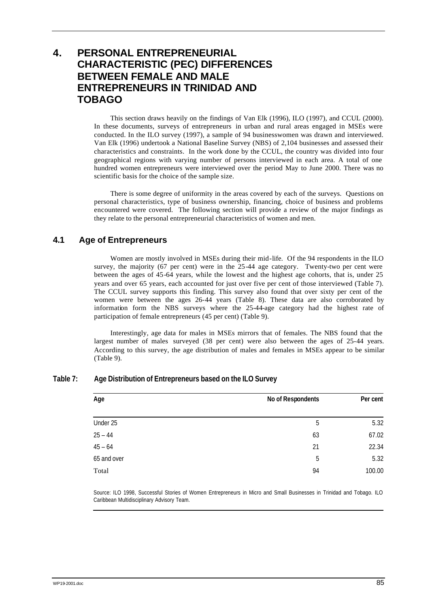# **4. PERSONAL ENTREPRENEURIAL CHARACTERISTIC (PEC) DIFFERENCES BETWEEN FEMALE AND MALE ENTREPRENEURS IN TRINIDAD AND TOBAGO**

This section draws heavily on the findings of Van Elk (1996), ILO (1997), and CCUL (2000). In these documents, surveys of entrepreneurs in urban and rural areas engaged in MSEs were conducted. In the ILO survey (1997), a sample of 94 businesswomen was drawn and interviewed. Van Elk (1996) undertook a National Baseline Survey (NBS) of 2,104 businesses and assessed their characteristics and constraints. In the work done by the CCUL, the country was divided into four geographical regions with varying number of persons interviewed in each area. A total of one hundred women entrepreneurs were interviewed over the period May to June 2000. There was no scientific basis for the choice of the sample size.

There is some degree of uniformity in the areas covered by each of the surveys. Questions on personal characteristics, type of business ownership, financing, choice of business and problems encountered were covered. The following section will provide a review of the major findings as they relate to the personal entrepreneurial characteristics of women and men.

# **4.1 Age of Entrepreneurs**

Women are mostly involved in MSEs during their mid-life. Of the 94 respondents in the ILO survey, the majority (67 per cent) were in the 25-44 age category. Twenty-two per cent were between the ages of 45-64 years, while the lowest and the highest age cohorts, that is, under 25 years and over 65 years, each accounted for just over five per cent of those interviewed (Table 7). The CCUL survey supports this finding. This survey also found that over sixty per cent of the women were between the ages 26-44 years (Table 8). These data are also corroborated by information form the NBS surveys where the 25-44-age category had the highest rate of participation of female entrepreneurs (45 per cent) (Table 9).

Interestingly, age data for males in MSEs mirrors that of females. The NBS found that the largest number of males surveyed (38 per cent) were also between the ages of 25-44 years. According to this survey, the age distribution of males and females in MSEs appear to be similar (Table 9).

| Age         | No of Respondents | Per cent |
|-------------|-------------------|----------|
| Under 25    | 5                 | 5.32     |
| $25 - 44$   | 63                | 67.02    |
| $45 - 64$   | 21                | 22.34    |
| 65 and over | 5                 | 5.32     |
| Total       | 94                | 100.00   |

## **Table 7: Age Distribution of Entrepreneurs based on the ILO Survey**

Source: ILO 1998, Successful Stories of Women Entrepreneurs in Micro and Small Businesses in Trinidad and Tobago. ILO Caribbean Multidisciplinary Advisory Team.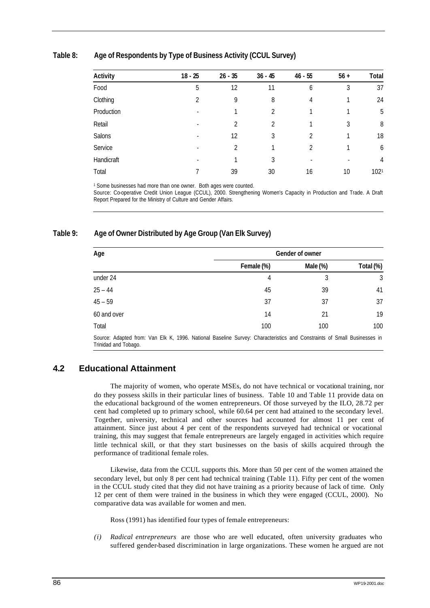## **Table 8: Age of Respondents by Type of Business Activity (CCUL Survey)**

| <b>Activity</b> | $18 - 25$ | $26 - 35$      | $36 - 45$ | $46 - 55$ | $56 +$ | <b>Total</b> |
|-----------------|-----------|----------------|-----------|-----------|--------|--------------|
| Food            | 5         | 12             | 11        | 6         | 3      | 37           |
| Clothing        | 2         | 9              | 8         | 4         |        | 24           |
| Production      |           |                | 2         |           |        | 5            |
| Retail          |           | $\mathfrak{D}$ | 2         |           | 3      | 8            |
| Salons          |           | 12             | 3         | 2         |        | 18           |
| Service         |           | $\mathfrak{D}$ |           | 2         |        | 6            |
| Handicraft      |           |                | 3         |           |        | 4            |
| Total           |           | 39             | 30        | 16        | 10     | 1021         |

<sup>1</sup> Some businesses had more than one owner. Both ages were counted.

Source: Co-operative Credit Union League (CCUL), 2000. Strengthening Women's Capacity in Production and Trade. A Draft Report Prepared for the Ministry of Culture and Gender Affairs.

## **Table 9: Age of Owner Distributed by Age Group (Van Elk Survey)**

| Age                                                                                                                     | <b>Gender of owner</b> |          |           |  |
|-------------------------------------------------------------------------------------------------------------------------|------------------------|----------|-----------|--|
|                                                                                                                         | Female (%)             | Male (%) | Total (%) |  |
| under 24                                                                                                                | 4                      | 3        | 3         |  |
| $25 - 44$                                                                                                               | 45                     | 39       | 41        |  |
| $45 - 59$                                                                                                               | 37                     | 37       | 37        |  |
| 60 and over                                                                                                             | 14                     | 21       | 19        |  |
| Total                                                                                                                   | 100                    | 100      | 100       |  |
| Source: Adapted from: Van Elk K. 1006. National Racoline Survey: Characteristics and Constraints of Small Rusinesses in |                        |          |           |  |

Trom: Van Elk K, 1996. National Baseline Survey: Characteristics and Constraints of Small Busine Trinidad and Tobago.

# **4.2 Educational Attainment**

The majority of women, who operate MSEs, do not have technical or vocational training, nor do they possess skills in their particular lines of business. Table 10 and Table 11 provide data on the educational background of the women entrepreneurs. Of those surveyed by the ILO, 28.72 per cent had completed up to primary school, while 60.64 per cent had attained to the secondary level. Together, university, technical and other sources had accounted for almost 11 per cent of attainment. Since just about 4 per cent of the respondents surveyed had technical or vocational training, this may suggest that female entrepreneurs are largely engaged in activities which require little technical skill, or that they start businesses on the basis of skills acquired through the performance of traditional female roles.

Likewise, data from the CCUL supports this. More than 50 per cent of the women attained the secondary level, but only 8 per cent had technical training (Table 11). Fifty per cent of the women in the CCUL study cited that they did not have training as a priority because of lack of time. Only 12 per cent of them were trained in the business in which they were engaged (CCUL, 2000). No comparative data was available for women and men.

Ross (1991) has identified four types of female entrepreneurs:

*(i) Radical entrepreneurs* are those who are well educated, often university graduates who suffered gender-based discrimination in large organizations. These women he argued are not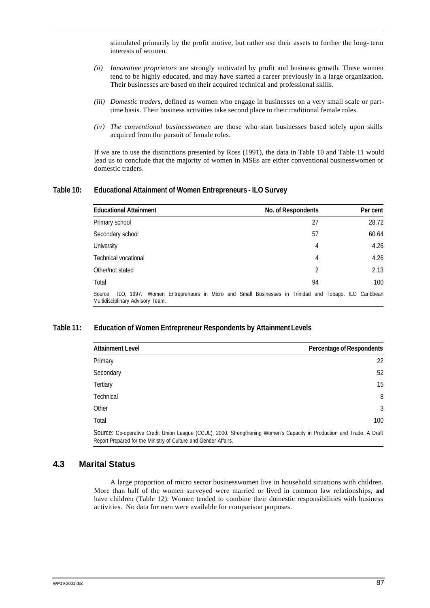stimulated primarily by the profit motive, but rather use their assets to further the long- term interests of wo men.

- *(ii) Innovative proprietors* are strongly motivated by profit and business growth. These women tend to be highly educated, and may have started a career previously in a large organization. Their businesses are based on their acquired technical and professional skills.
- *(iii) Domestic traders*, defined as women who engage in businesses on a very small scale or parttime basis. Their business activities take second place to their traditional female roles.
- *(iv) The conventional businesswomen* are those who start businesses based solely upon skills acquired from the pursuit of female roles.

If we are to use the distinctions presented by Ross (1991), the data in Table 10 and Table 11 would lead us to conclude that the majority of women in MSEs are either conventional businesswomen or domestic traders.

## **Table 10: Educational Attainment of Women Entrepreneurs - ILO Survey**

| <b>Educational Attainment</b>                                                                                                                  | No. of Respondents | Per cent |
|------------------------------------------------------------------------------------------------------------------------------------------------|--------------------|----------|
| Primary school                                                                                                                                 | 27                 | 28.72    |
| Secondary school                                                                                                                               | 57                 | 60.64    |
| University                                                                                                                                     | 4                  | 4.26     |
| Technical vocational                                                                                                                           | 4                  | 4.26     |
| Other/not stated                                                                                                                               | 2                  | 2.13     |
| Total                                                                                                                                          | 94                 | 100      |
| Source: ILO, 1997. Women Entrepreneurs in Micro and Small Businesses in Trinidad and Tobago. ILO Caribbean<br>Multidisciplinary Advisory Team. |                    |          |

## **Table 11: Education of Women Entrepreneur Respondents by Attainment Levels**

| <b>Attainment Level</b>                                         | Percentage of Respondents                                                                                              |
|-----------------------------------------------------------------|------------------------------------------------------------------------------------------------------------------------|
| Primary                                                         | 22                                                                                                                     |
| Secondary                                                       | 52                                                                                                                     |
| Tertiary                                                        | 15                                                                                                                     |
| Technical                                                       | 8                                                                                                                      |
| Other                                                           | 3                                                                                                                      |
| Total                                                           | 100                                                                                                                    |
| Report Prepared for the Ministry of Culture and Gender Affairs. | Source: Co-operative Credit Union League (CCUL), 2000. Strengthening Women's Capacity in Production and Trade. A Draft |

## **4.3 Marital Status**

A large proportion of micro sector businesswomen live in household situations with children. More than half of the women surveyed were married or lived in common law relationships, and have children (Table 12). Women tended to combine their domestic responsibilities with business activities. No data for men were available for comparison purposes.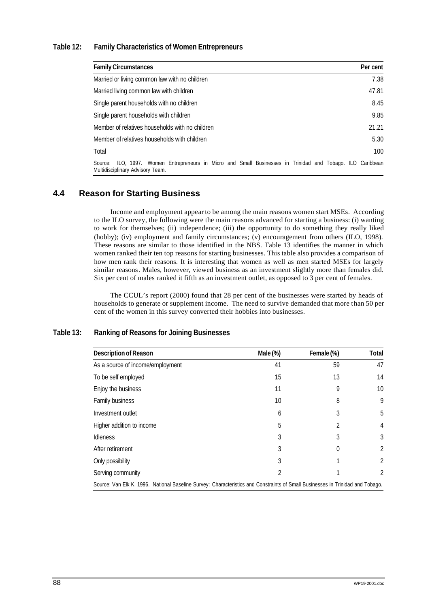## **Table 12: Family Characteristics of Women Entrepreneurs**

| <b>Family Circumstances</b>                                                                                                                       | Per cent |
|---------------------------------------------------------------------------------------------------------------------------------------------------|----------|
| Married or living common law with no children                                                                                                     | 7.38     |
| Married living common law with children                                                                                                           | 47.81    |
| Single parent households with no children                                                                                                         | 8.45     |
| Single parent households with children                                                                                                            | 9.85     |
| Member of relatives households with no children                                                                                                   | 21.21    |
| Member of relatives households with children                                                                                                      | 5.30     |
| Total                                                                                                                                             | 100      |
| ILO, 1997. Women Entrepreneurs in Micro and Small Businesses in Trinidad and Tobago. ILO Caribbean<br>Source:<br>Multidisciplinary Advisory Team. |          |

# **4.4 Reason for Starting Business**

Income and employment appear to be among the main reasons women start MSEs. According to the ILO survey, the following were the main reasons advanced for starting a business: (i) wanting to work for themselves; (ii) independence; (iii) the opportunity to do something they really liked (hobby); (iv) employment and family circumstances; (v) encouragement from others (ILO, 1998). These reasons are similar to those identified in the NBS. Table 13 identifies the manner in which women ranked their ten top reasons for starting businesses. This table also provides a comparison of how men rank their reasons. It is interesting that women as well as men started MSEs for largely similar reasons. Males, however, viewed business as an investment slightly more than females did. Six per cent of males ranked it fifth as an investment outlet, as opposed to 3 per cent of females.

The CCUL's report (2000) found that 28 per cent of the businesses were started by heads of households to generate or supplement income. The need to survive demanded that more than 50 per cent of the women in this survey converted their hobbies into businesses.

| <b>Description of Reason</b>                                                                                                   | Male (%) | Female (%) | Total |
|--------------------------------------------------------------------------------------------------------------------------------|----------|------------|-------|
| As a source of income/employment                                                                                               | 41       | 59         | 47    |
| To be self employed                                                                                                            | 15       | 13         | 14    |
| Enjoy the business                                                                                                             | 11       | 9          | 10    |
| Family business                                                                                                                | 10       | 8          | 9     |
| Investment outlet                                                                                                              | 6        | 3          | 5     |
| Higher addition to income                                                                                                      | 5        | 2          | 4     |
| <b>Idleness</b>                                                                                                                | 3        | 3          | 3     |
| After retirement                                                                                                               | 3        | $\Omega$   | 2     |
| Only possibility                                                                                                               | 3        |            | 2     |
| Serving community                                                                                                              | 2        |            | 2     |
| Source: Van Elk K, 1996. National Baseline Survey: Characteristics and Constraints of Small Businesses in Trinidad and Tobago. |          |            |       |

## **Table 13: Ranking of Reasons for Joining Businesses**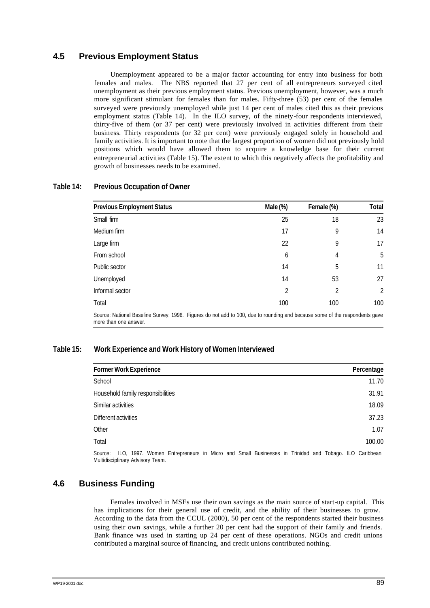# **4.5 Previous Employment Status**

Unemployment appeared to be a major factor accounting for entry into business for both females and males. The NBS reported that 27 per cent of all entrepreneurs surveyed cited unemployment as their previous employment status. Previous unemployment, however, was a much more significant stimulant for females than for males. Fifty-three (53) per cent of the females surveyed were previously unemployed while just 14 per cent of males cited this as their previous employment status (Table 14). In the ILO survey, of the ninety-four respondents interviewed, thirty-five of them (or 37 per cent) were previously involved in activities different from their business. Thirty respondents (or 32 per cent) were previously engaged solely in household and family activities. It is important to note that the largest proportion of women did not previously hold positions which would have allowed them to acquire a knowledge base for their current entrepreneurial activities (Table 15). The extent to which this negatively affects the profitability and growth of businesses needs to be examined.

| <b>Previous Employment Status</b>                                                                                                                    | Male (%) | Female (%) | Total          |
|------------------------------------------------------------------------------------------------------------------------------------------------------|----------|------------|----------------|
| Small firm                                                                                                                                           | 25       | 18         | 23             |
| Medium firm                                                                                                                                          | 17       | 9          | 14             |
| Large firm                                                                                                                                           | 22       | 9          | 17             |
| From school                                                                                                                                          | 6        | 4          | 5              |
| Public sector                                                                                                                                        | 14       | 5          | 11             |
| Unemployed                                                                                                                                           | 14       | 53         | 27             |
| Informal sector                                                                                                                                      | 2        | 2          | $\overline{2}$ |
| Total                                                                                                                                                | 100      | 100        | 100            |
| Source: National Baseline Survey, 1996. Figures do not add to 100, due to rounding and because some of the respondents gave<br>more than one answer. |          |            |                |

## **Table 14: Previous Occupation of Owner**

## **Table 15: Work Experience and Work History of Women Interviewed**

| <b>Former Work Experience</b>                                                                                                                     | Percentage |
|---------------------------------------------------------------------------------------------------------------------------------------------------|------------|
| School                                                                                                                                            | 11.70      |
| Household family responsibilities                                                                                                                 | 31.91      |
| Similar activities                                                                                                                                | 18.09      |
| Different activities                                                                                                                              | 37.23      |
| Other                                                                                                                                             | 1.07       |
| Total                                                                                                                                             | 100.00     |
| ILO, 1997. Women Entrepreneurs in Micro and Small Businesses in Trinidad and Tobago. ILO Caribbean<br>Source:<br>Multidisciplinary Advisory Team. |            |

## **4.6 Business Funding**

Females involved in MSEs use their own savings as the main source of start-up capital. This has implications for their general use of credit, and the ability of their businesses to grow. According to the data from the CCUL (2000), 50 per cent of the respondents started their business using their own savings, while a further 20 per cent had the support of their family and friends. Bank finance was used in starting up 24 per cent of these operations. NGOs and credit unions contributed a marginal source of financing, and credit unions contributed nothing.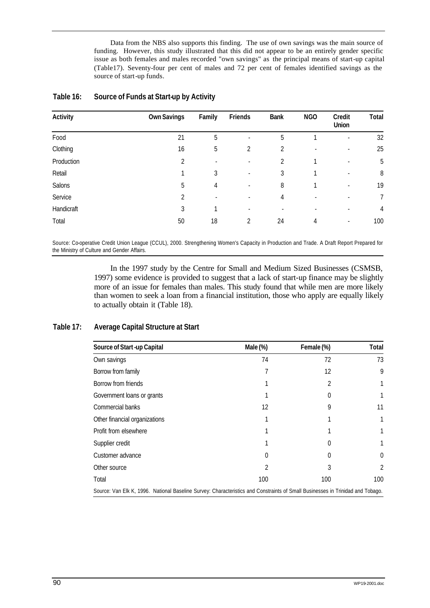Data from the NBS also supports this finding. The use of own savings was the main source of funding. However, this study illustrated that this did not appear to be an entirely gender specific issue as both females and males recorded "own savings" as the principal means of start-up capital (Table17). Seventy-four per cent of males and 72 per cent of females identified savings as the source of start-up funds.

| <b>Activity</b> | <b>Own Savings</b> | Family                   | Friends                  | <b>Bank</b> | <b>NGO</b> | Credit<br>Union          | Total |
|-----------------|--------------------|--------------------------|--------------------------|-------------|------------|--------------------------|-------|
| Food            | 21                 | 5                        | $\overline{\phantom{a}}$ | 5           |            | $\overline{\phantom{a}}$ | 32    |
| Clothing        | 16                 | 5                        | 2                        | 2           |            | ٠                        | 25    |
| Production      | 2                  | $\overline{\phantom{a}}$ | $\overline{\phantom{a}}$ | 2           |            | $\overline{\phantom{a}}$ | 5     |
| Retail          |                    | 3                        | $\overline{\phantom{a}}$ | 3           |            | $\overline{\phantom{a}}$ | 8     |
| Salons          | 5                  | $\overline{4}$           | $\overline{\phantom{a}}$ | 8           |            | ٠                        | 19    |
| Service         | 2                  | $\overline{\phantom{a}}$ | $\overline{\phantom{a}}$ | 4           |            | $\overline{\phantom{a}}$ | 7     |
| Handicraft      | 3                  | 1                        | $\overline{\phantom{a}}$ |             |            | ٠                        | 4     |
| Total           | 50                 | 18                       | 2                        | 24          | 4          | $\overline{\phantom{a}}$ | 100   |

## **Table 16: Source of Funds at Start-up by Activity**

Source: Co-operative Credit Union League (CCUL), 2000. Strengthening Women's Capacity in Production and Trade. A Draft Report Prepared for the Ministry of Culture and Gender Affairs.

> In the 1997 study by the Centre for Small and Medium Sized Businesses (CSMSB, 1997) some evidence is provided to suggest that a lack of start-up finance may be slightly more of an issue for females than males. This study found that while men are more likely than women to seek a loan from a financial institution, those who apply are equally likely to actually obtain it (Table 18).

## **Table 17: Average Capital Structure at Start**

| Source of Start-up Capital                                                                                                     | Male (%) | Female (%) | Total    |
|--------------------------------------------------------------------------------------------------------------------------------|----------|------------|----------|
| Own savings                                                                                                                    | 74       | 72         | 73       |
| Borrow from family                                                                                                             | 7        | 12         | 9        |
| Borrow from friends                                                                                                            |          | 2          |          |
| Government loans or grants                                                                                                     |          | 0          |          |
| Commercial banks                                                                                                               | 12       | 9          | 11       |
| Other financial organizations                                                                                                  |          |            |          |
| Profit from elsewhere                                                                                                          |          |            |          |
| Supplier credit                                                                                                                |          | 0          |          |
| Customer advance                                                                                                               | 0        | 0          | $\Omega$ |
| Other source                                                                                                                   | 2        | 3          | 2        |
| Total                                                                                                                          | 100      | 100        | 100      |
| Source: Van Elk K, 1996. National Baseline Survey: Characteristics and Constraints of Small Businesses in Trinidad and Tobago. |          |            |          |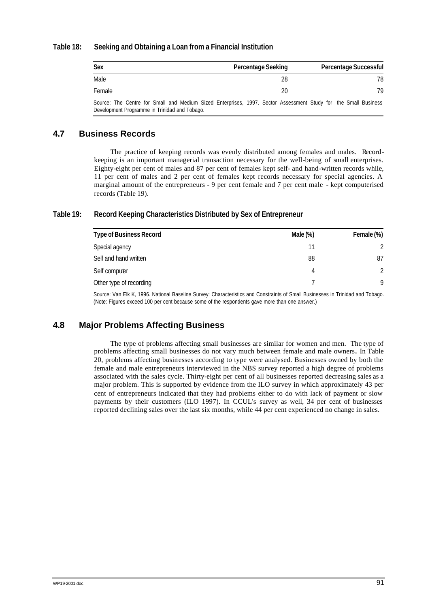## **Table 18: Seeking and Obtaining a Loan from a Financial Institution**

| Sex                                                                                                                                                              | Percentage Seeking | <b>Percentage Successful</b> |
|------------------------------------------------------------------------------------------------------------------------------------------------------------------|--------------------|------------------------------|
| Male                                                                                                                                                             | 28                 | 78                           |
| Female                                                                                                                                                           | 20                 | 79                           |
| Source: The Centre for Small and Medium Sized Enterprises, 1997. Sector Assessment Study for the Small Business<br>Development Programme in Trinidad and Tobago. |                    |                              |

## **4.7 Business Records**

The practice of keeping records was evenly distributed among females and males. Recordkeeping is an important managerial transaction necessary for the well-being of small enterprises. Eighty-eight per cent of males and 87 per cent of females kept self- and hand-written records while, 11 per cent of males and 2 per cent of females kept records necessary for special agencies. A marginal amount of the entrepreneurs - 9 per cent female and 7 per cent male - kept computerised records (Table 19).

## **Table 19: Record Keeping Characteristics Distributed by Sex of Entrepreneur**

| <b>Type of Business Record</b>                                                                                                                                                                                                   | Male $(\%)$ | Female (%) |
|----------------------------------------------------------------------------------------------------------------------------------------------------------------------------------------------------------------------------------|-------------|------------|
| Special agency                                                                                                                                                                                                                   |             |            |
| Self and hand written                                                                                                                                                                                                            | 88          | 87         |
| Self computer                                                                                                                                                                                                                    | 4           |            |
| Other type of recording                                                                                                                                                                                                          |             | Q          |
| Source: Van Elk K, 1996. National Baseline Survey: Characteristics and Constraints of Small Businesses in Trinidad and Tobago.<br>(Note: Figures exceed 100 per cent because some of the respondents gave more than one answer.) |             |            |

# **4.8 Major Problems Affecting Business**

The type of problems affecting small businesses are similar for women and men. The type of problems affecting small businesses do not vary much between female and male owners*.* In Table 20, problems affecting businesses according to type were analysed. Businesses owned by both the female and male entrepreneurs interviewed in the NBS survey reported a high degree of problems associated with the sales cycle. Thirty-eight per cent of all businesses reported decreasing sales as a major problem. This is supported by evidence from the ILO survey in which approximately 43 per cent of entrepreneurs indicated that they had problems either to do with lack of payment or slow payments by their customers (ILO 1997). In CCUL's survey as well, 34 per cent of businesses reported declining sales over the last six months, while 44 per cent experienced no change in sales.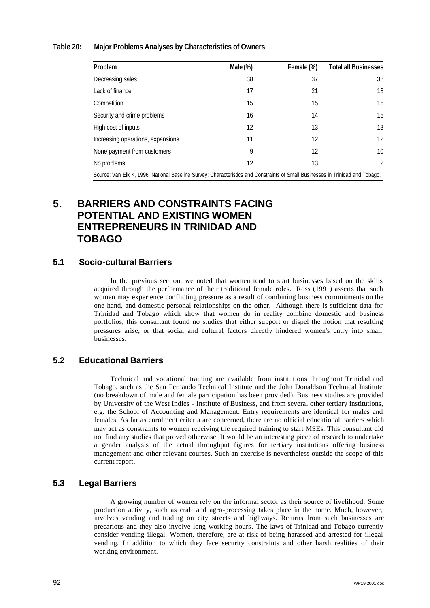## **Table 20: Major Problems Analyses by Characteristics of Owners**

| Problem                                                                                                                        | Male (%) | Female (%) | <b>Total all Businesses</b> |
|--------------------------------------------------------------------------------------------------------------------------------|----------|------------|-----------------------------|
| Decreasing sales                                                                                                               | 38       | 37         | 38                          |
| Lack of finance                                                                                                                | 17       | 21         | 18                          |
| Competition                                                                                                                    | 15       | 15         | 15                          |
| Security and crime problems                                                                                                    | 16       | 14         | 15                          |
| High cost of inputs                                                                                                            | 12       | 13         | 13                          |
| Increasing operations, expansions                                                                                              | 11       | 12         | 12                          |
| None payment from customers                                                                                                    | 9        | 12         | 10                          |
| No problems                                                                                                                    | 12       | 13         | 2                           |
| Source: Van Elk K, 1996. National Baseline Survey: Characteristics and Constraints of Small Businesses in Trinidad and Tobago. |          |            |                             |

# **5. BARRIERS AND CONSTRAINTS FACING POTENTIAL AND EXISTING WOMEN ENTREPRENEURS IN TRINIDAD AND TOBAGO**

## **5.1 Socio-cultural Barriers**

In the previous section, we noted that women tend to start businesses based on the skills acquired through the performance of their traditional female roles. Ross (1991) asserts that such women may experience conflicting pressure as a result of combining business commitments on the one hand, and domestic personal relationships on the other. Although there is sufficient data for Trinidad and Tobago which show that women do in reality combine domestic and business portfolios, this consultant found no studies that either support or dispel the notion that resulting pressures arise, or that social and cultural factors directly hindered women's entry into small businesses.

## **5.2 Educational Barriers**

Technical and vocational training are available from institutions throughout Trinidad and Tobago, such as the San Fernando Technical Institute and the John Donaldson Technical Institute (no breakdown of male and female participation has been provided). Business studies are provided by University of the West Indies - Institute of Business, and from several other tertiary institutions, e.g. the School of Accounting and Management. Entry requirements are identical for males and females. As far as enrolment criteria are concerned, there are no official educational barriers which may act as constraints to women receiving the required training to start MSEs. This consultant did not find any studies that proved otherwise. It would be an interesting piece of research to undertake a gender analysis of the actual throughput figures for tertiary institutions offering business management and other relevant courses. Such an exercise is nevertheless outside the scope of this current report.

## **5.3 Legal Barriers**

A growing number of women rely on the informal sector as their source of livelihood. Some production activity, such as craft and agro-processing takes place in the home. Much, however, involves vending and trading on city streets and highways. Returns from such businesses are precarious and they also involve long working hours. The laws of Trinidad and Tobago currently consider vending illegal. Women, therefore, are at risk of being harassed and arrested for illegal vending. In addition to which they face security constraints and other harsh realities of their working environment.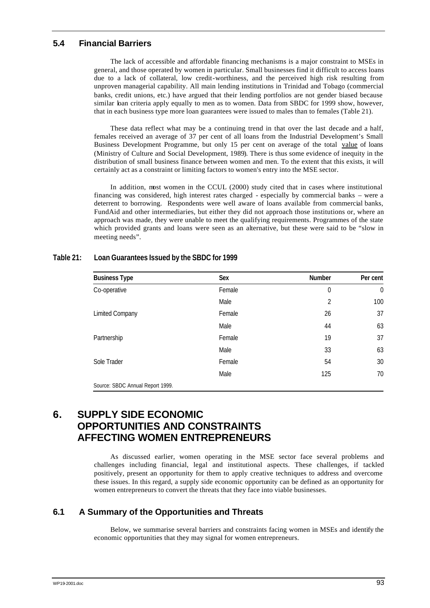## **5.4 Financial Barriers**

The lack of accessible and affordable financing mechanisms is a major constraint to MSEs in general, and those operated by women in particular. Small businesses find it difficult to access loans due to a lack of collateral, low credit-worthiness, and the perceived high risk resulting from unproven managerial capability. All main lending institutions in Trinidad and Tobago (commercial banks, credit unions, etc.) have argued that their lending portfolios are not gender biased because similar ban criteria apply equally to men as to women. Data from SBDC for 1999 show, however, that in each business type more loan guarantees were issued to males than to females (Table 21).

These data reflect what may be a continuing trend in that over the last decade and a half, females received an average of 37 per cent of all loans from the Industrial Development's Small Business Development Programme, but only 15 per cent on average of the total value of loans (Ministry of Culture and Social Development, 1989). There is thus some evidence of inequity in the distribution of small business finance between women and men. To the extent that this exists, it will certainly act as a constraint or limiting factors to women's entry into the MSE sector.

In addition, most women in the CCUL (2000) study cited that in cases where institutional financing was considered, high interest rates charged - especially by commercial banks – were a deterrent to borrowing. Respondents were well aware of loans available from commercial banks, FundAid and other intermediaries, but either they did not approach those institutions or, where an approach was made, they were unable to meet the qualifying requirements. Programmes of the state which provided grants and loans were seen as an alternative, but these were said to be "slow in meeting needs".

| <b>Business Type</b>             | Sex    | Number           | Per cent       |
|----------------------------------|--------|------------------|----------------|
| Co-operative                     | Female | $\boldsymbol{0}$ | $\overline{0}$ |
|                                  | Male   | $\overline{2}$   | 100            |
| <b>Limited Company</b>           | Female | 26               | 37             |
|                                  | Male   | 44               | 63             |
| Partnership                      | Female | 19               | 37             |
|                                  | Male   | 33               | 63             |
| Sole Trader                      | Female | 54               | 30             |
|                                  | Male   | 125              | 70             |
| Source: SBDC Annual Report 1999. |        |                  |                |

## **Table 21: Loan Guarantees Issued by the SBDC for 1999**

# **6. SUPPLY SIDE ECONOMIC OPPORTUNITIES AND CONSTRAINTS AFFECTING WOMEN ENTREPRENEURS**

As discussed earlier, women operating in the MSE sector face several problems and challenges including financial, legal and institutional aspects. These challenges, if tackled positively, present an opportunity for them to apply creative techniques to address and overcome these issues. In this regard, a supply side economic opportunity can be defined as an opportunity for women entrepreneurs to convert the threats that they face into viable businesses.

## **6.1 A Summary of the Opportunities and Threats**

Below, we summarise several barriers and constraints facing women in MSEs and identify the economic opportunities that they may signal for women entrepreneurs.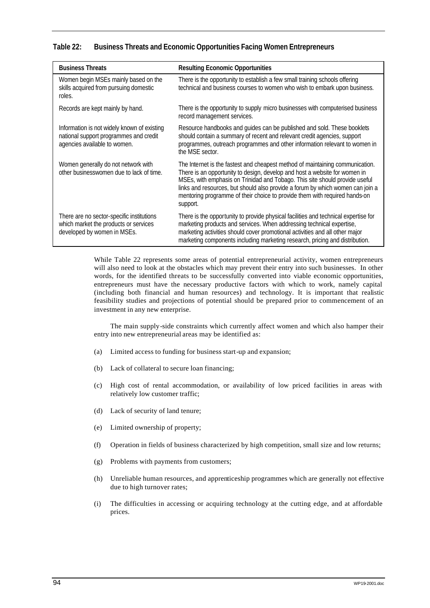| Table 22: |  | <b>Business Threats and Economic Opportunities Facing Women Entrepreneurs</b> |  |  |  |  |  |  |  |
|-----------|--|-------------------------------------------------------------------------------|--|--|--|--|--|--|--|
|-----------|--|-------------------------------------------------------------------------------|--|--|--|--|--|--|--|

| <b>Business Threats</b>                                                                                               | <b>Resulting Economic Opportunities</b>                                                                                                                                                                                                                                                                                                                                                                                |
|-----------------------------------------------------------------------------------------------------------------------|------------------------------------------------------------------------------------------------------------------------------------------------------------------------------------------------------------------------------------------------------------------------------------------------------------------------------------------------------------------------------------------------------------------------|
| Women begin MSEs mainly based on the<br>skills acquired from pursuing domestic<br>roles.                              | There is the opportunity to establish a few small training schools offering<br>technical and business courses to women who wish to embark upon business.                                                                                                                                                                                                                                                               |
| Records are kept mainly by hand.                                                                                      | There is the opportunity to supply micro businesses with computerised business<br>record management services.                                                                                                                                                                                                                                                                                                          |
| Information is not widely known of existing<br>national support programmes and credit<br>agencies available to women. | Resource handbooks and guides can be published and sold. These booklets<br>should contain a summary of recent and relevant credit agencies, support<br>programmes, outreach programmes and other information relevant to women in<br>the MSE sector.                                                                                                                                                                   |
| Women generally do not network with<br>other businesswomen due to lack of time.                                       | The Internet is the fastest and cheapest method of maintaining communication.<br>There is an opportunity to design, develop and host a website for women in<br>MSEs, with emphasis on Trinidad and Tobago. This site should provide useful<br>links and resources, but should also provide a forum by which women can join a<br>mentoring programme of their choice to provide them with required hands on<br>support. |
| There are no sector-specific institutions<br>which market the products or services<br>developed by women in MSEs.     | There is the opportunity to provide physical facilities and technical expertise for<br>marketing products and services. When addressing technical expertise,<br>marketing activities should cover promotional activities and all other major<br>marketing components including marketing research, pricing and distribution.                                                                                           |

While Table 22 represents some areas of potential entrepreneurial activity, women entrepreneurs will also need to look at the obstacles which may prevent their entry into such businesses. In other words, for the identified threats to be successfully converted into viable economic opportunities, entrepreneurs must have the necessary productive factors with which to work, namely capital (including both financial and human resources) and technology. It is important that realistic feasibility studies and projections of potential should be prepared prior to commencement of an investment in any new enterprise.

The main supply-side constraints which currently affect women and which also hamper their entry into new entrepreneurial areas may be identified as:

- (a) Limited access to funding for business start-up and expansion;
- (b) Lack of collateral to secure loan financing;
- (c) High cost of rental accommodation, or availability of low priced facilities in areas with relatively low customer traffic;
- (d) Lack of security of land tenure;
- (e) Limited ownership of property;
- (f) Operation in fields of business characterized by high competition, small size and low returns;
- (g) Problems with payments from customers;
- (h) Unreliable human resources, and apprenticeship programmes which are generally not effective due to high turnover rates;
- (i) The difficulties in accessing or acquiring technology at the cutting edge, and at affordable prices.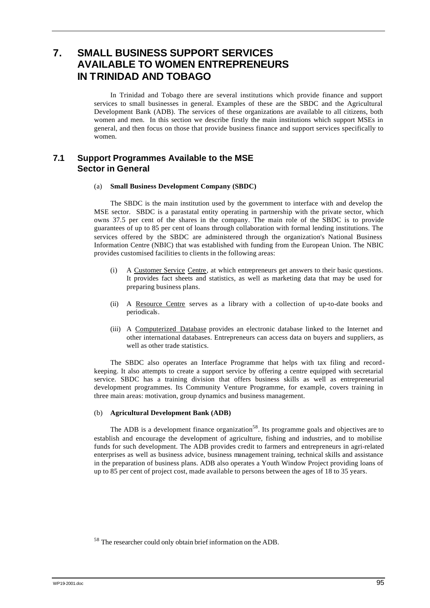# **7. SMALL BUSINESS SUPPORT SERVICES AVAILABLE TO WOMEN ENTREPRENEURS IN TRINIDAD AND TOBAGO**

In Trinidad and Tobago there are several institutions which provide finance and support services to small businesses in general. Examples of these are the SBDC and the Agricultural Development Bank (ADB). The services of these organizations are available to all citizens, both women and men. In this section we describe firstly the main institutions which support MSEs in general, and then focus on those that provide business finance and support services specifically to women.

# **7.1 Support Programmes Available to the MSE Sector in General**

### (a) **Small Business Development Company (SBDC)**

The SBDC is the main institution used by the government to interface with and develop the MSE sector. SBDC is a parastatal entity operating in partnership with the private sector, which owns 37.5 per cent of the shares in the company. The main role of the SBDC is to provide guarantees of up to 85 per cent of loans through collaboration with formal lending institutions. The services offered by the SBDC are administered through the organization's National Business Information Centre (NBIC) that was established with funding from the European Union. The NBIC provides customised facilities to clients in the following areas:

- (i) A Customer Service Centre, at which entrepreneurs get answers to their basic questions. It provides fact sheets and statistics, as well as marketing data that may be used for preparing business plans.
- (ii) A Resource Centre serves as a library with a collection of up-to-date books and periodicals.
- (iii) A Computerized Database provides an electronic database linked to the Internet and other international databases. Entrepreneurs can access data on buyers and suppliers, as well as other trade statistics.

The SBDC also operates an Interface Programme that helps with tax filing and recordkeeping. It also attempts to create a support service by offering a centre equipped with secretarial service. SBDC has a training division that offers business skills as well as entrepreneurial development programmes. Its Community Venture Programme, for example, covers training in three main areas: motivation, group dynamics and business management.

## (b) **Agricultural Development Bank (ADB)**

The ADB is a development finance organization<sup>58</sup>. Its programme goals and objectives are to establish and encourage the development of agriculture, fishing and industries, and to mobilise funds for such development. The ADB provides credit to farmers and entrepreneurs in agri-related enterprises as well as business advice, business management training, technical skills and assistance in the preparation of business plans. ADB also operates a Youth Window Project providing loans of up to 85 per cent of project cost, made available to persons between the ages of 18 to 35 years.

<sup>58</sup> The researcher could only obtain brief information on the ADB.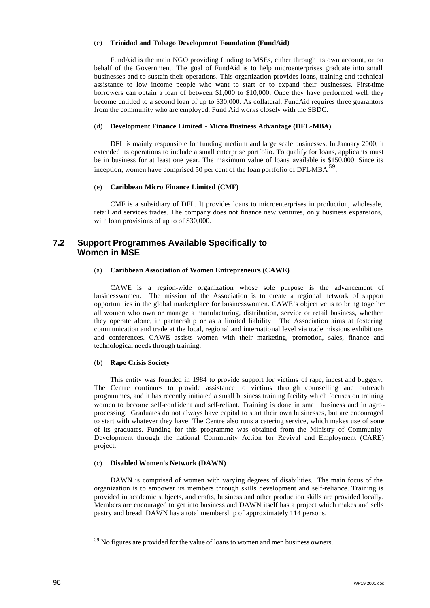### (c) **Trinidad and Tobago Development Foundation (FundAid)**

FundAid is the main NGO providing funding to MSEs, either through its own account, or on behalf of the Government. The goal of FundAid is to help microenterprises graduate into small businesses and to sustain their operations. This organization provides loans, training and technical assistance to low income people who want to start or to expand their businesses. First-time borrowers can obtain a loan of between \$1,000 to \$10,000. Once they have performed well, they become entitled to a second loan of up to \$30,000. As collateral, FundAid requires three guarantors from the community who are employed. Fund Aid works closely with the SBDC.

## (d) **Development Finance Limited - Micro Business Advantage (DFL-MBA)**

DFL is mainly responsible for funding medium and large scale businesses. In January 2000, it extended its operations to include a small enterprise portfolio. To qualify for loans, applicants must be in business for at least one year. The maximum value of loans available is \$150,000. Since its inception, women have comprised 50 per cent of the loan portfolio of  $\text{DFL-MBA}^{59}$ .

## (e) **Caribbean Micro Finance Limited (CMF)**

CMF is a subsidiary of DFL. It provides loans to microenterprises in production, wholesale, retail and services trades. The company does not finance new ventures, only business expansions, with loan provisions of up to of \$30,000.

# **7.2 Support Programmes Available Specifically to Women in MSE**

## (a) **Caribbean Association of Women Entrepreneurs (CAWE)**

CAWE is a region-wide organization whose sole purpose is the advancement of businesswomen. The mission of the Association is to create a regional network of support opportunities in the global marketplace for businesswomen. CAWE's objective is to bring together all women who own or manage a manufacturing, distribution, service or retail business, whether they operate alone, in partnership or as a limited liability. The Association aims at fostering communication and trade at the local, regional and international level via trade missions exhibitions and conferences. CAWE assists women with their marketing, promotion, sales, finance and technological needs through training.

## (b) **Rape Crisis Society**

This entity was founded in 1984 to provide support for victims of rape, incest and buggery. The Centre continues to provide assistance to victims through counselling and outreach programmes, and it has recently initiated a small business training facility which focuses on training women to become self-confident and self-reliant. Training is done in small business and in agroprocessing. Graduates do not always have capital to start their own businesses, but are encouraged to start with whatever they have. The Centre also runs a catering service, which makes use of some of its graduates. Funding for this programme was obtained from the Ministry of Community Development through the national Community Action for Revival and Employment (CARE) project.

## (c) **Disabled Women's Network (DAWN)**

DAWN is comprised of women with varying degrees of disabilities. The main focus of the organization is to empower its members through skills development and self-reliance. Training is provided in academic subjects, and crafts, business and other production skills are provided locally. Members are encouraged to get into business and DAWN itself has a project which makes and sells pastry and bread. DAWN has a total membership of approximately 114 persons.

<sup>&</sup>lt;sup>59</sup> No figures are provided for the value of loans to women and men business owners.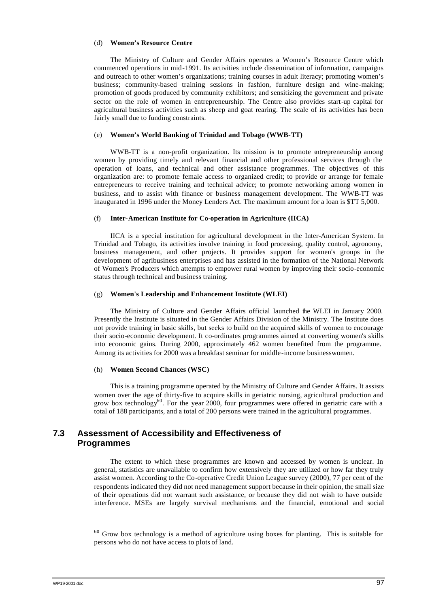### (d) **Women's Resource Centre**

The Ministry of Culture and Gender Affairs operates a Women's Resource Centre which commenced operations in mid-1991. Its activities include dissemination of information, campaigns and outreach to other women's organizations; training courses in adult literacy; promoting women's business; community-based training sessions in fashion, furniture design and wine-making; promotion of goods produced by community exhibitors; and sensitizing the government and private sector on the role of women in entrepreneurship. The Centre also provides start-up capital for agricultural business activities such as sheep and goat rearing. The scale of its activities has been fairly small due to funding constraints.

#### (e) **Women's World Banking of Trinidad and Tobago (WWB-TT)**

WWB-TT is a non-profit organization. Its mission is to promote entrepreneurship among women by providing timely and relevant financial and other professional services through the operation of loans, and technical and other assistance programmes. The objectives of this organization are: to promote female access to organized credit; to provide or arrange for female entrepreneurs to receive training and technical advice; to promote networking among women in business, and to assist with finance or business management development. The WWB-TT was inaugurated in 1996 under the Money Lenders Act. The maximum amount for a loan is \$TT 5,000.

#### (f) **Inter-American Institute for Co-operation in Agriculture (IICA)**

IICA is a special institution for agricultural development in the Inter-American System. In Trinidad and Tobago, its activities involve training in food processing, quality control, agronomy, business management, and other projects. It provides support for women's groups in the development of agribusiness enterprises and has assisted in the formation of the National Network of Women's Producers which attempts to empower rural women by improving their socio-economic status through technical and business training.

#### (g) **Women's Leadership and Enhancement Institute (WLEI)**

The Ministry of Culture and Gender Affairs official launched the WLEI in January 2000. Presently the Institute is situated in the Gender Affairs Division of the Ministry. The Institute does not provide training in basic skills, but seeks to build on the acquired skills of women to encourage their socio-economic development. It co-ordinates programmes aimed at converting women's skills into economic gains. During 2000, approximately 462 women benefited from the programme. Among its activities for 2000 was a breakfast seminar for middle-income businesswomen.

### (h) **Women Second Chances (WSC)**

This is a training programme operated by the Ministry of Culture and Gender Affairs. It assists women over the age of thirty-five to acquire skills in geriatric nursing, agricultural production and grow box technology<sup>60</sup>. For the year 2000, four programmes were offered in geriatric care with a total of 188 participants, and a total of 200 persons were trained in the agricultural programmes.

## **7.3 Assessment of Accessibility and Effectiveness of Programmes**

The extent to which these programmes are known and accessed by women is unclear. In general, statistics are unavailable to confirm how extensively they are utilized or how far they truly assist women. According to the Co-operative Credit Union League survey (2000), 77 per cent of the respondents indicated they did not need management support because in their opinion, the small size of their operations did not warrant such assistance, or because they did not wish to have outside interference. MSEs are largely survival mechanisms and the financial, emotional and social

<sup>60</sup> Grow box technology is a method of agriculture using boxes for planting. This is suitable for persons who do not have access to plots of land.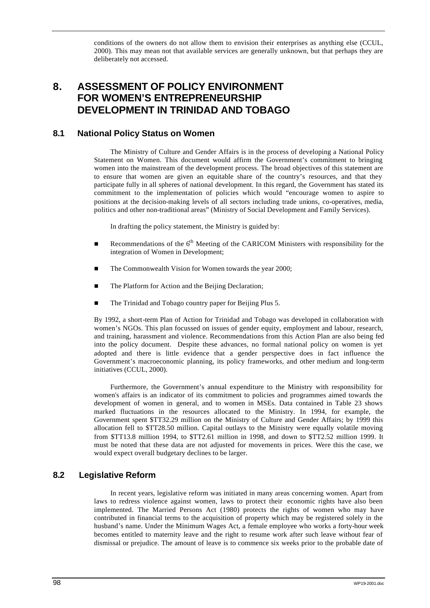conditions of the owners do not allow them to envision their enterprises as anything else (CCUL, 2000). This may mean not that available services are generally unknown, but that perhaps they are deliberately not accessed.

# **8. ASSESSMENT OF POLICY ENVIRONMENT FOR WOMEN'S ENTREPRENEURSHIP DEVELOPMENT IN TRINIDAD AND TOBAGO**

# **8.1 National Policy Status on Women**

The Ministry of Culture and Gender Affairs is in the process of developing a National Policy Statement on Women. This document would affirm the Government's commitment to bringing women into the mainstream of the development process. The broad objectives of this statement are to ensure that women are given an equitable share of the country's resources, and that they participate fully in all spheres of national development. In this regard, the Government has stated its commitment to the implementation of policies which would "encourage women to aspire to positions at the decision-making levels of all sectors including trade unions, co-operatives, media, politics and other non-traditional areas" (Ministry of Social Development and Family Services).

In drafting the policy statement, the Ministry is guided by:

- Recommendations of the  $6<sup>th</sup>$  Meeting of the CARICOM Ministers with responsibility for the integration of Women in Development;
- The Commonwealth Vision for Women towards the year 2000;
- The Platform for Action and the Beijing Declaration;
- The Trinidad and Tobago country paper for Beijing Plus 5.

By 1992, a short-term Plan of Action for Trinidad and Tobago was developed in collaboration with women's NGOs. This plan focussed on issues of gender equity, employment and labour, research, and training, harassment and violence. Recommendations from this Action Plan are also being fed into the policy document. Despite these advances, no formal national policy on women is yet adopted and there is little evidence that a gender perspective does in fact influence the Government's macroeconomic planning, its policy frameworks, and other medium and long-term initiatives (CCUL, 2000).

Furthermore, the Government's annual expenditure to the Ministry with responsibility for women's affairs is an indicator of its commitment to policies and programmes aimed towards the development of women in general, and to women in MSEs. Data contained in Table 23 shows marked fluctuations in the resources allocated to the Ministry. In 1994, for example, the Government spent \$TT32.29 million on the Ministry of Culture and Gender Affairs; by 1999 this allocation fell to \$TT28.50 million. Capital outlays to the Ministry were equally volatile moving from \$TT13.8 million 1994, to \$TT2.61 million in 1998, and down to \$TT2.52 million 1999. It must be noted that these data are not adjusted for movements in prices. Were this the case, we would expect overall budgetary declines to be larger.

## **8.2 Legislative Reform**

In recent years, legislative reform was initiated in many areas concerning women. Apart from laws to redress violence against women, laws to protect their economic rights have also been implemented. The Married Persons Act (1980) protects the rights of women who may have contributed in financial terms to the acquisition of property which may be registered solely in the husband's name. Under the Minimum Wages Act, a female employee who works a forty-hour week becomes entitled to maternity leave and the right to resume work after such leave without fear of dismissal or prejudice. The amount of leave is to commence six weeks prior to the probable date of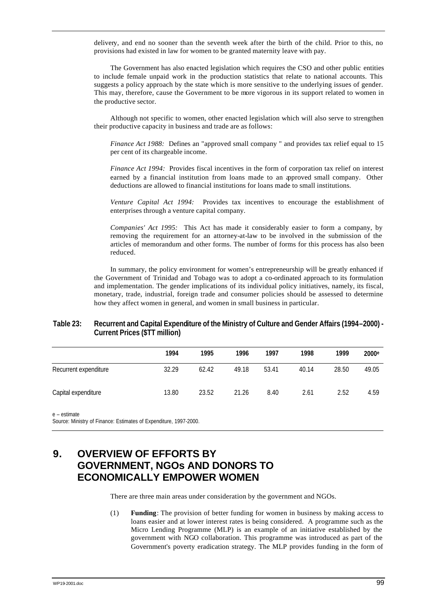delivery, and end no sooner than the seventh week after the birth of the child. Prior to this, no provisions had existed in law for women to be granted maternity leave with pay.

The Government has also enacted legislation which requires the CSO and other public entities to include female unpaid work in the production statistics that relate to national accounts. This suggests a policy approach by the state which is more sensitive to the underlying issues of gender. This may, therefore, cause the Government to be more vigorous in its support related to women in the productive sector.

Although not specific to women, other enacted legislation which will also serve to strengthen their productive capacity in business and trade are as follows:

*Finance Act 1988:* Defines an "approved small company " and provides tax relief equal to 15 per cent of its chargeable income.

*Finance Act 1994:* Provides fiscal incentives in the form of corporation tax relief on interest earned by a financial institution from loans made to an approved small company. Other deductions are allowed to financial institutions for loans made to small institutions*.*

*Venture Capital Act 1994:* Provides tax incentives to encourage the establishment of enterprises through a venture capital company.

*Companies' Act 1995:* This Act has made it considerably easier to form a company, by removing the requirement for an attorney-at-law to be involved in the submission of the articles of memorandum and other forms. The number of forms for this process has also been reduced.

In summary, the policy environment for women's entrepreneurship will be greatly enhanced if the Government of Trinidad and Tobago was to adopt a co-ordinated approach to its formulation and implementation. The gender implications of its individual policy initiatives, namely, its fiscal, monetary, trade, industrial, foreign trade and consumer policies should be assessed to determine how they affect women in general, and women in small business in particular.

### **Table 23: Recurrent and Capital Expenditure of the Ministry of Culture and Gender Affairs (1994–2000) - Current Prices (\$TT million)**

|                       | 1994  | 1995  | 1996  | 1997  | 1998  | 1999  | 2000 <sup>e</sup> |
|-----------------------|-------|-------|-------|-------|-------|-------|-------------------|
| Recurrent expenditure | 32.29 | 62.42 | 49.18 | 53.41 | 40.14 | 28.50 | 49.05             |
| Capital expenditure   | 13.80 | 23.52 | 21.26 | 8.40  | 2.61  | 2.52  | 4.59              |

e – estimate

Source: Ministry of Finance: Estimates of Expenditure, 1997-2000.

## **9. OVERVIEW OF EFFORTS BY GOVERNMENT, NGOs AND DONORS TO ECONOMICALLY EMPOWER WOMEN**

There are three main areas under consideration by the government and NGOs.

(1) **Funding**: The provision of better funding for women in business by making access to loans easier and at lower interest rates is being considered. A programme such as the Micro Lending Programme (MLP) is an example of an initiative established by the government with NGO collaboration. This programme was introduced as part of the Government's poverty eradication strategy. The MLP provides funding in the form of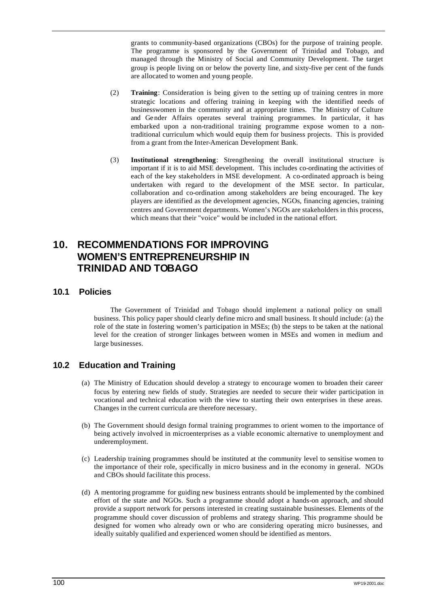grants to community-based organizations (CBOs) for the purpose of training people. The programme is sponsored by the Government of Trinidad and Tobago, and managed through the Ministry of Social and Community Development. The target group is people living on or below the poverty line, and sixty-five per cent of the funds are allocated to women and young people.

- (2) **Training**: Consideration is being given to the setting up of training centres in more strategic locations and offering training in keeping with the identified needs of businesswomen in the community and at appropriate times. The Ministry of Culture and Gender Affairs operates several training programmes. In particular, it has embarked upon a non-traditional training programme expose women to a nontraditional curriculum which would equip them for business projects. This is provided from a grant from the Inter-American Development Bank.
- (3) **Institutional strengthening**: Strengthening the overall institutional structure is important if it is to aid MSE development. This includes co-ordinating the activities of each of the key stakeholders in MSE development. A co-ordinated approach is being undertaken with regard to the development of the MSE sector. In particular, collaboration and co-ordination among stakeholders are being encouraged. The key players are identified as the development agencies, NGOs, financing agencies, training centres and Government departments. Women's NGOs are stakeholders in this process, which means that their "voice" would be included in the national effort.

## **10. RECOMMENDATIONS FOR IMPROVING WOMEN'S ENTREPRENEURSHIP IN TRINIDAD AND TOBAGO**

### **10.1 Policies**

The Government of Trinidad and Tobago should implement a national policy on small business. This policy paper should clearly define micro and small business. It should include: (a) the role of the state in fostering women's participation in MSEs; (b) the steps to be taken at the national level for the creation of stronger linkages between women in MSEs and women in medium and large businesses.

### **10.2 Education and Training**

- (a) The Ministry of Education should develop a strategy to encourage women to broaden their career focus by entering new fields of study. Strategies are needed to secure their wider participation in vocational and technical education with the view to starting their own enterprises in these areas. Changes in the current curricula are therefore necessary.
- (b) The Government should design formal training programmes to orient women to the importance of being actively involved in microenterprises as a viable economic alternative to unemployment and underemployment.
- (c) Leadership training programmes should be instituted at the community level to sensitise women to the importance of their role, specifically in micro business and in the economy in general. NGOs and CBOs should facilitate this process.
- (d) A mentoring programme for guiding new business entrants should be implemented by the combined effort of the state and NGOs. Such a programme should adopt a hands-on approach, and should provide a support network for persons interested in creating sustainable businesses. Elements of the programme should cover discussion of problems and strategy sharing. This programme should be designed for women who already own or who are considering operating micro businesses, and ideally suitably qualified and experienced women should be identified as mentors.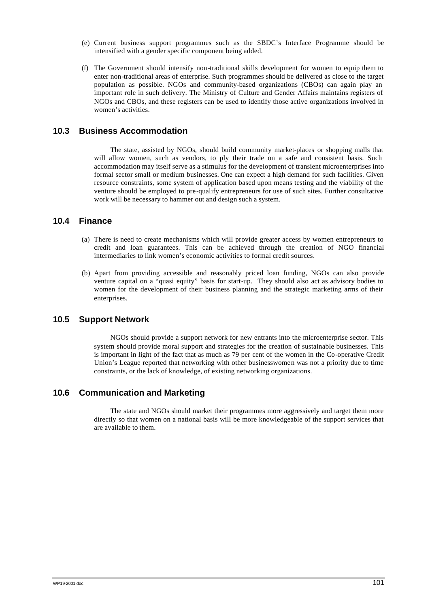- (e) Current business support programmes such as the SBDC's Interface Programme should be intensified with a gender specific component being added.
- (f) The Government should intensify non-traditional skills development for women to equip them to enter non-traditional areas of enterprise. Such programmes should be delivered as close to the target population as possible. NGOs and community-based organizations (CBOs) can again play an important role in such delivery. The Ministry of Culture and Gender Affairs maintains registers of NGOs and CBOs, and these registers can be used to identify those active organizations involved in women's activities.

### **10.3 Business Accommodation**

The state, assisted by NGOs, should build community market-places or shopping malls that will allow women, such as vendors, to ply their trade on a safe and consistent basis. Such accommodation may itself serve as a stimulus for the development of transient microenterprises into formal sector small or medium businesses. One can expect a high demand for such facilities. Given resource constraints, some system of application based upon means testing and the viability of the venture should be employed to pre-qualify entrepreneurs for use of such sites. Further consultative work will be necessary to hammer out and design such a system.

### **10.4 Finance**

- (a) There is need to create mechanisms which will provide greater access by women entrepreneurs to credit and loan guarantees. This can be achieved through the creation of NGO financial intermediaries to link women's economic activities to formal credit sources.
- (b) Apart from providing accessible and reasonably priced loan funding, NGOs can also provide venture capital on a "quasi equity" basis for start-up. They should also act as advisory bodies to women for the development of their business planning and the strategic marketing arms of their enterprises.

### **10.5 Support Network**

NGOs should provide a support network for new entrants into the microenterprise sector. This system should provide moral support and strategies for the creation of sustainable businesses. This is important in light of the fact that as much as 79 per cent of the women in the Co-operative Credit Union's League reported that networking with other businesswomen was not a priority due to time constraints, or the lack of knowledge, of existing networking organizations.

### **10.6 Communication and Marketing**

The state and NGOs should market their programmes more aggressively and target them more directly so that women on a national basis will be more knowledgeable of the support services that are available to them.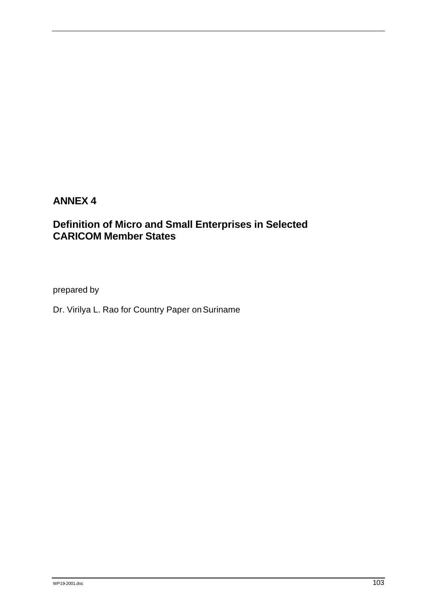# **ANNEX 4**

# **Definition of Micro and Small Enterprises in Selected CARICOM Member States**

prepared by

Dr. Virilya L. Rao for Country Paper on Suriname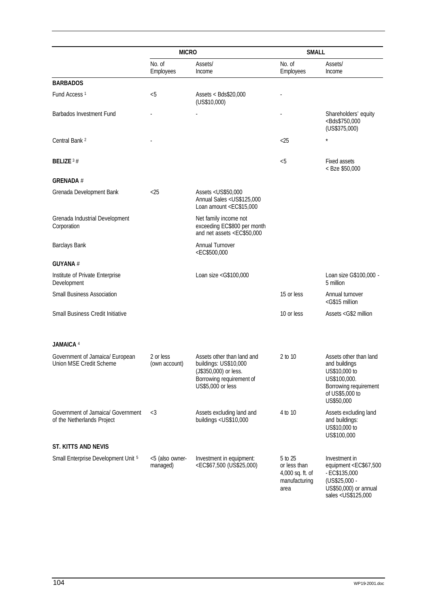|                                                                 | <b>MICRO</b>                |                                                                                                                                                                                                                                                                                                                                                      | <b>SMALL</b>                                                         |                                                                                                                                                                               |  |
|-----------------------------------------------------------------|-----------------------------|------------------------------------------------------------------------------------------------------------------------------------------------------------------------------------------------------------------------------------------------------------------------------------------------------------------------------------------------------|----------------------------------------------------------------------|-------------------------------------------------------------------------------------------------------------------------------------------------------------------------------|--|
|                                                                 | No. of<br>Employees         | Assets/<br>Income                                                                                                                                                                                                                                                                                                                                    | No. of<br>Employees                                                  | Assets/<br>Income                                                                                                                                                             |  |
| <b>BARBADOS</b>                                                 |                             |                                                                                                                                                                                                                                                                                                                                                      |                                                                      |                                                                                                                                                                               |  |
| Fund Access <sup>1</sup>                                        | &5                          | Assets < Bds\$20,000<br>(US\$10,000)                                                                                                                                                                                                                                                                                                                 |                                                                      |                                                                                                                                                                               |  |
| Barbados Investment Fund                                        |                             |                                                                                                                                                                                                                                                                                                                                                      |                                                                      | Shareholders' equity<br><bds\$750,000<br>(US\$375,000)</bds\$750,000<br>                                                                                                      |  |
| Central Bank <sup>2</sup>                                       |                             |                                                                                                                                                                                                                                                                                                                                                      | <25                                                                  | $\star$                                                                                                                                                                       |  |
| <b>BELIZE</b> $3#$                                              |                             |                                                                                                                                                                                                                                                                                                                                                      | &5                                                                   | <b>Fixed assets</b><br>< Bze \$50,000                                                                                                                                         |  |
| <b>GRENADA#</b>                                                 |                             |                                                                                                                                                                                                                                                                                                                                                      |                                                                      |                                                                                                                                                                               |  |
| Grenada Development Bank                                        | $<$ 25                      | Assets < US\$50,000<br>Annual Sales <us\$125,000<br>Loan amount <ec\$15,000< td=""><td></td><td></td></ec\$15,000<></us\$125,000<br>                                                                                                                                                                                                                 |                                                                      |                                                                                                                                                                               |  |
| Grenada Industrial Development<br>Corporation                   |                             | Net family income not<br>exceeding EC\$800 per month<br>and net assets <ec\$50,000< td=""><td></td><td></td></ec\$50,000<>                                                                                                                                                                                                                           |                                                                      |                                                                                                                                                                               |  |
| Barclays Bank                                                   |                             | <b>Annual Turnover</b><br><ec\$500,000< td=""><td></td><td></td></ec\$500,000<>                                                                                                                                                                                                                                                                      |                                                                      |                                                                                                                                                                               |  |
| <b>GUYANA</b> #                                                 |                             |                                                                                                                                                                                                                                                                                                                                                      |                                                                      |                                                                                                                                                                               |  |
| Institute of Private Enterprise<br>Development                  |                             | Loan size <g\$100,000< td=""><td></td><td>Loan size G\$100,000 -<br/>5 million</td></g\$100,000<>                                                                                                                                                                                                                                                    |                                                                      | Loan size G\$100,000 -<br>5 million                                                                                                                                           |  |
| Small Business Association                                      |                             |                                                                                                                                                                                                                                                                                                                                                      | 15 or less                                                           | Annual turnover<br><g\$15 million<="" td=""></g\$15>                                                                                                                          |  |
| Small Business Credit Initiative                                |                             |                                                                                                                                                                                                                                                                                                                                                      | 10 or less                                                           | Assets <g\$2 million<="" td=""></g\$2>                                                                                                                                        |  |
| <b>JAMAICA 4</b>                                                |                             |                                                                                                                                                                                                                                                                                                                                                      |                                                                      |                                                                                                                                                                               |  |
| Government of Jamaica/ European<br>Union MSE Credit Scheme      | 2 or less<br>(own account)  | Assets other than land and<br>buildings: US\$10,000<br>(J\$350,000) or less.<br>Borrowing requirement of<br>US\$5,000 or less                                                                                                                                                                                                                        | 2 to 10                                                              | Assets other than land<br>and buildings<br>US\$10,000 to<br>US\$100,000.<br>Borrowing requirement<br>of US\$5,000 to<br>US\$50,000                                            |  |
| Government of Jamaica/ Government<br>of the Netherlands Project | $<$ 3                       | Assets excluding land and<br>buildings <us\$10,000< td=""><td>4 to 10</td><td>Assets excluding land<br/>and buildings:<br/>US\$10,000 to<br/>US\$100,000</td></us\$10,000<>                                                                                                                                                                          | 4 to 10                                                              | Assets excluding land<br>and buildings:<br>US\$10,000 to<br>US\$100,000                                                                                                       |  |
| ST. KITTS AND NEVIS                                             |                             |                                                                                                                                                                                                                                                                                                                                                      |                                                                      |                                                                                                                                                                               |  |
| Small Enterprise Development Unit 5                             | <5 (also owner-<br>managed) | Investment in equipment:<br><ec\$67,500 (us\$25,000)<="" td=""><td>5 to 25<br/>or less than<br/>4,000 sq. ft. of<br/>manufacturing<br/>area</td><td>Investment in<br/>equipment <ec\$67,500<br><math>-EC\$135,000</math><br/>(US\$25,000 -<br/>US\$50,000) or annual<br/>sales <us\$125,000< td=""></us\$125,000<></ec\$67,500<br></td></ec\$67,500> | 5 to 25<br>or less than<br>4,000 sq. ft. of<br>manufacturing<br>area | Investment in<br>equipment <ec\$67,500<br><math>-EC\$135,000</math><br/>(US\$25,000 -<br/>US\$50,000) or annual<br/>sales <us\$125,000< td=""></us\$125,000<></ec\$67,500<br> |  |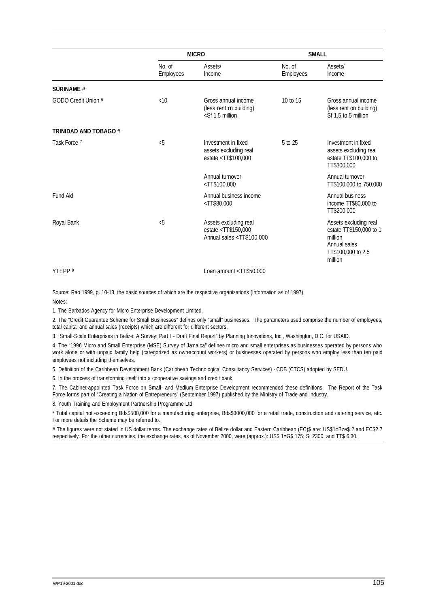|                       | <b>MICRO</b>        |                                                                                                                                                                                                                                                      | <b>SMALL</b>        |                                                                                                              |  |
|-----------------------|---------------------|------------------------------------------------------------------------------------------------------------------------------------------------------------------------------------------------------------------------------------------------------|---------------------|--------------------------------------------------------------------------------------------------------------|--|
|                       | No. of<br>Employees | Assets/<br>Income                                                                                                                                                                                                                                    | No. of<br>Employees | Assets/<br>Income                                                                                            |  |
| <b>SURINAME #</b>     |                     |                                                                                                                                                                                                                                                      |                     |                                                                                                              |  |
| GODO Credit Union 6   | <10                 | Gross annual income<br>(less rent on building)<br>$<$ Sf 1.5 million                                                                                                                                                                                 | 10 to 15            | Gross annual income<br>(less rent on building)<br>Sf 1.5 to 5 million                                        |  |
| TRINIDAD AND TOBAGO # |                     |                                                                                                                                                                                                                                                      |                     |                                                                                                              |  |
| Task Force 7          | $<$ 5               | Investment in fixed<br>assets excluding real<br>estate <tt\$100,000< td=""><td>5 to 25</td><td>Investment in fixed<br/>assets excluding real<br/>estate TT\$100,000 to<br/>TT\$300,000</td></tt\$100,000<>                                           | 5 to 25             | Investment in fixed<br>assets excluding real<br>estate TT\$100,000 to<br>TT\$300,000                         |  |
|                       |                     | Annual turnover<br>$<$ TT\$100,000                                                                                                                                                                                                                   |                     | Annual turnover<br>TT\$100,000 to 750,000                                                                    |  |
| <b>Fund Aid</b>       |                     | Annual business income<br><tt\$80,000< td=""><td></td><td>Annual business<br/>income TT\$80,000 to<br/>TT\$200,000</td></tt\$80,000<>                                                                                                                |                     | Annual business<br>income TT\$80,000 to<br>TT\$200,000                                                       |  |
| Royal Bank            | &5                  | Assets excluding real<br>estate <tt\$150,000<br>Annual sales <tt\$100,000< td=""><td></td><td>Assets excluding real<br/>estate TT\$150,000 to 1<br/>million<br/>Annual sales<br/>TT\$100,000 to 2.5<br/>million</td></tt\$100,000<></tt\$150,000<br> |                     | Assets excluding real<br>estate TT\$150,000 to 1<br>million<br>Annual sales<br>TT\$100,000 to 2.5<br>million |  |
| YTEPP <sup>8</sup>    |                     | Loan amount <tt\$50,000< td=""><td></td><td></td></tt\$50,000<>                                                                                                                                                                                      |                     |                                                                                                              |  |

Source: Rao 1999, p. 10-13, the basic sources of which are the respective organizations (Information as of 1997). Notes:

1. The Barbados Agency for Micro Enterprise Development Limited.

2. The "Credit Guarantee Scheme for Small Businesses" defines only "small" businesses. The parameters used comprise the number of employees, total capital and annual sales (receipts) which are different for different sectors.

3. "Small-Scale Enterprises in Belize: A Survey: Part I - Draft Final Report" by Planning Innovations, Inc., Washington, D.C. for USAID.

4. The "1996 Micro and Small Enterprise (MSE) Survey of Jamaica" defines micro and small enterprises as businesses operated by persons who work alone or with unpaid family help (categorized as own-account workers) or businesses operated by persons who employ less than ten paid employees not including themselves.

5. Definition of the Caribbean Development Bank (Caribbean Technological Consultancy Services) - CDB (CTCS) adopted by SEDU.

6. In the process of transforming itself into a cooperative savings and credit bank.

7. The Cabinet-appointed Task Force on Small- and Medium Enterprise Development recommended these definitions. The Report of the Task Force forms part of "Creating a Nation of Entrepreneurs" (September 1997) published by the Ministry of Trade and Industry.

8. Youth Training and Employment Partnership Programme Ltd.

\* Total capital not exceeding Bds\$500,000 for a manufacturing enterprise, Bds\$3000,000 for a retail trade, construction and catering service, etc. For more details the Scheme may be referred to.

# The figures were not stated in US dollar terms. The exchange rates of Belize dollar and Eastern Caribbean (EC)\$ are: US\$1=Bze\$ 2 and EC\$2.7 respectively. For the other currencies, the exchange rates, as of November 2000, were (approx.): US\$ 1=G\$ 175; Sf 2300; and TT\$ 6.30.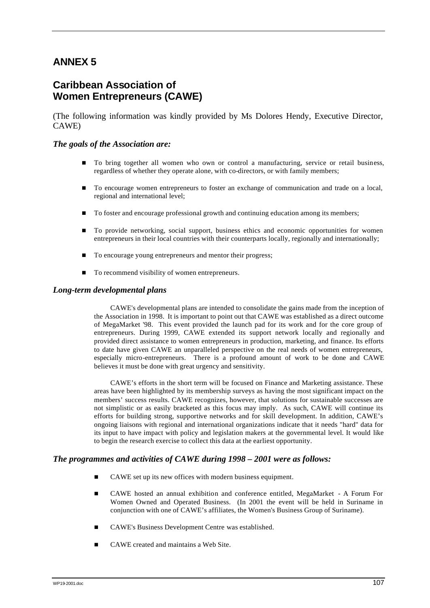## **ANNEX 5**

### **Caribbean Association of Women Entrepreneurs (CAWE)**

(The following information was kindly provided by Ms Dolores Hendy, Executive Director, CAWE)

### *The goals of the Association are:*

- n To bring together all women who own or control a manufacturing, service or retail business, regardless of whether they operate alone, with co-directors, or with family members;
- n To encourage women entrepreneurs to foster an exchange of communication and trade on a local, regional and international level;
- To foster and encourage professional growth and continuing education among its members;
- n To provide networking, social support, business ethics and economic opportunities for women entrepreneurs in their local countries with their counterparts locally, regionally and internationally;
- To encourage young entrepreneurs and mentor their progress;
- $\blacksquare$  To recommend visibility of women entrepreneurs.

### *Long-term developmental plans*

CAWE's developmental plans are intended to consolidate the gains made from the inception of the Association in 1998. It is important to point out that CAWE was established as a direct outcome of MegaMarket '98. This event provided the launch pad for its work and for the core group of entrepreneurs. During 1999, CAWE extended its support network locally and regionally and provided direct assistance to women entrepreneurs in production, marketing, and finance. Its efforts to date have given CAWE an unparalleled perspective on the real needs of women entrepreneurs, especially micro-entrepreneurs. There is a profound amount of work to be done and CAWE believes it must be done with great urgency and sensitivity.

CAWE's efforts in the short term will be focused on Finance and Marketing assistance. These areas have been highlighted by its membership surveys as having the most significant impact on the members' success results. CAWE recognizes, however, that solutions for sustainable successes are not simplistic or as easily bracketed as this focus may imply. As such, CAWE will continue its efforts for building strong, supportive networks and for skill development. In addition, CAWE's ongoing liaisons with regional and international organizations indicate that it needs "hard" data for its input to have impact with policy and legislation makers at the governmental level. It would like to begin the research exercise to collect this data at the earliest opportunity.

### *The programmes and activities of CAWE during 1998 – 2001 were as follows:*

- CAWE set up its new offices with modern business equipment.
- n CAWE hosted an annual exhibition and conference entitled, MegaMarket A Forum For Women Owned and Operated Business. (In 2001 the event will be held in Suriname in conjunction with one of CAWE's affiliates, the Women's Business Group of Suriname).
- n CAWE's Business Development Centre was established.
- CAWE created and maintains a Web Site.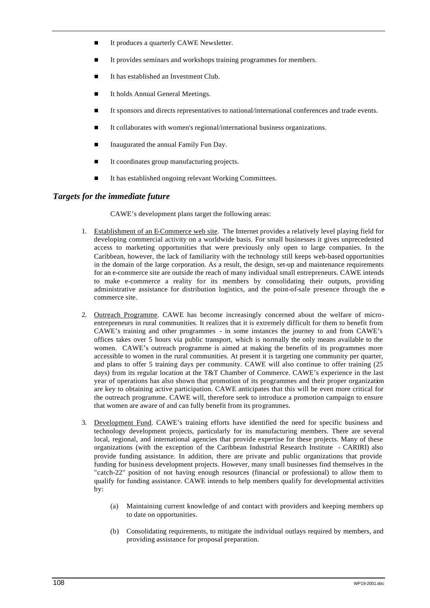- It produces a quarterly CAWE Newsletter.
- It provides seminars and workshops training programmes for members.
- It has established an Investment Club.
- It holds Annual General Meetings.
- It sponsors and directs representatives to national/international conferences and trade events.
- It collaborates with women's regional/international business organizations.
- n Inaugurated the annual Family Fun Day.
- It coordinates group manufacturing projects.
- It has established ongoing relevant Working Committees.

### *Targets for the immediate future*

CAWE's development plans target the following areas:

- 1. Establishment of an E-Commerce web site. The Internet provides a relatively level playing field for developing commercial activity on a worldwide basis. For small businesses it gives unprecedented access to marketing opportunities that were previously only open to large companies. In the Caribbean, however, the lack of familiarity with the technology still keeps web-based opportunities in the domain of the large corporation. As a result, the design, set-up and maintenance requirements for an e-commerce site are outside the reach of many individual small entrepreneurs. CAWE intends to make e-commerce a reality for its members by consolidating their outputs, providing administrative assistance for distribution logistics, and the point-of-sale presence through the ecommerce site.
- 2. Outreach Programme. CAWE has become increasingly concerned about the welfare of microentrepreneurs in rural communities. It realizes that it is extremely difficult for them to benefit from CAWE's training and other programmes - in some instances the journey to and from CAWE's offices takes over 5 hours via public transport, which is normally the only means available to the women. CAWE's outreach programme is aimed at making the benefits of its programmes more accessible to women in the rural communities. At present it is targeting one community per quarter, and plans to offer 5 training days per community. CAWE will also continue to offer training (25 days) from its regular location at the T&T Chamber of Commerce. CAWE's experience in the last year of operations has also shown that promotion of its programmes and their proper organization are key to obtaining active participation. CAWE anticipates that this will be even more critical for the outreach programme. CAWE will, therefore seek to introduce a promotion campaign to ensure that women are aware of and can fully benefit from its programmes.
- 3. Development Fund. CAWE's training efforts have identified the need for specific business and technology development projects, particularly for its manufacturing members. There are several local, regional, and international agencies that provide expertise for these projects. Many of these organizations (with the exception of the Caribbean Industrial Research Institute - CARIRI) also provide funding assistance. In addition, there are private and public organizations that provide funding for business development projects. However, many small businesses find themselves in the "catch-22" position of not having enough resources (financial or professional) to allow them to qualify for funding assistance. CAWE intends to help members qualify for developmental activities  $\bar{b}v$ :
	- (a) Maintaining current knowledge of and contact with providers and keeping members up to date on opportunities.
	- (b) Consolidating requirements, to mitigate the individual outlays required by members, and providing assistance for proposal preparation.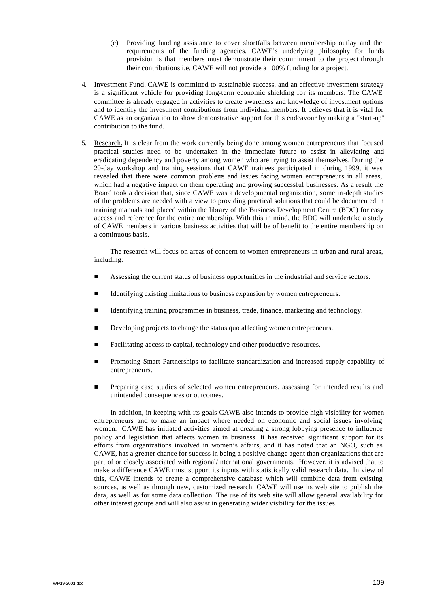- (c) Providing funding assistance to cover shortfalls between membership outlay and the requirements of the funding agencies. CAWE's underlying philosophy for funds provision is that members must demonstrate their commitment to the project through their contributions i.e. CAWE will not provide a 100% funding for a project.
- 4. Investment Fund. CAWE is committed to sustainable success, and an effective investment strategy is a significant vehicle for providing long-term economic shielding for its members. The CAWE committee is already engaged in activities to create awareness and knowledge of investment options and to identify the investment contributions from individual members. It believes that it is vital for CAWE as an organization to show demonstrative support for this endeavour by making a "start-up" contribution to the fund.
- 5. Research. It is clear from the work currently being done among women entrepreneurs that focused practical studies need to be undertaken in the immediate future to assist in alleviating and eradicating dependency and poverty among women who are trying to assist themselves. During the 20-day workshop and training sessions that CAWE trainees participated in during 1999, it was revealed that there were common problems and issues facing women entrepreneurs in all areas, which had a negative impact on them operating and growing successful businesses. As a result the Board took a decision that, since CAWE was a developmental organization, some in-depth studies of the problems are needed with a view to providing practical solutions that could be documented in training manuals and placed within the library of the Business Development Centre (BDC) for easy access and reference for the entire membership. With this in mind, the BDC will undertake a study of CAWE members in various business activities that will be of benefit to the entire membership on a continuous basis.

The research will focus on areas of concern to women entrepreneurs in urban and rural areas, including:

- n Assessing the current status of business opportunities in the industrial and service sectors.
- Identifying existing limitations to business expansion by women entrepreneurs.
- Identifying training programmes in business, trade, finance, marketing and technology.
- Developing projects to change the status quo affecting women entrepreneurs.
- Facilitating access to capital, technology and other productive resources.
- n Promoting Smart Partnerships to facilitate standardization and increased supply capability of entrepreneurs.
- Preparing case studies of selected women entrepreneurs, assessing for intended results and unintended consequences or outcomes.

In addition, in keeping with its goals CAWE also intends to provide high visibility for women entrepreneurs and to make an impact where needed on economic and social issues involving women. CAWE has initiated activities aimed at creating a strong lobbying presence to influence policy and legislation that affects women in business. It has received significant support for its efforts from organizations involved in women's affairs, and it has noted that an NGO, such as CAWE, has a greater chance for success in being a positive change agent than organizations that are part of or closely associated with regional/international governments. However, it is advised that to make a difference CAWE must support its inputs with statistically valid research data. In view of this, CAWE intends to create a comprehensive database which will combine data from existing sources, as well as through new, customized research. CAWE will use its web site to publish the data, as well as for some data collection. The use of its web site will allow general availability for other interest groups and will also assist in generating wider visibility for the issues.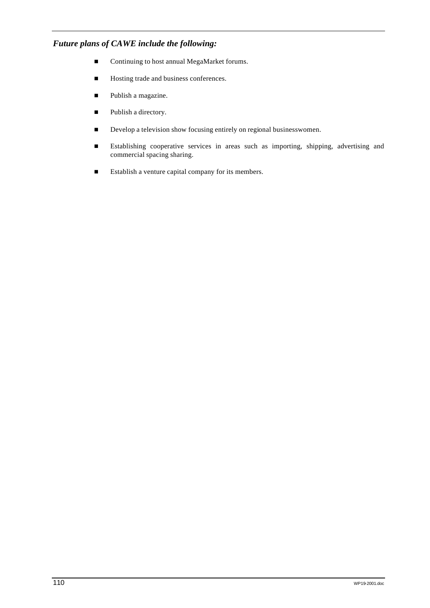### *Future plans of CAWE include the following:*

- Continuing to host annual MegaMarket forums.
- Hosting trade and business conferences.
- Publish a magazine.
- Publish a directory.
- Develop a television show focusing entirely on regional businesswomen.
- n Establishing cooperative services in areas such as importing, shipping, advertising and commercial spacing sharing.
- Establish a venture capital company for its members.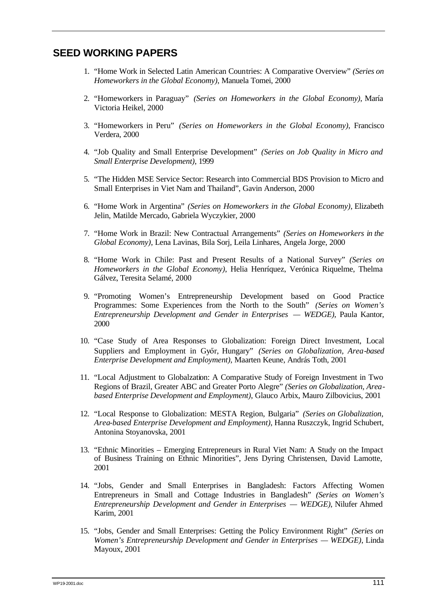## **SEED WORKING PAPERS**

- 1. "Home Work in Selected Latin American Countries: A Comparative Overview" *(Series on Homeworkers in the Global Economy)*, Manuela Tomei, 2000
- 2. "Homeworkers in Paraguay" *(Series on Homeworkers in the Global Economy)*, María Victoria Heikel, 2000
- 3. "Homeworkers in Peru" *(Series on Homeworkers in the Global Economy)*, Francisco Verdera, 2000
- 4. "Job Quality and Small Enterprise Development" *(Series on Job Quality in Micro and Small Enterprise Development)*, 1999
- 5. "The Hidden MSE Service Sector: Research into Commercial BDS Provision to Micro and Small Enterprises in Viet Nam and Thailand", Gavin Anderson, 2000
- 6. "Home Work in Argentina" *(Series on Homeworkers in the Global Economy)*, Elizabeth Jelin, Matilde Mercado, Gabriela Wyczykier, 2000
- 7. "Home Work in Brazil: New Contractual Arrangements" *(Series on Homeworkers in the Global Economy)*, Lena Lavinas, Bila Sorj, Leila Linhares, Angela Jorge, 2000
- 8. "Home Work in Chile: Past and Present Results of a National Survey" *(Series on Homeworkers in the Global Economy)*, Helia Henríquez, Verónica Riquelme, Thelma Gálvez, Teresita Selamé, 2000
- 9. "Promoting Women's Entrepreneurship Development based on Good Practice Programmes: Some Experiences from the North to the South" *(Series on Women's Entrepreneurship Development and Gender in Enterprises — WEDGE)*, Paula Kantor, 2000
- 10. "Case Study of Area Responses to Globalization: Foreign Direct Investment, Local Suppliers and Employment in Győr, Hungary" *(Series on Globalization, Area-based Enterprise Development and Employment)*, Maarten Keune, András Toth, 2001
- 11. "Local Adjustment to Globalzation: A Comparative Study of Foreign Investment in Two Regions of Brazil, Greater ABC and Greater Porto Alegre" *(Series on Globalization, Areabased Enterprise Development and Employment)*, Glauco Arbix, Mauro Zilbovicius, 2001
- 12. "Local Response to Globalization: MESTA Region, Bulgaria" *(Series on Globalization, Area-based Enterprise Development and Employment)*, Hanna Ruszczyk, Ingrid Schubert, Antonina Stoyanovska, 2001
- 13. "Ethnic Minorities Emerging Entrepreneurs in Rural Viet Nam: A Study on the Impact of Business Training on Ethnic Minorities", Jens Dyring Christensen, David Lamotte, 2001
- 14. "Jobs, Gender and Small Enterprises in Bangladesh: Factors Affecting Women Entrepreneurs in Small and Cottage Industries in Bangladesh" *(Series on Women's Entrepreneurship Development and Gender in Enterprises — WEDGE)*, Nilufer Ahmed Karim, 2001
- 15. "Jobs, Gender and Small Enterprises: Getting the Policy Environment Right" *(Series on Women's Entrepreneurship Development and Gender in Enterprises — WEDGE)*, Linda Mayoux, 2001